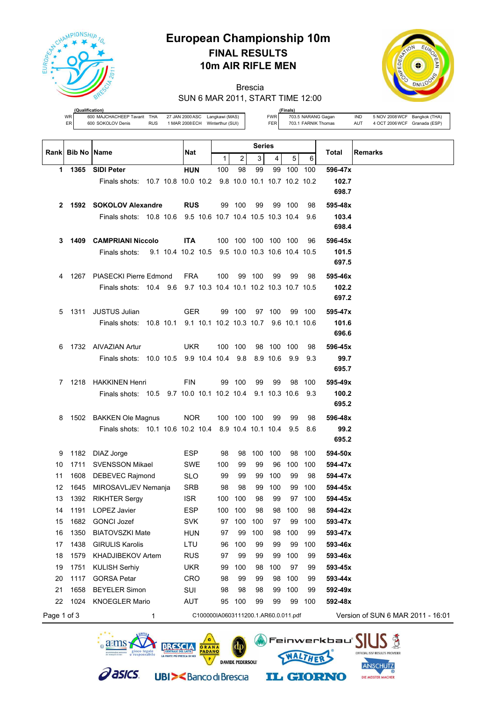

## **European Championship 10m FINAL RESULTS 10m AIR RIFLE MEN**

Brescia



SUN 6 MAR 2011, START TIME 12:00

|      | (Qualification)             |            |                                 |  |
|------|-----------------------------|------------|---------------------------------|--|
| WR I | 600 MAJCHACHEEP Tavarit THA |            | 27 JAN 2000 ASC Langkawi (MAS)  |  |
| ER   | 600 SOKOLOV Denis           | <b>RUS</b> | 1 MAR 2008 ECH Winterthur (SUI) |  |

 $a$ ams

**Pasics** 

FER 703.1 FARNIK Thomas AUT 4 OCT 2006 WCF Granada (ESP)

**(Finals)**

FWR 703.5 NARANG Gagan IND 5 NOV 2008 WCF Bangkok (THA)

|             |                  |                                                                  |                                       |     |                | <b>Series</b>       |            |            |        |                                   |
|-------------|------------------|------------------------------------------------------------------|---------------------------------------|-----|----------------|---------------------|------------|------------|--------|-----------------------------------|
|             | Rank Bib No Name |                                                                  | Nat                                   | 1   | $\overline{a}$ | 3                   | 4          | 5          | 6      | <b>Remarks</b><br>Total           |
|             | 1 1365           | <b>SIDI Peter</b>                                                | <b>HUN</b>                            | 100 | 98             | 99                  |            | 99 100 100 |        | 596-47x                           |
|             |                  | Finals shots: 10.7 10.8 10.0 10.2 9.8 10.0 10.1 10.7 10.2 10.2   |                                       |     |                |                     |            |            |        | 102.7                             |
|             |                  |                                                                  |                                       |     |                |                     |            |            |        | 698.7                             |
|             |                  | 2 1592 SOKOLOV Alexandre                                         | <b>RUS</b>                            |     | 99 100         | 99                  |            | 99 100     | 98     | 595-48x                           |
|             |                  | Finals shots: 10.8 10.6 9.5 10.6 10.7 10.4 10.5 10.3 10.4        |                                       |     |                |                     |            |            | 9.6    | 103.4                             |
|             |                  |                                                                  |                                       |     |                |                     |            |            |        | 698.4                             |
| 3           |                  | 1409 CAMPRIANI Niccolo                                           | <b>ITA</b>                            |     |                | 100 100 100 100 100 |            |            | 96     | 596-45x                           |
|             |                  | 9.1 10.4 10.2 10.5 9.5 10.0 10.3 10.6 10.4 10.5<br>Finals shots: |                                       |     |                |                     |            |            |        | 101.5                             |
|             |                  |                                                                  |                                       |     |                |                     |            |            |        | 697.5                             |
| 4           |                  | 1267 PIASECKI Pierre Edmond                                      | <b>FRA</b>                            | 100 | 99             | 100                 | 99         | 99         | 98     | 595-46x                           |
|             |                  | Finals shots: 10.4 9.6 9.7 10.3 10.4 10.1 10.2 10.3 10.7 10.5    |                                       |     |                |                     |            |            |        | 102.2                             |
|             |                  |                                                                  |                                       |     |                |                     |            |            |        | 697.2                             |
| 5           |                  | 1311 JUSTUS Julian                                               | <b>GER</b>                            |     | 99 100         |                     | 97 100     |            | 99 100 | 595-47x                           |
|             |                  | Finals shots: 10.8 10.1                                          | 9.1 10.1 10.2 10.3 10.7 9.6 10.1 10.6 |     |                |                     |            |            |        | 101.6                             |
|             |                  |                                                                  |                                       |     |                |                     |            |            |        | 696.6                             |
| 6           |                  | 1732 AIVAZIAN Artur                                              | <b>UKR</b>                            |     | 100 100        |                     | 98 100 100 |            | 98     | 596-45x                           |
|             |                  | Finals shots: 10.0 10.5 9.9 10.4 10.4 9.8                        |                                       |     |                |                     | 8.9 10.6   | 9.9        | 9.3    | 99.7                              |
|             |                  |                                                                  |                                       |     |                |                     |            |            |        | 695.7                             |
| 7           |                  | 1218 HAKKINEN Henri                                              | <b>FIN</b>                            |     | 99 100         | 99                  | 99         | 98         | 100    | 595-49x                           |
|             |                  | Finals shots: 10.5 9.7 10.0 10.1 10.2 10.4 9.1 10.3 10.6         |                                       |     |                |                     |            |            | - 9.3  | 100.2                             |
|             |                  |                                                                  |                                       |     |                |                     |            |            |        | 695.2                             |
| 8           |                  | 1502 BAKKEN Ole Magnus                                           | NOR.                                  |     | 100 100 100    |                     | 99         | 99         | 98     | 596-48x                           |
|             |                  | Finals shots: 10.1 10.6 10.2 10.4 8.9 10.4 10.1 10.4             |                                       |     |                |                     |            | 9.5        | 8.6    | 99.2                              |
|             |                  |                                                                  |                                       |     |                |                     |            |            |        | 695.2                             |
| 9           | 1182             | DIAZ Jorge                                                       | <b>ESP</b>                            | 98  | 98             | 100                 | 100        | 98         | 100    | 594-50x                           |
| 10          | 1711             | <b>SVENSSON Mikael</b>                                           | <b>SWE</b>                            | 100 | 99             | 99                  | 96         | 100        | 100    | 594-47x                           |
| 11          | 1608             | DEBEVEC Rajmond                                                  | SLO.                                  | 99  | 99             | 99                  | 100        | 99         | 98     | 594-47x                           |
| 12          | 1645             | MIROSAVLJEV Nemanja                                              | <b>SRB</b>                            | 98  | 98             | 99                  | 100        | 99         | 100    | 594-45x                           |
| 13          | 1392             | <b>RIKHTER Sergy</b>                                             | <b>ISR</b>                            | 100 | 100            | 98                  | 99         |            | 97 100 | 594-45x                           |
| 14          | 1191             | LOPEZ Javier                                                     | ESP                                   | 100 | 100            | 98                  | 98         | 100        | 98     | 594-42x                           |
| 15          | 1682             | <b>GONCI Jozef</b>                                               | <b>SVK</b>                            | 97  | 100            | 100                 | 97         | 99         | 100    | 593-47x                           |
| 16          | 1350             | <b>BIATOVSZKI Mate</b>                                           | <b>HUN</b>                            | 97  | 99             | 100                 | 98         | 100        | 99     | 593-47x                           |
| 17          | 1438             | <b>GIRULIS Karolis</b>                                           | LTU                                   | 96  | 100            | 99                  | 99         | 99         | 100    | 593-46x                           |
| 18          | 1579             | <b>KHADJIBEKOV Artem</b>                                         | <b>RUS</b>                            | 97  | 99             | 99                  | 99         | 100        | 99     | 593-46x                           |
| 19          | 1751             | <b>KULISH Serhiy</b>                                             | UKR                                   | 99  | 100            | 98                  | 100        | 97         | 99     | 593-45x                           |
| 20          | 1117             | <b>GORSA Petar</b>                                               | CRO                                   | 98  | 99             | 99                  | 98         | 100        | 99     | 593-44x                           |
| 21          | 1658             | <b>BEYELER Simon</b>                                             | SUI                                   | 98  | 98             | 98                  | 99         | 100        | 99     | 592-49x                           |
| 22          | 1024             | <b>KNOEGLER Mario</b>                                            | AUT                                   | 95  | 100            | 99                  | 99         | 99         | 100    | 592-48x                           |
| Page 1 of 3 |                  | 1                                                                | C100000IA0603111200.1.AR60.0.011.pdf  |     |                |                     |            |            |        | Version of SUN 6 MAR 2011 - 16:01 |

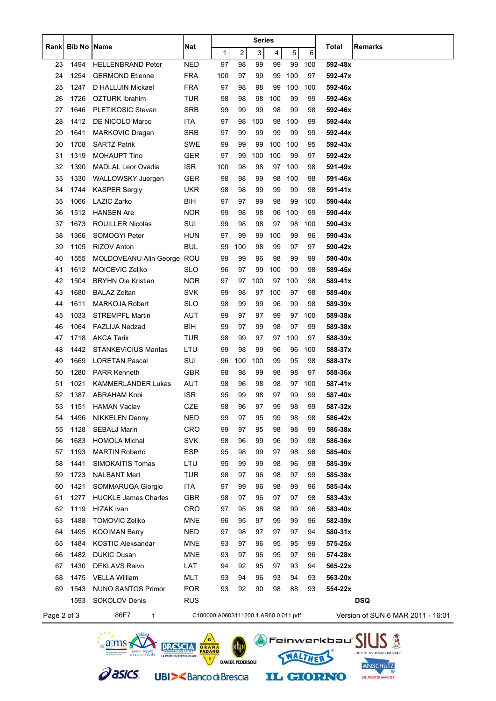|             |                    |                             |                                      |     |     | <b>Series</b> |     |     |     |         |                                   |
|-------------|--------------------|-----------------------------|--------------------------------------|-----|-----|---------------|-----|-----|-----|---------|-----------------------------------|
| Rankl       | <b>Bib No Name</b> |                             | Nat                                  | 1   | 2   | 3             | 4   | 5   | 6   | Total   | <b>Remarks</b>                    |
| 23          | 1494               | <b>HELLENBRAND Peter</b>    | <b>NED</b>                           | 97  | 98  | 99            | 99  | 99  | 100 | 592-48x |                                   |
| 24          | 1254               | <b>GERMOND Etienne</b>      | <b>FRA</b>                           | 100 | 97  | 99            | 99  | 100 | 97  | 592-47x |                                   |
| 25          | 1247               | D HALLUIN Mickael           | <b>FRA</b>                           | 97  | 98  | 98            | 99  | 100 | 100 | 592-46x |                                   |
| 26          | 1726               | <b>OZTURK Ibrahim</b>       | <b>TUR</b>                           | 98  | 98  | 98            | 100 | 99  | 99  | 592-46x |                                   |
| 27          | 1646               | PLETIKOSIC Stevan           | <b>SRB</b>                           | 99  | 99  | 99            | 98  | 99  | 98  | 592-46x |                                   |
| 28          | 1412               | DE NICOLO Marco             | <b>ITA</b>                           | 97  | 98  | 100           | 98  | 100 | 99  | 592-44x |                                   |
| 29          | 1641               | MARKOVIC Dragan             | <b>SRB</b>                           | 97  | 99  | 99            | 99  | 99  | 99  | 592-44x |                                   |
| 30          | 1708               | <b>SARTZ Patrik</b>         | <b>SWE</b>                           | 99  | 99  | 99            | 100 | 100 | 95  | 592-43x |                                   |
| 31          | 1319               | <b>MOHAUPT Tino</b>         | <b>GER</b>                           | 97  | 99  | 100           | 100 | 99  | 97  | 592-42x |                                   |
| 32          | 1390               | <b>MADLAL Leor Ovadia</b>   | <b>ISR</b>                           | 100 | 98  | 98            | 97  | 100 | 98  | 591-49x |                                   |
| 33          | 1330               | WALLOWSKY Juergen           | <b>GER</b>                           | 98  | 98  | 99            | 98  | 100 | 98  | 591-46x |                                   |
| 34          | 1744               | <b>KASPER Sergiy</b>        | <b>UKR</b>                           | 98  | 98  | 99            | 99  | 99  | 98  | 591-41x |                                   |
| 35          | 1066               | LAZIC Zarko                 | BIH                                  | 97  | 97  | 99            | 98  | 99  | 100 | 590-44x |                                   |
| 36          | 1512               | <b>HANSEN Are</b>           | <b>NOR</b>                           | 99  | 98  | 98            | 96  | 100 | 99  | 590-44x |                                   |
| 37          | 1673               | <b>ROUILLER Nicolas</b>     | SUI                                  | 99  | 98  | 98            | 97  | 98  | 100 | 590-43x |                                   |
| 38          | 1366               | <b>SOMOGYI Peter</b>        | <b>HUN</b>                           | 97  | 99  | 99            | 100 | 99  | 96  | 590-43x |                                   |
| 39          | 1105               | <b>RIZOV Anton</b>          | <b>BUL</b>                           | 99  | 100 | 98            | 99  | 97  | 97  | 590-42x |                                   |
| 40          | 1555               | MOLDOVEANU Alin George ROU  |                                      | 99  | 99  | 96            | 98  | 99  | 99  | 590-40x |                                   |
| 41          | 1612               | MOICEVIC Zeljko             | SLO                                  | 96  | 97  | 99            | 100 | 99  | 98  | 589-45x |                                   |
| 42          | 1504               | <b>BRYHN Ole Kristian</b>   | <b>NOR</b>                           | 97  | 97  | 100           | 97  | 100 | 98  | 589-41x |                                   |
| 43          | 1680               | <b>BALAZ Zoltan</b>         | <b>SVK</b>                           | 99  | 98  | 97            | 100 | 97  | 98  | 589-40x |                                   |
| 44          | 1611               | <b>MARKOJA Robert</b>       | <b>SLO</b>                           | 98  | 99  | 99            | 96  | 99  | 98  | 589-39x |                                   |
| 45          | 1033               | <b>STREMPFL Martin</b>      | <b>AUT</b>                           | 99  | 97  | 97            | 99  | 97  | 100 | 589-38x |                                   |
| 46          | 1064               | <b>FAZLIJA Nedzad</b>       | BIH                                  | 99  | 97  | 99            | 98  | 97  | 99  | 589-38x |                                   |
| 47          | 1718               | <b>AKCA Tarik</b>           | TUR                                  | 98  | 99  | 97            | 97  | 100 | 97  | 588-39x |                                   |
| 48          | 1442               | <b>STANKEVICIUS Mantas</b>  | LTU                                  | 99  | 98  | 99            | 96  | 96  | 100 | 588-37x |                                   |
| 49          | 1669               | <b>LORETAN Pascal</b>       | SUI                                  | 96  | 100 | 100           | 99  | 95  | 98  | 588-37x |                                   |
| 50          | 1280               | <b>PARR Kenneth</b>         | <b>GBR</b>                           | 98  | 98  | 99            | 98  | 98  | 97  | 588-36x |                                   |
| 51          | 1021               | <b>KAMMERLANDER Lukas</b>   | AUT                                  | 98  | 96  | 98            | 98  | 97  | 100 | 587-41x |                                   |
| 52          | 1387               | ABRAHAM Kobi                | <b>ISR</b>                           | 95  | 99  | 98            | 97  | 99  | 99  | 587-40x |                                   |
| 53          |                    | 1151 HAMAN Vaclav           | <b>CZE</b>                           | 98  | 96  | 97            | 99  | 98  | 99  | 587-32x |                                   |
| 54          | 1496               | <b>NIKKELEN Denny</b>       | <b>NED</b>                           | 99  | 97  | 95            | 99  | 98  | 98  | 586-42x |                                   |
| 55          | 1128               | <b>SEBALJ Marin</b>         | CRO                                  | 99  | 97  | 95            | 98  | 98  | 99  | 586-38x |                                   |
| 56          | 1683               | <b>HOMOLA Michal</b>        | <b>SVK</b>                           | 98  | 96  | 99            | 96  | 99  | 98  | 586-36x |                                   |
| 57          | 1193               | <b>MARTIN Roberto</b>       | <b>ESP</b>                           | 95  | 98  | 99            | 97  | 98  | 98  | 585-40x |                                   |
| 58          | 1441               | SIMOKAITIS Tomas            | LTU                                  | 95  | 99  | 99            | 98  | 96  | 98  | 585-39x |                                   |
| 59          | 1723               | <b>NALBANT Mert</b>         | <b>TUR</b>                           | 98  | 97  | 96            | 98  | 97  | 99  | 585-38x |                                   |
| 60          | 1421               | SOMMARUGA Giorgio           | <b>ITA</b>                           | 97  | 99  | 96            | 98  | 99  | 96  | 585-34x |                                   |
| 61          | 1277               | <b>HUCKLE James Charles</b> | <b>GBR</b>                           | 98  | 97  | 96            | 97  | 97  | 98  | 583-43x |                                   |
| 62          | 1119               | <b>HIZAK Ivan</b>           | CRO                                  | 97  | 95  | 98            | 98  | 99  | 96  | 583-40x |                                   |
| 63          | 1488               | TOMOVIC Zeljko              | <b>MNE</b>                           | 96  | 95  | 97            | 99  | 99  | 96  | 582-39x |                                   |
| 64          | 1495               | <b>KOOIMAN Berry</b>        | <b>NED</b>                           | 97  | 98  | 97            | 97  | 97  | 94  | 580-31x |                                   |
| 65          | 1484               | <b>KOSTIC Aleksandar</b>    | MNE                                  | 93  | 97  | 96            | 95  | 95  | 99  | 575-25x |                                   |
| 66          | 1482               | <b>DUKIC Dusan</b>          | <b>MNE</b>                           | 93  | 97  | 96            | 95  | 97  | 96  | 574-28x |                                   |
| 67          | 1430               | <b>DEKLAVS Raivo</b>        | LAT                                  | 94  | 92  | 95            | 97  | 93  | 94  | 565-22x |                                   |
| 68          | 1475               | <b>VELLA William</b>        | MLT                                  | 93  | 94  | 96            | 93  | 94  | 93  | 563-20x |                                   |
| 69          | 1543               | <b>NUNO SANTOS Primor</b>   | <b>POR</b>                           | 93  | 92  | 90            | 98  | 88  | 93  | 554-22x |                                   |
|             | 1593               | <b>SOKOLOV Denis</b>        | <b>RUS</b>                           |     |     |               |     |     |     |         | <b>DSQ</b>                        |
| Page 2 of 3 |                    | 86F7<br>1                   | C100000IA0603111200.1.AR60.0.011.pdf |     |     |               |     |     |     |         | Version of SUN 6 MAR 2011 - 16:01 |

adms since legale  $\frac{\sqrt{\frac{G}{G R A N}}}{\frac{P A D A N}{\sqrt{G R A N}}}$ BRESCIA WALTHER **DAVIDE PEDERSOLI Pasics UBI><BancodiBrescia IL GIORNO** 

Feinwerkbau SIUS ANSCHUTZ

DIE MEISTER MACHER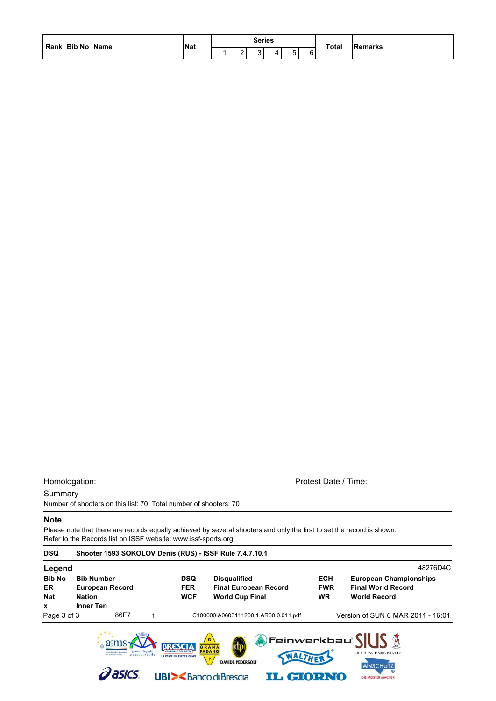|  | Rank Bib No Name |  | Nat      |        | <b>Series</b> |  |  | <b>Total</b> | <b>IRemarks</b> |
|--|------------------|--|----------|--------|---------------|--|--|--------------|-----------------|
|  |                  |  | <u>.</u> | -<br>ີ |               |  |  |              |                 |

# **Summary**

Number of shooters on this list: 70; Total number of shooters: 70

## **Note**

Please note that there are records equally achieved by several shooters and only the first to set the record is shown. Refer to the Records list on ISSF website: www.issf-sports.org

| <b>DSQ</b>                                    | Shooter 1593 SOKOLOV Denis (RUS) - ISSF Rule 7.4.7.10.1                          |                                                                                             |                                                                                             |                                       |                                                                                   |
|-----------------------------------------------|----------------------------------------------------------------------------------|---------------------------------------------------------------------------------------------|---------------------------------------------------------------------------------------------|---------------------------------------|-----------------------------------------------------------------------------------|
| Legend                                        |                                                                                  |                                                                                             |                                                                                             |                                       | 48276D4C                                                                          |
| <b>Bib No</b><br><b>ER</b><br><b>Nat</b><br>x | <b>Bib Number</b><br><b>European Record</b><br><b>Nation</b><br><b>Inner Ten</b> | <b>DSQ</b><br><b>FER</b><br><b>WCF</b>                                                      | <b>Disqualified</b><br><b>Final European Record</b><br><b>World Cup Final</b>               | <b>ECH</b><br><b>FWR</b><br><b>WR</b> | <b>European Championships</b><br><b>Final World Record</b><br><b>World Record</b> |
| Page 3 of 3                                   | 86F7                                                                             |                                                                                             | C100000IA0603111200.1.AR60.0.011.pdf                                                        |                                       | Version of SUN 6 MAR 2011 - 16:01                                                 |
|                                               | e responsabile                                                                   | <b>LA PARTE PIÙ FRESCA DI NOI</b><br><b>UBI&gt;<bancodibrescia< b=""></bancodibrescia<></b> | G<br>GRANA<br><b>PADANO</b><br>WALTHER<br>P.<br><b>DAVIDE PEDERSOLI</b><br><b>IL GIORNO</b> |                                       | OFFICIAL ISSE RESULTS PROVIDER<br><b>ANSCHUTZ</b><br>DIE MEISTER MACHER           |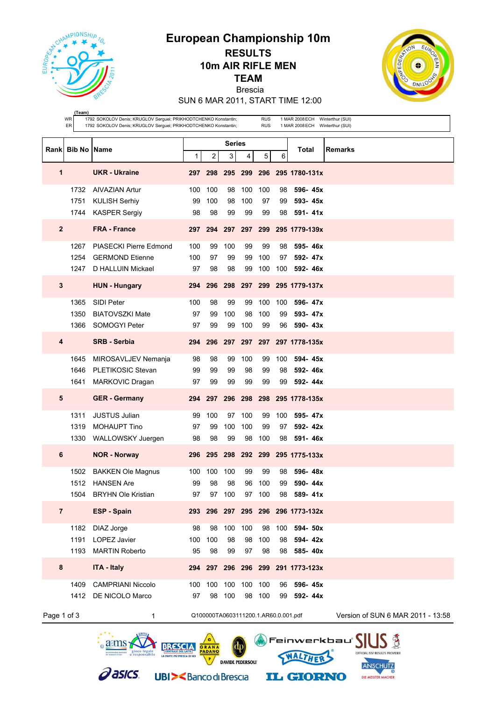**European Championship 10m**

**RESULTS 10m AIR RIFLE MEN**

**TEAM**

Brescia

**PERCIAL ISSE RESULTS PROVIDER** 

ANSCHUTZ

DIE MEISTER MACHER

SUN 6 MAR 2011, START TIME 12:00

|                | (Team)<br>WR<br>1792 SOKOLOV Denis; KRUGLOV Serguei; PRIKHODTCHENKO Konstantin;<br>ER<br>1792 SOKOLOV Denis; KRUGLOV Serguei; PRIKHODTCHENKO Konstantin; |                                            |              |           |              |           |                                      |          | 1 MAR 2008 ECH Winterthur (SUI)<br>1 MAR 2008 ECH Winterthur (SUI) |                                                                                     |
|----------------|----------------------------------------------------------------------------------------------------------------------------------------------------------|--------------------------------------------|--------------|-----------|--------------|-----------|--------------------------------------|----------|--------------------------------------------------------------------|-------------------------------------------------------------------------------------|
|                |                                                                                                                                                          |                                            |              |           | Series       |           |                                      |          |                                                                    |                                                                                     |
|                | Rank Bib No Name                                                                                                                                         |                                            | $\mathbf{1}$ | 2         | 3            | 4         | 5                                    | 6        | Total                                                              | <b>Remarks</b>                                                                      |
| 1              |                                                                                                                                                          | <b>UKR - Ukraine</b>                       |              |           |              |           |                                      |          | 297 298 295 299 296 295 1780-131x                                  |                                                                                     |
|                | 1732                                                                                                                                                     | <b>AIVAZIAN Artur</b>                      | 100          | 100       | 98           | 100       | 100                                  | 98       | 596-45x                                                            |                                                                                     |
|                | 1751                                                                                                                                                     | <b>KULISH Serhiy</b>                       | 99           | 100       | 98           | 100       | 97                                   | 99       | 593-45x                                                            |                                                                                     |
|                | 1744                                                                                                                                                     | <b>KASPER Sergiy</b>                       | 98           | 98        | 99           | 99        | 99                                   | 98       | $591 - 41x$                                                        |                                                                                     |
| $\mathbf{2}$   |                                                                                                                                                          | <b>FRA - France</b>                        |              |           |              |           | 297 294 297 297 299                  |          | 295 1779-139x                                                      |                                                                                     |
|                | 1267                                                                                                                                                     | PIASECKI Pierre Edmond                     | 100          | 99        | 100          | 99        | 99                                   | 98       | 595-46x                                                            |                                                                                     |
|                | 1254                                                                                                                                                     | <b>GERMOND Etienne</b>                     | 100          | 97        | 99           | 99        | 100                                  | 97       | 592-47x                                                            |                                                                                     |
|                | 1247                                                                                                                                                     | D HALLUIN Mickael                          | 97           | 98        | 98           | 99        | 100                                  | 100      | 592-46x                                                            |                                                                                     |
| 3              |                                                                                                                                                          | <b>HUN - Hungary</b>                       |              |           |              |           |                                      |          | 294 296 298 297 299 295 1779-137x                                  |                                                                                     |
|                | 1365                                                                                                                                                     | SIDI Peter                                 | 100          | 98        | 99           | 99        | 100                                  | 100      | 596-47x                                                            |                                                                                     |
|                | 1350<br>1366                                                                                                                                             | <b>BIATOVSZKI Mate</b>                     | 97           | 99        | 100          | 98        | 100                                  | 99       | 593-47x                                                            |                                                                                     |
|                |                                                                                                                                                          | SOMOGYI Peter                              | 97           | 99        | 99           | 100       | 99                                   | 96       | 590-43x                                                            |                                                                                     |
| 4              |                                                                                                                                                          | <b>SRB - Serbia</b>                        |              |           |              |           |                                      |          | 294 296 297 297 297 297 1778-135x                                  |                                                                                     |
|                | 1645                                                                                                                                                     | MIROSAVLJEV Nemanja                        | 98           | 98        | 99           | 100       | 99                                   | 100      | 594-45x                                                            |                                                                                     |
|                | 1646                                                                                                                                                     | <b>PLETIKOSIC Stevan</b>                   | 99           | 99        | 99<br>99     | 98<br>99  | 99<br>99                             | 98<br>99 | 592-46x<br>592-44x                                                 |                                                                                     |
|                | 1641                                                                                                                                                     | MARKOVIC Dragan                            | 97           | 99        |              |           |                                      |          |                                                                    |                                                                                     |
| 5              |                                                                                                                                                          | <b>GER</b> - Germany                       |              |           |              |           |                                      |          | 294 297 296 298 298 295 1778-135x                                  |                                                                                     |
|                | 1311                                                                                                                                                     | <b>JUSTUS Julian</b>                       | 99           | 100       | 97           | 100       | 99                                   | 100      | 595-47x                                                            |                                                                                     |
|                | 1319<br>1330                                                                                                                                             | <b>MOHAUPT Tino</b><br>WALLOWSKY Juergen   | 97<br>98     | 99<br>98  | 100<br>99    | 100<br>98 | 99<br>100                            | 97<br>98 | 592-42x<br>591-46x                                                 |                                                                                     |
|                |                                                                                                                                                          |                                            |              |           |              |           |                                      |          |                                                                    |                                                                                     |
| 6              |                                                                                                                                                          | <b>NOR - Norway</b>                        |              |           |              |           |                                      |          | 296 295 298 292 299 295 1775-133x                                  |                                                                                     |
|                | 1502                                                                                                                                                     | <b>BAKKEN Ole Magnus</b>                   | 100          | 100       | 100          | 99        | 99                                   | 98       | 596-48x                                                            |                                                                                     |
|                |                                                                                                                                                          | 1512 HANSEN Are<br>1504 BRYHN Ole Kristian | 99<br>97     | 98        | 98<br>97 100 | 96        | 100<br>97 100                        | 99       | 590-44x<br>$98$ 589-41x                                            |                                                                                     |
| $\overline{7}$ |                                                                                                                                                          |                                            |              |           |              |           |                                      |          |                                                                    |                                                                                     |
|                |                                                                                                                                                          | <b>ESP - Spain</b>                         |              |           |              |           |                                      |          | 293 296 297 295 296 296 1773-132x                                  |                                                                                     |
|                | 1182                                                                                                                                                     | DIAZ Jorge                                 | 98           | 98        | 100          | 100       | 98                                   | 100      | 594- 50x                                                           |                                                                                     |
|                | 1191<br>1193                                                                                                                                             | LOPEZ Javier<br><b>MARTIN Roberto</b>      | 100<br>95    | 100<br>98 | 98<br>99     | 98<br>97  | 100<br>98                            | 98<br>98 | 594-42x<br>585-40x                                                 |                                                                                     |
| 8              |                                                                                                                                                          | <b>ITA - Italy</b>                         |              |           |              |           |                                      |          | 294 297 296 296 299 291 1773-123x                                  |                                                                                     |
|                | 1409                                                                                                                                                     | <b>CAMPRIANI Niccolo</b>                   | 100          | 100       | 100          | 100       | 100                                  | 96       | 596-45x                                                            |                                                                                     |
|                |                                                                                                                                                          | 1412 DE NICOLO Marco                       | 97           | 98        | 100          | 98        | 100                                  | 99       | 592-44x                                                            |                                                                                     |
| Page 1 of 3    |                                                                                                                                                          | 1                                          |              |           |              |           | Q100000TA0603111200.1.AR60.0.001.pdf |          |                                                                    | Version of SUN 6 MAR 2011 - 13:58                                                   |
|                |                                                                                                                                                          | $a$ aams<br><b>RRESCIA</b>                 |              |           |              |           |                                      |          |                                                                    | $\clubsuit$ Feinwerkbau' $\,\mathsf{S}\mathsf{l}\mathsf{U}\mathsf{S}\ \mathfrak{F}$ |



**Pasics** 

**UBI><BancodiBrescia** 

**DAVIDE PEDERSOLI** 

**IL GIORNO**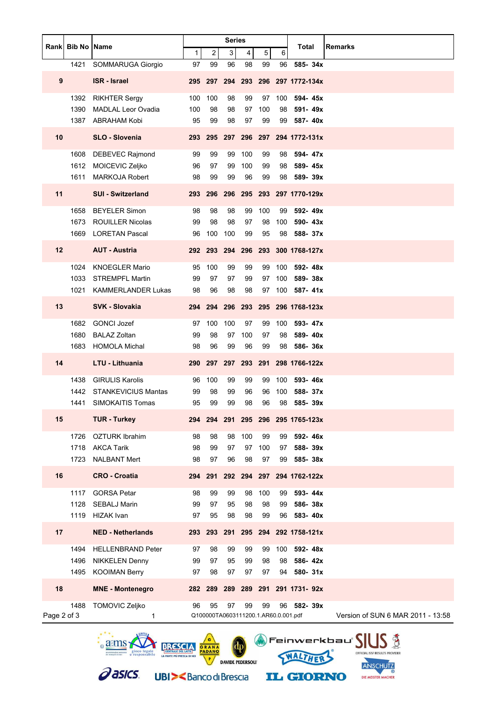|             | Rank   Bib No   Name |                            | <b>Series</b> |                                            | Total | <b>Remarks</b> |     |        |                                   |                                   |
|-------------|----------------------|----------------------------|---------------|--------------------------------------------|-------|----------------|-----|--------|-----------------------------------|-----------------------------------|
|             |                      |                            | $\mathbf{1}$  | 2                                          | 3     | 4              | 5   | 6      |                                   |                                   |
|             | 1421                 | SOMMARUGA Giorgio          | 97            | 99                                         | 96    | 98             | 99  | 96     | 585-34x                           |                                   |
| 9           |                      | <b>ISR</b> - Israel        |               | 295 297                                    |       |                |     |        | 294 293 296 297 1772-134x         |                                   |
|             | 1392                 | <b>RIKHTER Sergy</b>       | 100           | 100                                        | 98    | 99             | 97  | 100    | 594-45x                           |                                   |
|             | 1390                 | <b>MADLAL Leor Ovadia</b>  | 100           | 98                                         | 98    | 97             | 100 | 98     | 591-49x                           |                                   |
|             |                      | 1387 ABRAHAM Kobi          | 95            | 99                                         | 98    | 97             | 99  | 99     | 587-40x                           |                                   |
| 10          |                      | SLO - Slovenia             |               |                                            |       |                |     |        | 293 295 297 296 297 294 1772-131x |                                   |
|             | 1608                 | DEBEVEC Rajmond            | 99            | 99                                         | 99    | 100            | 99  | 98     | 594-47x                           |                                   |
|             |                      | 1612 MOICEVIC Zeljko       | 96            | 97                                         | 99    | 100            | 99  | 98     | 589-45x                           |                                   |
|             | 1611                 | <b>MARKOJA Robert</b>      | 98            | 99                                         | 99    | 96             | 99  | 98     | 589-39x                           |                                   |
| 11          |                      | <b>SUI - Switzerland</b>   |               |                                            |       |                |     |        | 293 296 296 295 293 297 1770-129x |                                   |
|             | 1658                 | <b>BEYELER Simon</b>       | 98            | 98                                         | 98    | 99             | 100 | 99     | 592-49x                           |                                   |
|             | 1673                 | <b>ROUILLER Nicolas</b>    | 99            | 98                                         | 98    | 97             | 98  | 100    | 590-43x                           |                                   |
|             | 1669                 | <b>LORETAN Pascal</b>      | 96            | 100                                        | 100   | 99             | 95  | 98     | 588-37x                           |                                   |
| $12 \,$     |                      | <b>AUT - Austria</b>       |               |                                            |       |                |     |        | 292 293 294 296 293 300 1768-127x |                                   |
|             | 1024                 | <b>KNOEGLER Mario</b>      | 95            | 100                                        | 99    | 99             | 99  | 100    | 592-48x                           |                                   |
|             | 1033                 | <b>STREMPFL Martin</b>     | 99            | 97                                         | 97    | 99             | 97  | 100    | 589-38x                           |                                   |
|             | 1021                 | <b>KAMMERLANDER Lukas</b>  | 98            | 96                                         | 98    | 98             |     | 97 100 | 587-41x                           |                                   |
| 13          |                      | SVK - Slovakia             |               |                                            |       |                |     |        | 294 294 296 293 295 296 1768-123x |                                   |
|             | 1682                 | <b>GONCI Jozef</b>         | 97            | 100                                        | 100   | 97             | 99  | 100    | 593-47x                           |                                   |
|             | 1680                 | <b>BALAZ Zoltan</b>        | 99            | 98                                         | 97    | 100            | 97  | 98     | 589-40x                           |                                   |
|             | 1683                 | <b>HOMOLA Michal</b>       | 98            | 96                                         | 99    | 96             | 99  | 98     | 586-36x                           |                                   |
| 14          |                      | LTU - Lithuania            |               |                                            |       |                |     |        | 290 297 297 293 291 298 1766-122x |                                   |
|             | 1438                 | <b>GIRULIS Karolis</b>     | 96            | 100                                        | 99    | 99             | 99  | 100    | 593-46x                           |                                   |
|             |                      | 1442 STANKEVICIUS Mantas   | 99            | 98                                         | 99    | 96             | 96  | 100    | 588-37x                           |                                   |
|             | 1441                 | SIMOKAITIS Tomas           | 95            | 99                                         | 99    | 98             | 96  | 98     | 585-39x                           |                                   |
| 15          |                      | <b>TUR - Turkey</b>        |               |                                            |       |                |     |        | 294 294 291 295 296 295 1765-123x |                                   |
|             | 1726                 | OZTURK Ibrahim             | 98            | 98                                         | 98    | 100            | 99  | 99     | 592-46x                           |                                   |
|             | 1718                 | <b>AKCA Tarik</b>          | 98            | 99                                         | 97    | 97             | 100 | 97     | 588-39x                           |                                   |
|             | 1723                 | <b>NALBANT Mert</b>        | 98            | 97                                         | 96    | 98             | 97  | 99     | 585-38x                           |                                   |
| 16          |                      | <b>CRO - Croatia</b>       |               |                                            |       |                |     |        | 294 291 292 294 297 294 1762-122x |                                   |
|             | 1117                 | <b>GORSA Petar</b>         | 98            | 99                                         | 99    | 98             | 100 | 99     | 593-44x                           |                                   |
|             | 1128                 | <b>SEBALJ Marin</b>        | 99            | 97                                         | 95    | 98             | 98  | 99     | 586-38x                           |                                   |
|             | 1119                 | <b>HIZAK Ivan</b>          | 97            | 95                                         | 98    | 98             | 99  | 96     | 583-40x                           |                                   |
| 17          |                      | <b>NED - Netherlands</b>   |               |                                            |       |                |     |        | 293 293 291 295 294 292 1758-121x |                                   |
|             | 1494                 | <b>HELLENBRAND Peter</b>   | 97            | 98                                         | 99    | 99             | 99  | 100    | 592-48x                           |                                   |
|             | 1496                 | NIKKELEN Denny             | 99            | 97                                         | 95    | 99             | 98  | 98     | 586-42x                           |                                   |
|             | 1495                 | <b>KOOIMAN Berry</b>       | 97            | 98                                         | 97    | 97             | 97  | 94     | 580-31x                           |                                   |
| 18          |                      | <b>MNE - Montenegro</b>    |               | 282 289                                    |       |                |     |        | 289 289 291 291 1731- 92x         |                                   |
| Page 2 of 3 | 1488                 | <b>TOMOVIC Zeljko</b><br>1 | 96            | 95<br>Q100000TA0603111200.1.AR60.0.001.pdf | 97    | 99             | 99  | 96     | 582-39x                           | Version of SUN 6 MAR 2011 - 13:58 |

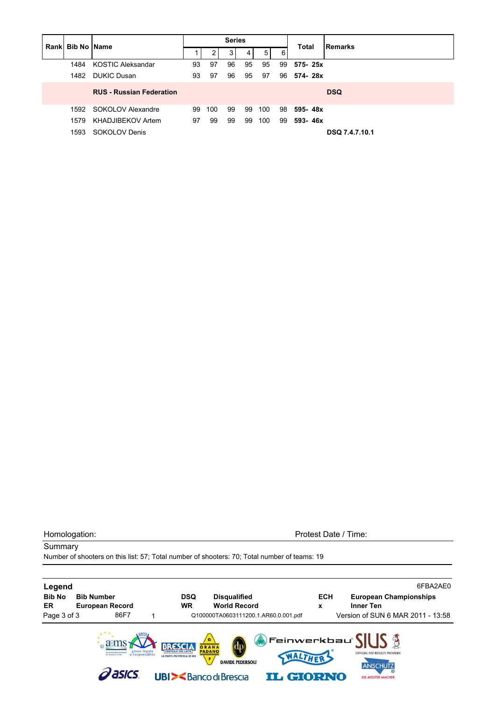|      | <b>Rankl Bib No IName</b>       |    |     | <b>Series</b> |    |     |    |         | Remarks        |
|------|---------------------------------|----|-----|---------------|----|-----|----|---------|----------------|
|      |                                 |    |     | 3             | 4  | 5   | 6  | Total   |                |
| 1484 | <b>KOSTIC Aleksandar</b>        | 93 | 97  | 96            | 95 | 95  | 99 | 575-25x |                |
| 1482 | DUKIC Dusan                     | 93 | 97  | 96            | 95 | 97  | 96 | 574-28x |                |
|      | <b>RUS - Russian Federation</b> |    |     |               |    |     |    |         | <b>DSQ</b>     |
| 1592 | SOKOLOV Alexandre               | 99 | 100 | 99            | 99 | 100 | 98 | 595-48x |                |
| 1579 | KHADJIBEKOV Artem               | 97 | 99  | 99            | 99 | 100 | 99 | 593-46x |                |
| 1593 | SOKOLOV Denis                   |    |     |               |    |     |    |         | DSQ 7.4.7.10.1 |

**Summary** 

Homologation: Protest Date / Time:

**Legend** 6FBA2AE0 **Bib No Bib Number DSQ Disqualified ECH European Championships ER European Record WR World Record x Inner Ten** Page 3 of 3 86F7 1 Q100000TA0603111200.1.AR60.0.001.pdf Version of SUN 6 MAR 2011 - 13:58 kbau einwer  $a$ ams **RESCIA DEFICIAL ISSE RESULTS PROVIDER DAVIDE PEDERSOLI ANSCHUTZ** *Pasics* **UBI><BancodiBrescia IL GIORNO** DIE MEISTER MACHER

Number of shooters on this list: 57; Total number of shooters: 70; Total number of teams: 19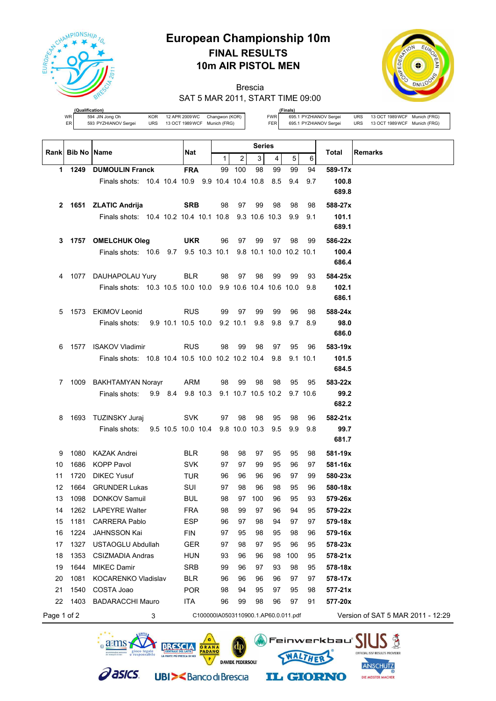

# **European Championship 10m FINAL RESULTS 10m AIR PISTOL MEN**

Brescia



SAT 5 MAR 2011, START TIME 09:00

|    | (Qualification)      |            |                              |                |
|----|----------------------|------------|------------------------------|----------------|
| WR | 594 JIN Jong Oh      | KOR        | 12 APR 2009 WC               | Changwon (KOR) |
| ER | 593 PYZHIANOV Sergei | <b>URS</b> | 13 OCT 1989 WCF Munich (FRG) |                |

**(Finals)** FWR 695.1 PYZHIANOV Sergei URS 13 OCT 1989WCF Munich (FRG) FER 695.1 PYZHIANOV Sergei URS 13 OCT 1989 WCF Munich (FRG)

| Rank Bib No Name<br><b>Remarks</b><br>$\overline{a}$<br>3<br>6<br>5<br>1<br>4<br><b>DUMOULIN Franck</b><br><b>FRA</b><br>99 100<br>98<br>99<br>99<br>94<br>1 1249<br>589-17x<br>Finals shots: 10.4 10.4 10.9 9.9 10.4 10.4 10.8<br>100.8<br>8.5<br>9.4<br>9.7<br>689.8<br>2 1651 ZLATIC Andrija<br><b>SRB</b><br>98<br>97<br>99<br>98<br>98<br>98<br>588-27x<br>101.1<br>Finals shots: 10.4 10.2 10.4 10.1 10.8 9.3 10.6 10.3<br>9.9<br>9.1<br>689.1<br>99<br>586-22x<br>1757 OMELCHUK Oleg<br><b>UKR</b><br>96<br>97<br>97<br>98<br>99<br>3<br>100.4<br>Finals shots: 10.6 9.7 9.5 10.3 10.1 9.8 10.1 10.0 10.2 10.1<br>686.4<br>4 1077 DAUHAPOLAU Yury<br>BLR<br>98<br>97<br>98<br>99<br>99<br>93<br>584-25x<br>Finals shots: 10.3 10.5 10.0 10.0 9.9 10.6 10.4 10.6 10.0<br>102.1<br>9.8<br>686.1<br><b>RUS</b><br>588-24x<br>1573 EKIMOV Leonid<br>99<br>97<br>99<br>99<br>96<br>98<br>5<br>$9.2$ 10.1<br>9.8<br>98.0<br>Finals shots: 9.9 10.1 10.5 10.0<br>9.8<br>9.7<br>8.9<br>686.0<br><b>RUS</b><br>1577 ISAKOV Vladimir<br>98<br>- 99<br>98<br>97<br>95<br>96<br>583-19x<br>6<br>101.5<br>Finals shots: 10.8 10.4 10.5 10.0 10.2 10.2 10.4 9.8 9.1 10.1<br>684.5<br>1009 BAKHTAMYAN Norayr<br>ARM<br>98<br>99<br>98<br>98<br>95<br>95<br>583-22x<br>7<br>Finals shots: 9.9 8.4 9.8 10.3 9.1 10.7 10.5 10.2 9.7 10.6<br>99.2<br>682.2<br><b>SVK</b><br>1693 TUZINSKY Juraj<br>97<br>98<br>98<br>95<br>98<br>96<br>$582 - 21x$<br>8<br>Finals shots: 9.5 10.5 10.0 10.4<br>9.8 10.0 10.3<br>9.5<br>99.7<br>9.9<br>9.8<br>681.7<br>1080<br><b>KAZAK Andrei</b><br><b>BLR</b><br>98<br>95<br>581-19x<br>98<br>97<br>95<br>98<br>9<br>1686<br><b>KOPP Pavol</b><br><b>SVK</b><br>95<br>97<br>97<br>99<br>96<br>581-16x<br>10<br>97<br><b>TUR</b><br>1720<br><b>DIKEC Yusuf</b><br>96<br>96<br>580-23x<br>11<br>96<br>96<br>97<br>99<br>1664<br><b>GRUNDER Lukas</b><br>SUI<br>97<br>98<br>96<br>98<br>95<br>96<br>580-18x<br>12<br>1098<br>DONKOV Samuil<br>BUL.<br>98<br>97<br>100<br>96<br>95<br>93<br>13<br>579-26x<br>1262 LAPEYRE Walter<br>97<br>96<br>94<br>95<br>FRA<br>98<br>99<br>579-22x<br>14<br><b>CARRERA Pablo</b><br>579-18x<br>1181<br><b>ESP</b><br>96<br>97<br>98<br>94<br>97<br>97<br>15<br>1224<br>JAHNSSON Kai<br><b>FIN</b><br>579-16x<br>16<br>97<br>95<br>95<br>98<br>96<br>98<br>1327<br>USTAOGLU Abdullah<br><b>GER</b><br>95<br>97<br>98<br>97<br>96<br>95<br>578-23x<br>17<br>1353<br>18<br><b>CSIZMADIA Andras</b><br><b>HUN</b><br>93<br>96<br>98<br>100<br>578-21x<br>96<br>95<br>1644<br>19<br><b>MIKEC Damir</b><br>SRB<br>96<br>93<br>98<br>578-18x<br>99<br>97<br>95<br>1081<br>KOCARENKO Vladislav<br><b>BLR</b><br>96<br>578-17x<br>20<br>96<br>96<br>96<br>97<br>97<br>1540<br>COSTA Joao<br><b>POR</b><br>21<br>98<br>94<br>95<br>97<br>95<br>98<br>$577 - 21x$<br>22<br>1403<br><b>BADARACCHI Mauro</b><br><b>ITA</b><br>96<br>99<br>98<br>96<br>97<br>91<br>577-20x<br>Page 1 of 2<br>C100000IA0503110900.1.AP60.0.011.pdf<br>Version of SAT 5 MAR 2011 - 12:29<br>3 |  |     |  | <b>Series</b> |  |       |  |
|---------------------------------------------------------------------------------------------------------------------------------------------------------------------------------------------------------------------------------------------------------------------------------------------------------------------------------------------------------------------------------------------------------------------------------------------------------------------------------------------------------------------------------------------------------------------------------------------------------------------------------------------------------------------------------------------------------------------------------------------------------------------------------------------------------------------------------------------------------------------------------------------------------------------------------------------------------------------------------------------------------------------------------------------------------------------------------------------------------------------------------------------------------------------------------------------------------------------------------------------------------------------------------------------------------------------------------------------------------------------------------------------------------------------------------------------------------------------------------------------------------------------------------------------------------------------------------------------------------------------------------------------------------------------------------------------------------------------------------------------------------------------------------------------------------------------------------------------------------------------------------------------------------------------------------------------------------------------------------------------------------------------------------------------------------------------------------------------------------------------------------------------------------------------------------------------------------------------------------------------------------------------------------------------------------------------------------------------------------------------------------------------------------------------------------------------------------------------------------------------------------------------------------------------------------------------------------------------------------------------------------------------------------------------------------------------------------------------------------------------------------------------------------------------------------------------------------------------------------------------------------------------------------------------------------------------------------------------------------------------------------------------|--|-----|--|---------------|--|-------|--|
|                                                                                                                                                                                                                                                                                                                                                                                                                                                                                                                                                                                                                                                                                                                                                                                                                                                                                                                                                                                                                                                                                                                                                                                                                                                                                                                                                                                                                                                                                                                                                                                                                                                                                                                                                                                                                                                                                                                                                                                                                                                                                                                                                                                                                                                                                                                                                                                                                                                                                                                                                                                                                                                                                                                                                                                                                                                                                                                                                                                                                     |  | Nat |  |               |  | Total |  |
|                                                                                                                                                                                                                                                                                                                                                                                                                                                                                                                                                                                                                                                                                                                                                                                                                                                                                                                                                                                                                                                                                                                                                                                                                                                                                                                                                                                                                                                                                                                                                                                                                                                                                                                                                                                                                                                                                                                                                                                                                                                                                                                                                                                                                                                                                                                                                                                                                                                                                                                                                                                                                                                                                                                                                                                                                                                                                                                                                                                                                     |  |     |  |               |  |       |  |
|                                                                                                                                                                                                                                                                                                                                                                                                                                                                                                                                                                                                                                                                                                                                                                                                                                                                                                                                                                                                                                                                                                                                                                                                                                                                                                                                                                                                                                                                                                                                                                                                                                                                                                                                                                                                                                                                                                                                                                                                                                                                                                                                                                                                                                                                                                                                                                                                                                                                                                                                                                                                                                                                                                                                                                                                                                                                                                                                                                                                                     |  |     |  |               |  |       |  |
|                                                                                                                                                                                                                                                                                                                                                                                                                                                                                                                                                                                                                                                                                                                                                                                                                                                                                                                                                                                                                                                                                                                                                                                                                                                                                                                                                                                                                                                                                                                                                                                                                                                                                                                                                                                                                                                                                                                                                                                                                                                                                                                                                                                                                                                                                                                                                                                                                                                                                                                                                                                                                                                                                                                                                                                                                                                                                                                                                                                                                     |  |     |  |               |  |       |  |
|                                                                                                                                                                                                                                                                                                                                                                                                                                                                                                                                                                                                                                                                                                                                                                                                                                                                                                                                                                                                                                                                                                                                                                                                                                                                                                                                                                                                                                                                                                                                                                                                                                                                                                                                                                                                                                                                                                                                                                                                                                                                                                                                                                                                                                                                                                                                                                                                                                                                                                                                                                                                                                                                                                                                                                                                                                                                                                                                                                                                                     |  |     |  |               |  |       |  |
|                                                                                                                                                                                                                                                                                                                                                                                                                                                                                                                                                                                                                                                                                                                                                                                                                                                                                                                                                                                                                                                                                                                                                                                                                                                                                                                                                                                                                                                                                                                                                                                                                                                                                                                                                                                                                                                                                                                                                                                                                                                                                                                                                                                                                                                                                                                                                                                                                                                                                                                                                                                                                                                                                                                                                                                                                                                                                                                                                                                                                     |  |     |  |               |  |       |  |
|                                                                                                                                                                                                                                                                                                                                                                                                                                                                                                                                                                                                                                                                                                                                                                                                                                                                                                                                                                                                                                                                                                                                                                                                                                                                                                                                                                                                                                                                                                                                                                                                                                                                                                                                                                                                                                                                                                                                                                                                                                                                                                                                                                                                                                                                                                                                                                                                                                                                                                                                                                                                                                                                                                                                                                                                                                                                                                                                                                                                                     |  |     |  |               |  |       |  |
|                                                                                                                                                                                                                                                                                                                                                                                                                                                                                                                                                                                                                                                                                                                                                                                                                                                                                                                                                                                                                                                                                                                                                                                                                                                                                                                                                                                                                                                                                                                                                                                                                                                                                                                                                                                                                                                                                                                                                                                                                                                                                                                                                                                                                                                                                                                                                                                                                                                                                                                                                                                                                                                                                                                                                                                                                                                                                                                                                                                                                     |  |     |  |               |  |       |  |
|                                                                                                                                                                                                                                                                                                                                                                                                                                                                                                                                                                                                                                                                                                                                                                                                                                                                                                                                                                                                                                                                                                                                                                                                                                                                                                                                                                                                                                                                                                                                                                                                                                                                                                                                                                                                                                                                                                                                                                                                                                                                                                                                                                                                                                                                                                                                                                                                                                                                                                                                                                                                                                                                                                                                                                                                                                                                                                                                                                                                                     |  |     |  |               |  |       |  |
|                                                                                                                                                                                                                                                                                                                                                                                                                                                                                                                                                                                                                                                                                                                                                                                                                                                                                                                                                                                                                                                                                                                                                                                                                                                                                                                                                                                                                                                                                                                                                                                                                                                                                                                                                                                                                                                                                                                                                                                                                                                                                                                                                                                                                                                                                                                                                                                                                                                                                                                                                                                                                                                                                                                                                                                                                                                                                                                                                                                                                     |  |     |  |               |  |       |  |
|                                                                                                                                                                                                                                                                                                                                                                                                                                                                                                                                                                                                                                                                                                                                                                                                                                                                                                                                                                                                                                                                                                                                                                                                                                                                                                                                                                                                                                                                                                                                                                                                                                                                                                                                                                                                                                                                                                                                                                                                                                                                                                                                                                                                                                                                                                                                                                                                                                                                                                                                                                                                                                                                                                                                                                                                                                                                                                                                                                                                                     |  |     |  |               |  |       |  |
|                                                                                                                                                                                                                                                                                                                                                                                                                                                                                                                                                                                                                                                                                                                                                                                                                                                                                                                                                                                                                                                                                                                                                                                                                                                                                                                                                                                                                                                                                                                                                                                                                                                                                                                                                                                                                                                                                                                                                                                                                                                                                                                                                                                                                                                                                                                                                                                                                                                                                                                                                                                                                                                                                                                                                                                                                                                                                                                                                                                                                     |  |     |  |               |  |       |  |
|                                                                                                                                                                                                                                                                                                                                                                                                                                                                                                                                                                                                                                                                                                                                                                                                                                                                                                                                                                                                                                                                                                                                                                                                                                                                                                                                                                                                                                                                                                                                                                                                                                                                                                                                                                                                                                                                                                                                                                                                                                                                                                                                                                                                                                                                                                                                                                                                                                                                                                                                                                                                                                                                                                                                                                                                                                                                                                                                                                                                                     |  |     |  |               |  |       |  |
|                                                                                                                                                                                                                                                                                                                                                                                                                                                                                                                                                                                                                                                                                                                                                                                                                                                                                                                                                                                                                                                                                                                                                                                                                                                                                                                                                                                                                                                                                                                                                                                                                                                                                                                                                                                                                                                                                                                                                                                                                                                                                                                                                                                                                                                                                                                                                                                                                                                                                                                                                                                                                                                                                                                                                                                                                                                                                                                                                                                                                     |  |     |  |               |  |       |  |
|                                                                                                                                                                                                                                                                                                                                                                                                                                                                                                                                                                                                                                                                                                                                                                                                                                                                                                                                                                                                                                                                                                                                                                                                                                                                                                                                                                                                                                                                                                                                                                                                                                                                                                                                                                                                                                                                                                                                                                                                                                                                                                                                                                                                                                                                                                                                                                                                                                                                                                                                                                                                                                                                                                                                                                                                                                                                                                                                                                                                                     |  |     |  |               |  |       |  |
|                                                                                                                                                                                                                                                                                                                                                                                                                                                                                                                                                                                                                                                                                                                                                                                                                                                                                                                                                                                                                                                                                                                                                                                                                                                                                                                                                                                                                                                                                                                                                                                                                                                                                                                                                                                                                                                                                                                                                                                                                                                                                                                                                                                                                                                                                                                                                                                                                                                                                                                                                                                                                                                                                                                                                                                                                                                                                                                                                                                                                     |  |     |  |               |  |       |  |
|                                                                                                                                                                                                                                                                                                                                                                                                                                                                                                                                                                                                                                                                                                                                                                                                                                                                                                                                                                                                                                                                                                                                                                                                                                                                                                                                                                                                                                                                                                                                                                                                                                                                                                                                                                                                                                                                                                                                                                                                                                                                                                                                                                                                                                                                                                                                                                                                                                                                                                                                                                                                                                                                                                                                                                                                                                                                                                                                                                                                                     |  |     |  |               |  |       |  |
|                                                                                                                                                                                                                                                                                                                                                                                                                                                                                                                                                                                                                                                                                                                                                                                                                                                                                                                                                                                                                                                                                                                                                                                                                                                                                                                                                                                                                                                                                                                                                                                                                                                                                                                                                                                                                                                                                                                                                                                                                                                                                                                                                                                                                                                                                                                                                                                                                                                                                                                                                                                                                                                                                                                                                                                                                                                                                                                                                                                                                     |  |     |  |               |  |       |  |
|                                                                                                                                                                                                                                                                                                                                                                                                                                                                                                                                                                                                                                                                                                                                                                                                                                                                                                                                                                                                                                                                                                                                                                                                                                                                                                                                                                                                                                                                                                                                                                                                                                                                                                                                                                                                                                                                                                                                                                                                                                                                                                                                                                                                                                                                                                                                                                                                                                                                                                                                                                                                                                                                                                                                                                                                                                                                                                                                                                                                                     |  |     |  |               |  |       |  |
|                                                                                                                                                                                                                                                                                                                                                                                                                                                                                                                                                                                                                                                                                                                                                                                                                                                                                                                                                                                                                                                                                                                                                                                                                                                                                                                                                                                                                                                                                                                                                                                                                                                                                                                                                                                                                                                                                                                                                                                                                                                                                                                                                                                                                                                                                                                                                                                                                                                                                                                                                                                                                                                                                                                                                                                                                                                                                                                                                                                                                     |  |     |  |               |  |       |  |
|                                                                                                                                                                                                                                                                                                                                                                                                                                                                                                                                                                                                                                                                                                                                                                                                                                                                                                                                                                                                                                                                                                                                                                                                                                                                                                                                                                                                                                                                                                                                                                                                                                                                                                                                                                                                                                                                                                                                                                                                                                                                                                                                                                                                                                                                                                                                                                                                                                                                                                                                                                                                                                                                                                                                                                                                                                                                                                                                                                                                                     |  |     |  |               |  |       |  |
|                                                                                                                                                                                                                                                                                                                                                                                                                                                                                                                                                                                                                                                                                                                                                                                                                                                                                                                                                                                                                                                                                                                                                                                                                                                                                                                                                                                                                                                                                                                                                                                                                                                                                                                                                                                                                                                                                                                                                                                                                                                                                                                                                                                                                                                                                                                                                                                                                                                                                                                                                                                                                                                                                                                                                                                                                                                                                                                                                                                                                     |  |     |  |               |  |       |  |
|                                                                                                                                                                                                                                                                                                                                                                                                                                                                                                                                                                                                                                                                                                                                                                                                                                                                                                                                                                                                                                                                                                                                                                                                                                                                                                                                                                                                                                                                                                                                                                                                                                                                                                                                                                                                                                                                                                                                                                                                                                                                                                                                                                                                                                                                                                                                                                                                                                                                                                                                                                                                                                                                                                                                                                                                                                                                                                                                                                                                                     |  |     |  |               |  |       |  |
|                                                                                                                                                                                                                                                                                                                                                                                                                                                                                                                                                                                                                                                                                                                                                                                                                                                                                                                                                                                                                                                                                                                                                                                                                                                                                                                                                                                                                                                                                                                                                                                                                                                                                                                                                                                                                                                                                                                                                                                                                                                                                                                                                                                                                                                                                                                                                                                                                                                                                                                                                                                                                                                                                                                                                                                                                                                                                                                                                                                                                     |  |     |  |               |  |       |  |
|                                                                                                                                                                                                                                                                                                                                                                                                                                                                                                                                                                                                                                                                                                                                                                                                                                                                                                                                                                                                                                                                                                                                                                                                                                                                                                                                                                                                                                                                                                                                                                                                                                                                                                                                                                                                                                                                                                                                                                                                                                                                                                                                                                                                                                                                                                                                                                                                                                                                                                                                                                                                                                                                                                                                                                                                                                                                                                                                                                                                                     |  |     |  |               |  |       |  |
|                                                                                                                                                                                                                                                                                                                                                                                                                                                                                                                                                                                                                                                                                                                                                                                                                                                                                                                                                                                                                                                                                                                                                                                                                                                                                                                                                                                                                                                                                                                                                                                                                                                                                                                                                                                                                                                                                                                                                                                                                                                                                                                                                                                                                                                                                                                                                                                                                                                                                                                                                                                                                                                                                                                                                                                                                                                                                                                                                                                                                     |  |     |  |               |  |       |  |
|                                                                                                                                                                                                                                                                                                                                                                                                                                                                                                                                                                                                                                                                                                                                                                                                                                                                                                                                                                                                                                                                                                                                                                                                                                                                                                                                                                                                                                                                                                                                                                                                                                                                                                                                                                                                                                                                                                                                                                                                                                                                                                                                                                                                                                                                                                                                                                                                                                                                                                                                                                                                                                                                                                                                                                                                                                                                                                                                                                                                                     |  |     |  |               |  |       |  |
|                                                                                                                                                                                                                                                                                                                                                                                                                                                                                                                                                                                                                                                                                                                                                                                                                                                                                                                                                                                                                                                                                                                                                                                                                                                                                                                                                                                                                                                                                                                                                                                                                                                                                                                                                                                                                                                                                                                                                                                                                                                                                                                                                                                                                                                                                                                                                                                                                                                                                                                                                                                                                                                                                                                                                                                                                                                                                                                                                                                                                     |  |     |  |               |  |       |  |
|                                                                                                                                                                                                                                                                                                                                                                                                                                                                                                                                                                                                                                                                                                                                                                                                                                                                                                                                                                                                                                                                                                                                                                                                                                                                                                                                                                                                                                                                                                                                                                                                                                                                                                                                                                                                                                                                                                                                                                                                                                                                                                                                                                                                                                                                                                                                                                                                                                                                                                                                                                                                                                                                                                                                                                                                                                                                                                                                                                                                                     |  |     |  |               |  |       |  |
|                                                                                                                                                                                                                                                                                                                                                                                                                                                                                                                                                                                                                                                                                                                                                                                                                                                                                                                                                                                                                                                                                                                                                                                                                                                                                                                                                                                                                                                                                                                                                                                                                                                                                                                                                                                                                                                                                                                                                                                                                                                                                                                                                                                                                                                                                                                                                                                                                                                                                                                                                                                                                                                                                                                                                                                                                                                                                                                                                                                                                     |  |     |  |               |  |       |  |
|                                                                                                                                                                                                                                                                                                                                                                                                                                                                                                                                                                                                                                                                                                                                                                                                                                                                                                                                                                                                                                                                                                                                                                                                                                                                                                                                                                                                                                                                                                                                                                                                                                                                                                                                                                                                                                                                                                                                                                                                                                                                                                                                                                                                                                                                                                                                                                                                                                                                                                                                                                                                                                                                                                                                                                                                                                                                                                                                                                                                                     |  |     |  |               |  |       |  |
|                                                                                                                                                                                                                                                                                                                                                                                                                                                                                                                                                                                                                                                                                                                                                                                                                                                                                                                                                                                                                                                                                                                                                                                                                                                                                                                                                                                                                                                                                                                                                                                                                                                                                                                                                                                                                                                                                                                                                                                                                                                                                                                                                                                                                                                                                                                                                                                                                                                                                                                                                                                                                                                                                                                                                                                                                                                                                                                                                                                                                     |  |     |  |               |  |       |  |
|                                                                                                                                                                                                                                                                                                                                                                                                                                                                                                                                                                                                                                                                                                                                                                                                                                                                                                                                                                                                                                                                                                                                                                                                                                                                                                                                                                                                                                                                                                                                                                                                                                                                                                                                                                                                                                                                                                                                                                                                                                                                                                                                                                                                                                                                                                                                                                                                                                                                                                                                                                                                                                                                                                                                                                                                                                                                                                                                                                                                                     |  |     |  |               |  |       |  |
|                                                                                                                                                                                                                                                                                                                                                                                                                                                                                                                                                                                                                                                                                                                                                                                                                                                                                                                                                                                                                                                                                                                                                                                                                                                                                                                                                                                                                                                                                                                                                                                                                                                                                                                                                                                                                                                                                                                                                                                                                                                                                                                                                                                                                                                                                                                                                                                                                                                                                                                                                                                                                                                                                                                                                                                                                                                                                                                                                                                                                     |  |     |  |               |  |       |  |
|                                                                                                                                                                                                                                                                                                                                                                                                                                                                                                                                                                                                                                                                                                                                                                                                                                                                                                                                                                                                                                                                                                                                                                                                                                                                                                                                                                                                                                                                                                                                                                                                                                                                                                                                                                                                                                                                                                                                                                                                                                                                                                                                                                                                                                                                                                                                                                                                                                                                                                                                                                                                                                                                                                                                                                                                                                                                                                                                                                                                                     |  |     |  |               |  |       |  |
|                                                                                                                                                                                                                                                                                                                                                                                                                                                                                                                                                                                                                                                                                                                                                                                                                                                                                                                                                                                                                                                                                                                                                                                                                                                                                                                                                                                                                                                                                                                                                                                                                                                                                                                                                                                                                                                                                                                                                                                                                                                                                                                                                                                                                                                                                                                                                                                                                                                                                                                                                                                                                                                                                                                                                                                                                                                                                                                                                                                                                     |  |     |  |               |  |       |  |
|                                                                                                                                                                                                                                                                                                                                                                                                                                                                                                                                                                                                                                                                                                                                                                                                                                                                                                                                                                                                                                                                                                                                                                                                                                                                                                                                                                                                                                                                                                                                                                                                                                                                                                                                                                                                                                                                                                                                                                                                                                                                                                                                                                                                                                                                                                                                                                                                                                                                                                                                                                                                                                                                                                                                                                                                                                                                                                                                                                                                                     |  |     |  |               |  |       |  |
|                                                                                                                                                                                                                                                                                                                                                                                                                                                                                                                                                                                                                                                                                                                                                                                                                                                                                                                                                                                                                                                                                                                                                                                                                                                                                                                                                                                                                                                                                                                                                                                                                                                                                                                                                                                                                                                                                                                                                                                                                                                                                                                                                                                                                                                                                                                                                                                                                                                                                                                                                                                                                                                                                                                                                                                                                                                                                                                                                                                                                     |  |     |  |               |  |       |  |
|                                                                                                                                                                                                                                                                                                                                                                                                                                                                                                                                                                                                                                                                                                                                                                                                                                                                                                                                                                                                                                                                                                                                                                                                                                                                                                                                                                                                                                                                                                                                                                                                                                                                                                                                                                                                                                                                                                                                                                                                                                                                                                                                                                                                                                                                                                                                                                                                                                                                                                                                                                                                                                                                                                                                                                                                                                                                                                                                                                                                                     |  |     |  |               |  |       |  |

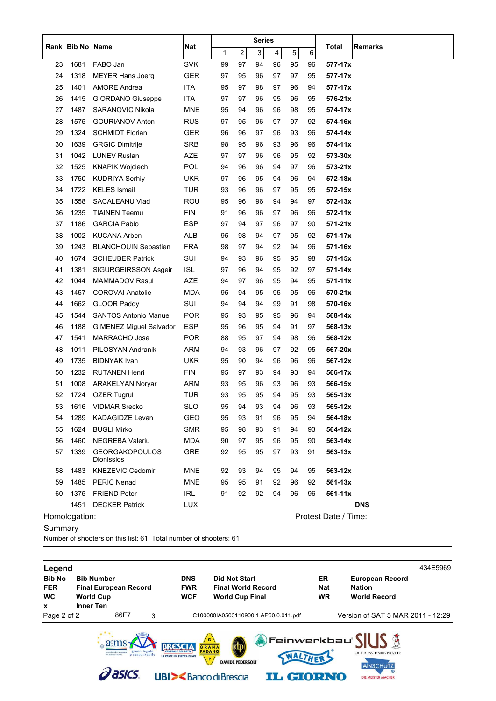|      |                    |                                     |            | <b>Series</b> |    |    |    |    |    |                                |
|------|--------------------|-------------------------------------|------------|---------------|----|----|----|----|----|--------------------------------|
| Rank | <b>Bib No Name</b> |                                     | Nat        | 1             | 2  | 3  | 4  | 5  | 6  | <b>Total</b><br><b>Remarks</b> |
| 23   | 1681               | FABO Jan                            | <b>SVK</b> | 99            | 97 | 94 | 96 | 95 | 96 | 577-17x                        |
| 24   | 1318               | <b>MEYER Hans Joerg</b>             | <b>GER</b> | 97            | 95 | 96 | 97 | 97 | 95 | 577-17x                        |
| 25   | 1401               | <b>AMORE Andrea</b>                 | <b>ITA</b> | 95            | 97 | 98 | 97 | 96 | 94 | 577-17x                        |
| 26   | 1415               | <b>GIORDANO Giuseppe</b>            | <b>ITA</b> | 97            | 97 | 96 | 95 | 96 | 95 | 576-21x                        |
| 27   | 1487               | SARANOVIC Nikola                    | <b>MNE</b> | 95            | 94 | 96 | 96 | 98 | 95 | 574-17x                        |
| 28   | 1575               | <b>GOURIANOV Anton</b>              | <b>RUS</b> | 97            | 95 | 96 | 97 | 97 | 92 | 574-16x                        |
| 29   | 1324               | <b>SCHMIDT Florian</b>              | <b>GER</b> | 96            | 96 | 97 | 96 | 93 | 96 | 574-14x                        |
| 30   | 1639               | <b>GRGIC Dimitrije</b>              | <b>SRB</b> | 98            | 95 | 96 | 93 | 96 | 96 | 574-11x                        |
| 31   | 1042               | <b>LUNEV Ruslan</b>                 | <b>AZE</b> | 97            | 97 | 96 | 96 | 95 | 92 | 573-30x                        |
| 32   | 1525               | <b>KNAPIK Wojciech</b>              | POL        | 94            | 96 | 96 | 94 | 97 | 96 | 573-21x                        |
| 33   | 1750               | <b>KUDRIYA Serhiy</b>               | <b>UKR</b> | 97            | 96 | 95 | 94 | 96 | 94 | 572-18x                        |
| 34   | 1722               | <b>KELES Ismail</b>                 | <b>TUR</b> | 93            | 96 | 96 | 97 | 95 | 95 | 572-15x                        |
| 35   | 1558               | SACALEANU Vlad                      | <b>ROU</b> | 95            | 96 | 96 | 94 | 94 | 97 | $572 - 13x$                    |
| 36   | 1235               | <b>TIAINEN Teemu</b>                | <b>FIN</b> | 91            | 96 | 96 | 97 | 96 | 96 | $572 - 11x$                    |
| 37   | 1186               | <b>GARCIA Pablo</b>                 | <b>ESP</b> | 97            | 94 | 97 | 96 | 97 | 90 | 571-21x                        |
| 38   | 1002               | <b>KUCANA Arben</b>                 | <b>ALB</b> | 95            | 98 | 94 | 97 | 95 | 92 | 571-17x                        |
| 39   | 1243               | <b>BLANCHOUIN Sebastien</b>         | <b>FRA</b> | 98            | 97 | 94 | 92 | 94 | 96 | 571-16x                        |
| 40   | 1674               | <b>SCHEUBER Patrick</b>             | SUI        | 94            | 93 | 96 | 95 | 95 | 98 | 571-15x                        |
| 41   | 1381               | SIGURGEIRSSON Asgeir                | <b>ISL</b> | 97            | 96 | 94 | 95 | 92 | 97 | 571-14x                        |
| 42   | 1044               | <b>MAMMADOV Rasul</b>               | <b>AZE</b> | 94            | 97 | 96 | 95 | 94 | 95 | $571 - 11x$                    |
| 43   | 1457               | <b>COROVAI Anatolie</b>             | <b>MDA</b> | 95            | 94 | 95 | 95 | 95 | 96 | 570-21x                        |
| 44   | 1662               | <b>GLOOR Paddy</b>                  | <b>SUI</b> | 94            | 94 | 94 | 99 | 91 | 98 | 570-16x                        |
| 45   | 1544               | <b>SANTOS Antonio Manuel</b>        | <b>POR</b> | 95            | 93 | 95 | 95 | 96 | 94 | 568-14x                        |
| 46   | 1188               | GIMENEZ Miguel Salvador             | ESP        | 95            | 96 | 95 | 94 | 91 | 97 | 568-13x                        |
| 47   | 1541               | <b>MARRACHO Jose</b>                | <b>POR</b> | 88            | 95 | 97 | 94 | 98 | 96 | 568-12x                        |
| 48   | 1011               | PILOSYAN Andranik                   | <b>ARM</b> | 94            | 93 | 96 | 97 | 92 | 95 | 567-20x                        |
| 49   | 1735               | <b>BIDNYAK</b> Ivan                 | <b>UKR</b> | 95            | 90 | 94 | 96 | 96 | 96 | 567-12x                        |
| 50   | 1232               | <b>RUTANEN Henri</b>                | <b>FIN</b> | 95            | 97 | 93 | 94 | 93 | 94 | 566-17x                        |
| 51   | 1008               | <b>ARAKELYAN Noryar</b>             | ARM        | 93            | 95 | 96 | 93 | 96 | 93 | 566-15x                        |
| 52   |                    | 1724 OZER Tugrul                    | <b>TUR</b> | 93            | 95 | 95 | 94 | 95 | 93 | $565 - 13x$                    |
| 53   |                    | 1616 VIDMAR Srecko                  | <b>SLO</b> | 95            | 94 | 93 | 94 | 96 | 93 | 565-12x                        |
| 54   | 1289               | KADAGIDZE Levan                     | GEO        | 95            | 93 | 91 | 96 | 95 | 94 | 564-18x                        |
| 55   | 1624               | <b>BUGLI Mirko</b>                  | <b>SMR</b> | 95            | 98 | 93 | 91 | 94 | 93 | 564-12x                        |
| 56   | 1460               | <b>NEGREBA Valeriu</b>              | <b>MDA</b> | 90            | 97 | 95 | 96 | 95 | 90 | 563-14x                        |
| 57   | 1339               | <b>GEORGAKOPOULOS</b><br>Dionissios | GRE        | 92            | 95 | 95 | 97 | 93 | 91 | 563-13x                        |
| 58   | 1483               | <b>KNEZEVIC Cedomir</b>             | <b>MNE</b> | 92            | 93 | 94 | 95 | 94 | 95 | 563-12x                        |
| 59   | 1485               | <b>PERIC Nenad</b>                  | <b>MNE</b> | 95            | 95 | 91 | 92 | 96 | 92 | $561 - 13x$                    |
| 60   | 1375               | <b>FRIEND Peter</b>                 | <b>IRL</b> | 91            | 92 | 92 | 94 | 96 | 96 | 561-11x                        |
|      | 1451               | <b>DECKER Patrick</b>               | <b>LUX</b> |               |    |    |    |    |    | <b>DNS</b>                     |
|      | Homologation:      |                                     |            |               |    |    |    |    |    | Protest Date / Time:           |

**Summary** 

Number of shooters on this list: 61; Total number of shooters: 61

| Legend<br><b>Bib No</b><br><b>FER</b><br><b>WC</b><br>x | <b>Bib Number</b><br><b>Final European Record</b><br><b>World Cup</b><br><b>Inner Ten</b> | <b>DNS</b><br><b>FWR</b><br><b>WCF</b>                                                    | <b>Did Not Start</b><br><b>Final World Record</b><br><b>World Cup Final</b>                                                                     | ER<br><b>Nat</b><br><b>WR</b> | <b>European Record</b><br><b>Nation</b><br><b>World Record</b>          | 434E5969 |
|---------------------------------------------------------|-------------------------------------------------------------------------------------------|-------------------------------------------------------------------------------------------|-------------------------------------------------------------------------------------------------------------------------------------------------|-------------------------------|-------------------------------------------------------------------------|----------|
| Page 2 of 2                                             | 86F7                                                                                      | 3                                                                                         | C100000IA0503110900.1.AP60.0.011.pdf                                                                                                            |                               | Version of SAT 5 MAR 2011 - 12:29                                       |          |
|                                                         | gioco legale<br>e responsabile<br>asks                                                    | <b>LA PARTE PIÙ FRESCA DI NOI</b><br><b>UBI&gt;<banco b="" brescia<="" di=""></banco></b> | $\langle$ Feinwerkbau $\langle$ $ \hspace{-.02in} \hspace{-.02in} $<br>G<br>GRANA<br><b>PADANO</b><br>P<br><b>DAVIDE PEDERSOLI</b><br>IIL HORNO | WALTHER -                     | OFFICIAL ISSF RESULTS PROVIDER<br><b>ANSCHUTZ</b><br>DIE MEISTER MACHER |          |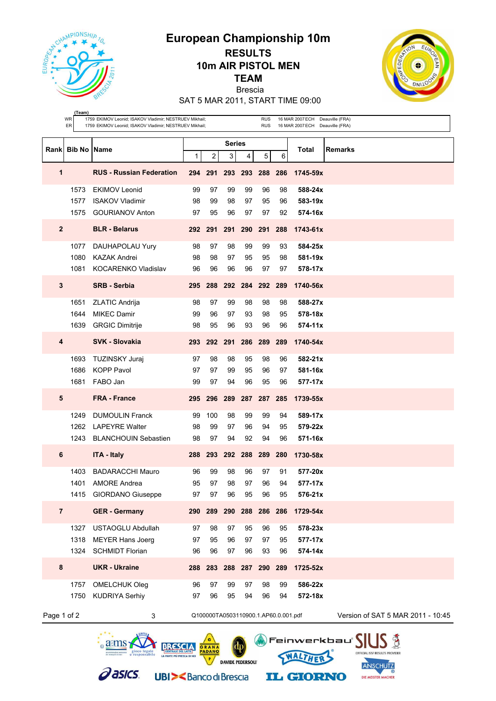

**RESULTS 10m AIR PISTOL MEN**

**TEAM**

Brescia

SAT 5 MAR 2011, START TIME 09:00

|                | (Team)<br>WR<br>1759 EKIMOV Leonid; ISAKOV Vladimir; NESTRUEV Mikhail;<br><b>RUS</b><br>ER<br>1759 EKIMOV Leonid; ISAKOV Vladimir; NESTRUEV Mikhail;<br><b>RUS</b> |                                 |    |       |               | 16 MAR 2007 ECH Deauville (FRA)<br>16 MAR 2007 ECH Deauville (FRA) |                                      |     |             |                                               |
|----------------|--------------------------------------------------------------------------------------------------------------------------------------------------------------------|---------------------------------|----|-------|---------------|--------------------------------------------------------------------|--------------------------------------|-----|-------------|-----------------------------------------------|
|                | Rank Bib No Name                                                                                                                                                   |                                 |    |       | <b>Series</b> |                                                                    |                                      |     | Total       | <b>Remarks</b>                                |
|                |                                                                                                                                                                    |                                 | 1  | 2     | 3             | 4                                                                  | 5                                    | 6   |             |                                               |
| 1              |                                                                                                                                                                    | <b>RUS - Russian Federation</b> |    |       |               |                                                                    | 294 291 293 293 288 286              |     | 1745-59x    |                                               |
|                | 1573                                                                                                                                                               | <b>EKIMOV Leonid</b>            | 99 | 97    | 99            | 99                                                                 | 96                                   | 98  | 588-24x     |                                               |
|                | 1577                                                                                                                                                               | <b>ISAKOV Vladimir</b>          | 98 | 99    | 98            | 97                                                                 | 95                                   | 96  | 583-19x     |                                               |
|                | 1575                                                                                                                                                               | <b>GOURIANOV Anton</b>          | 97 | 95    | 96            | 97                                                                 | 97                                   | 92  | 574-16x     |                                               |
| $\overline{2}$ |                                                                                                                                                                    | <b>BLR - Belarus</b>            |    |       | 292 291 291   |                                                                    | 290 291                              | 288 | 1743-61x    |                                               |
|                | 1077                                                                                                                                                               | DAUHAPOLAU Yury                 | 98 | 97    | 98            | 99                                                                 | 99                                   | 93  | 584-25x     |                                               |
|                | 1080                                                                                                                                                               | <b>KAZAK Andrei</b>             | 98 | 98    | 97            | 95                                                                 | 95                                   | 98  | 581-19x     |                                               |
|                | 1081                                                                                                                                                               | KOCARENKO Vladislav             | 96 | 96    | 96            | 96                                                                 | 97                                   | 97  | 578-17x     |                                               |
| $\mathbf{3}$   |                                                                                                                                                                    | <b>SRB - Serbia</b>             |    |       |               |                                                                    | 295 288 292 284 292 289              |     | 1740-56x    |                                               |
|                | 1651                                                                                                                                                               | <b>ZLATIC Andrija</b>           | 98 | 97    | 99            | 98                                                                 | 98                                   | 98  | 588-27x     |                                               |
|                | 1644                                                                                                                                                               | <b>MIKEC Damir</b>              | 99 | 96    | 97            | 93                                                                 | 98                                   | 95  | 578-18x     |                                               |
|                |                                                                                                                                                                    | 1639 GRGIC Dimitrije            | 98 | 95    | 96            | 93                                                                 | 96                                   | 96  | $574 - 11x$ |                                               |
| 4              |                                                                                                                                                                    | <b>SVK - Slovakia</b>           |    |       | 293 292 291   |                                                                    | 286 289                              | 289 | 1740-54x    |                                               |
|                | 1693                                                                                                                                                               | <b>TUZINSKY Juraj</b>           | 97 | 98    | 98            | 95                                                                 | 98                                   | 96  | 582-21x     |                                               |
|                | 1686                                                                                                                                                               | <b>KOPP Pavol</b>               | 97 | 97    | 99            | 95                                                                 | 96                                   | 97  | 581-16x     |                                               |
|                | 1681                                                                                                                                                               | FABO Jan                        | 99 | 97    | 94            | 96                                                                 | 95                                   | 96  | $577 - 17x$ |                                               |
| $5\phantom{1}$ |                                                                                                                                                                    | <b>FRA - France</b>             |    |       |               |                                                                    | 295 296 289 287 287                  | 285 | 1739-55x    |                                               |
|                | 1249                                                                                                                                                               | <b>DUMOULIN Franck</b>          | 99 | 100   | 98            | 99                                                                 | 99                                   | 94  | 589-17x     |                                               |
|                | 1262                                                                                                                                                               | <b>LAPEYRE Walter</b>           | 98 | 99    | 97            | 96                                                                 | 94                                   | 95  | 579-22x     |                                               |
|                | 1243                                                                                                                                                               | <b>BLANCHOUIN Sebastien</b>     | 98 | 97    | 94            | 92                                                                 | 94                                   | 96  | 571-16x     |                                               |
| 6              |                                                                                                                                                                    | <b>ITA - Italy</b>              |    |       |               |                                                                    | 288 293 292 288 289                  | 280 | 1730-58x    |                                               |
|                | 1403                                                                                                                                                               | <b>BADARACCHI Mauro</b>         | 96 | 99    | 98            | 96                                                                 | 97                                   | 91  | 577-20x     |                                               |
|                |                                                                                                                                                                    | 1401 AMORE Andrea               | 95 | 97    | 98            | 97                                                                 | 96                                   | 94  | 577-17x     |                                               |
|                |                                                                                                                                                                    | 1415 GIORDANO Giuseppe          | 97 | 97    | 96            | 95                                                                 | 96                                   | 95  | 576-21x     |                                               |
| $\overline{7}$ |                                                                                                                                                                    | <b>GER</b> - Germany            |    |       |               |                                                                    | 290 289 290 288 286 286              |     | 1729-54x    |                                               |
|                | 1327                                                                                                                                                               | <b>USTAOGLU Abdullah</b>        | 97 | 98    | 97            | 95                                                                 | 96                                   | 95  | 578-23x     |                                               |
|                | 1318                                                                                                                                                               | <b>MEYER Hans Joerg</b>         | 97 | 95    | 96            | 97                                                                 | 97                                   | 95  | 577-17x     |                                               |
|                | 1324                                                                                                                                                               | <b>SCHMIDT Florian</b>          | 96 | 96    | 97            | 96                                                                 | 93                                   | 96  | 574-14x     |                                               |
| 8              |                                                                                                                                                                    | <b>UKR - Ukraine</b>            |    |       |               |                                                                    | 288 283 288 287 290 289              |     | 1725-52x    |                                               |
|                | 1757                                                                                                                                                               | <b>OMELCHUK Oleg</b>            | 96 | 97    | 99            | 97                                                                 | 98                                   | 99  | 586-22x     |                                               |
|                | 1750                                                                                                                                                               | <b>KUDRIYA Serhiy</b>           | 97 | 96    | 95            | 94                                                                 | 96                                   | 94  | 572-18x     |                                               |
| Page 1 of 2    |                                                                                                                                                                    | 3                               |    |       |               |                                                                    | Q100000TA0503110900.1.AP60.0.001.pdf |     |             | Version of SAT 5 MAR 2011 - 10:45             |
|                |                                                                                                                                                                    |                                 |    | GRANA |               |                                                                    |                                      |     |             | Feinwerkbau<br>OFFICIAL ISSF RESULTS PROVIDER |

**DAVIDE PEDERSOLI** 

NALTHER

**IL GIORNO** 

ANSCHUTZ

DIE MEISTER MACHER

P

**UBI><BancodiBrescia** 

**Pasics** 

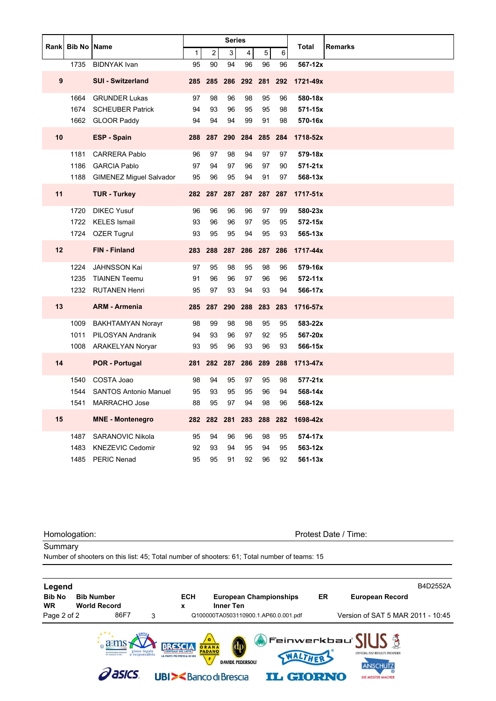|      |               |                                |              |                | <b>Series</b>             |     |             |     |              |                |
|------|---------------|--------------------------------|--------------|----------------|---------------------------|-----|-------------|-----|--------------|----------------|
| Rank | <b>Bib No</b> | <b>Name</b>                    | $\mathbf{1}$ | $\overline{c}$ | $\ensuremath{\mathsf{3}}$ | 4   | 5           | 6   | Total        | <b>Remarks</b> |
|      | 1735          | <b>BIDNYAK</b> Ivan            | 95           | 90             | 94                        | 96  | 96          | 96  | 567-12x      |                |
| 9    |               | <b>SUI - Switzerland</b>       |              | 285 285        |                           |     | 286 292 281 | 292 | 1721-49x     |                |
|      | 1664          | <b>GRUNDER Lukas</b>           | 97           | 98             | 96                        | 98  | 95          | 96  | 580-18x      |                |
|      | 1674          | <b>SCHEUBER Patrick</b>        | 94           | 93             | 96                        | 95  | 95          | 98  | 571-15x      |                |
|      | 1662          | <b>GLOOR Paddy</b>             | 94           | 94             | 94                        | 99  | 91          | 98  | 570-16x      |                |
| 10   |               | <b>ESP - Spain</b>             | 288          | 287            | 290                       | 284 | 285         | 284 | 1718-52x     |                |
|      | 1181          | <b>CARRERA Pablo</b>           | 96           | 97             | 98                        | 94  | 97          | 97  | 579-18x      |                |
|      | 1186          | <b>GARCIA Pablo</b>            | 97           | 94             | 97                        | 96  | 97          | 90  | $571 - 21x$  |                |
|      | 1188          | <b>GIMENEZ Miguel Salvador</b> | 95           | 96             | 95                        | 94  | 91          | 97  | 568-13x      |                |
| 11   |               | <b>TUR - Turkey</b>            | 282          | 287            | 287                       | 287 | 287         | 287 | $1717 - 51x$ |                |
|      | 1720          | <b>DIKEC Yusuf</b>             | 96           | 96             | 96                        | 96  | 97          | 99  | 580-23x      |                |
|      | 1722          | <b>KELES</b> Ismail            | 93           | 96             | 96                        | 97  | 95          | 95  | 572-15x      |                |
|      | 1724          | <b>OZER Tugrul</b>             | 93           | 95             | 95                        | 94  | 95          | 93  | $565 - 13x$  |                |
| 12   |               | <b>FIN - Finland</b>           | 283          | 288            | 287                       | 286 | 287         | 286 | 1717-44x     |                |
|      | 1224          | <b>JAHNSSON Kai</b>            | 97           | 95             | 98                        | 95  | 98          | 96  | 579-16x      |                |
|      | 1235          | <b>TIAINEN Teemu</b>           | 91           | 96             | 96                        | 97  | 96          | 96  | $572 - 11x$  |                |
|      |               | 1232 RUTANEN Henri             | 95           | 97             | 93                        | 94  | 93          | 94  | 566-17x      |                |
| 13   |               | <b>ARM - Armenia</b>           | 285          | 287            | 290                       | 288 | 283         | 283 | 1716-57x     |                |
|      | 1009          | <b>BAKHTAMYAN Norayr</b>       | 98           | 99             | 98                        | 98  | 95          | 95  | 583-22x      |                |
|      | 1011          | PILOSYAN Andranik              | 94           | 93             | 96                        | 97  | 92          | 95  | 567-20x      |                |
|      | 1008          | ARAKELYAN Noryar               | 93           | 95             | 96                        | 93  | 96          | 93  | 566-15x      |                |
| 14   |               | <b>POR - Portugal</b>          | 281          | 282            | 287                       | 286 | 289         | 288 | 1713-47x     |                |
|      | 1540          | COSTA Joao                     | 98           | 94             | 95                        | 97  | 95          | 98  | $577 - 21x$  |                |
|      | 1544          | <b>SANTOS Antonio Manuel</b>   | 95           | 93             | 95                        | 95  | 96          | 94  | 568-14x      |                |
|      | 1541          | <b>MARRACHO Jose</b>           | 88           | 95             | 97                        | 94  | 98          | 96  | 568-12x      |                |
| 15   |               | <b>MNE</b> - Montenegro        |              | 282 282        | 281                       | 283 | 288         | 282 | 1698-42x     |                |
|      | 1487          | SARANOVIC Nikola               | 95           | 94             | 96                        | 96  | 98          | 95  | 574-17x      |                |
|      | 1483          | <b>KNEZEVIC Cedomir</b>        | 92           | 93             | 94                        | 95  | 94          | 95  | 563-12x      |                |
|      | 1485          | <b>PERIC Nenad</b>             | 95           | 95             | 91                        | 92  | 96          | 92  | $561 - 13x$  |                |

**Summary** 

Number of shooters on this list: 45; Total number of shooters: 61; Total number of teams: 15

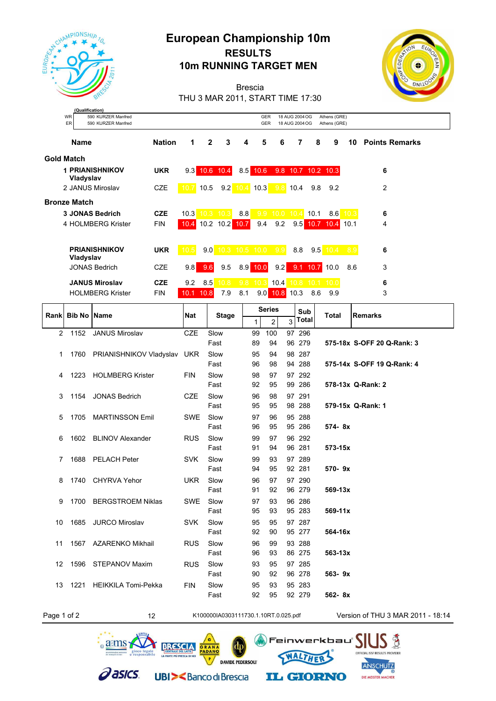

# **European Championship 10m RESULTS 10m RUNNING TARGET MEN**



Brescia THU 3 MAR 2011, START TIME 17:30

|                     | (Qualification)                     |               |      |                |             |      |                             |      |                    |      |                 |      |                       |
|---------------------|-------------------------------------|---------------|------|----------------|-------------|------|-----------------------------|------|--------------------|------|-----------------|------|-----------------------|
| <b>WR</b>           | 590 KURZER Manfred                  |               |      |                |             |      | GER                         |      | 18 AUG 2004 OG     |      | Athens (GRE)    |      |                       |
| ER                  | 590 KURZER Manfred                  |               |      |                |             |      | GER                         |      | 18 AUG 2004 OG     |      | Athens (GRE)    |      |                       |
|                     | <b>Name</b>                         | <b>Nation</b> | 1    | $\overline{2}$ | 3           | 4    | 5                           | 6    | 7                  | 8    | 9               | 10   | <b>Points Remarks</b> |
| <b>Gold Match</b>   |                                     |               |      |                |             |      |                             |      |                    |      |                 |      |                       |
|                     | <b>1 PRIANISHNIKOV</b><br>Vladyslav | <b>UKR</b>    | 9.3  | 10.6 10.4      |             |      | $8.5$ 10.6                  |      | 9.8 10.7 10.2 10.3 |      |                 |      | 6                     |
|                     | 2 JANUS Miroslav                    | <b>CZE</b>    |      |                |             |      | 10.7 10.5 9.2 10.4 10.3 9.8 |      | 10.4               |      | 9.8 9.2         |      | 2                     |
| <b>Bronze Match</b> |                                     |               |      |                |             |      |                             |      |                    |      |                 |      |                       |
|                     | <b>3 JONAS Bedrich</b>              | <b>CZE</b>    | 10.3 |                | $10.3$ 10.3 | 8.8  | 9.9                         | 10.0 | 104                | 10.1 | 8.6             | 10.3 | 6                     |
|                     | 4 HOLMBERG Krister                  | <b>FIN</b>    | 10.4 | 10.2 10.2      |             | 10.7 | 9.4                         | 9.2  | 9.5                |      | 10.7 10.4       | 10.1 | 4                     |
|                     | <b>PRIANISHNIKOV</b><br>Vladyslav   | <b>UKR</b>    | 10.5 |                |             |      | $9.0$ 10.3 10.5 10.0 9.9    |      | 8.8                |      | $9.5$ 10.4      | 8.9  | 6                     |
|                     | <b>JONAS Bedrich</b>                | <b>CZE</b>    | 9.8  | 9.6            | 9.5         |      | $8.9$ 10.0                  | 9.2  |                    |      | $9.1$ 10.7 10.0 | 8.6  | 3                     |
|                     | <b>JANUS Miroslav</b>               | <b>CZE</b>    | 9.2  | 8.5            | 10.8        | 9.8  | 10.3                        | 10.4 | 10.8               | 10.1 | 10.0            |      | 6                     |
|                     | <b>HOLMBERG Krister</b>             | <b>FIN</b>    | 10.1 | 10.8           | 7.9         | 8.1  | 9.0                         | 10.8 | 10.3               | 8.6  | 9.9             |      | 3                     |
|                     |                                     |               |      |                |             |      | $0$ awiaa                   |      |                    |      |                 |      |                       |

| Rank           | <b>Bib No Name</b> |                                  | <b>Nat</b> |                                      |             | <b>Series</b>  |   | Sub          | <b>Total</b> | <b>Remarks</b>                    |
|----------------|--------------------|----------------------------------|------------|--------------------------------------|-------------|----------------|---|--------------|--------------|-----------------------------------|
|                |                    |                                  |            | <b>Stage</b>                         | $\mathbf 1$ | $\overline{2}$ | 3 | <b>Total</b> |              |                                   |
|                | 2 1152             | <b>JANUS Miroslav</b>            | <b>CZE</b> | Slow                                 | 99          | 100            |   | 97 296       |              |                                   |
|                |                    |                                  |            | Fast                                 | 89          | 94             |   | 96 279       |              | 575-18x S-OFF 20 Q-Rank: 3        |
| 1.             |                    | 1760 PRIANISHNIKOV Vladyslav UKR |            | Slow                                 | 95          | 94             |   | 98 287       |              |                                   |
|                |                    |                                  |            | Fast                                 | 96          | 98             |   | 94 288       |              | 575-14x S-OFF 19 Q-Rank: 4        |
| 4              | 1223               | <b>HOLMBERG Krister</b>          | <b>FIN</b> | Slow                                 | 98          | 97             |   | 97 292       |              |                                   |
|                |                    |                                  |            | Fast                                 | 92          | 95             |   | 99 286       |              | 578-13x Q-Rank: 2                 |
| 3              |                    | 1154 JONAS Bedrich               | <b>CZE</b> | Slow                                 | 96          | 98             |   | 97 291       |              |                                   |
|                |                    |                                  |            | Fast                                 | 95          | 95             |   | 98 288       |              | 579-15x Q-Rank: 1                 |
| 5              | 1705               | <b>MARTINSSON Emil</b>           | <b>SWE</b> | Slow                                 | 97          | 96             |   | 95 288       |              |                                   |
|                |                    |                                  |            | Fast                                 | 96          | 95             |   | 95 286       | 574-8x       |                                   |
| 6              |                    | 1602 BLINOV Alexander            | <b>RUS</b> | Slow                                 | 99          | 97             |   | 96 292       |              |                                   |
|                |                    |                                  |            | Fast                                 | 91          | 94             |   | 96 281       | $573 - 15x$  |                                   |
| $\overline{7}$ |                    | 1688 PELACH Peter                | <b>SVK</b> | Slow                                 | 99          | 93             |   | 97 289       |              |                                   |
|                |                    |                                  |            | Fast                                 | 94          | 95             |   | 92 281       | 570-9x       |                                   |
| 8              |                    | 1740 CHYRVA Yehor                | <b>UKR</b> | Slow                                 | 96          | 97             |   | 97 290       |              |                                   |
|                |                    |                                  |            | Fast                                 | 91          | 92             |   | 96 279       | $569 - 13x$  |                                   |
| 9              | 1700               | <b>BERGSTROEM Niklas</b>         | <b>SWE</b> | Slow                                 | 97          | 93             |   | 96 286       |              |                                   |
|                |                    |                                  |            | Fast                                 | 95          | 93             |   | 95 283       | 569-11x      |                                   |
| 10             |                    | 1685 JURCO Miroslav              | <b>SVK</b> | Slow                                 | 95          | 95             |   | 97 287       |              |                                   |
|                |                    |                                  |            | Fast                                 | 92          | 90             |   | 95 277       | 564-16x      |                                   |
| 11             |                    | 1567 AZARENKO Mikhail            | <b>RUS</b> | Slow                                 | 96          | 99             |   | 93 288       |              |                                   |
|                |                    |                                  |            | Fast                                 | 96          | 93             |   | 86 275       | $563 - 13x$  |                                   |
| 12             |                    | 1596 STEPANOV Maxim              | <b>RUS</b> | Slow                                 | 93          | 95             |   | 97 285       |              |                                   |
|                |                    |                                  |            | Fast                                 | 90          | 92             |   | 96 278       | 563-9x       |                                   |
| 13             | 1221               | <b>HEIKKILA Tomi-Pekka</b>       | <b>FIN</b> | Slow                                 | 95          | 93             |   | 95 283       |              |                                   |
|                |                    |                                  |            | Fast                                 | 92          | 95             |   | 92 279       | 562-8x       |                                   |
|                |                    |                                  |            |                                      |             |                |   |              |              |                                   |
| Page 1 of 2    |                    | 12                               |            | K100000IA0303111730.1.10RT.0.025.pdf |             |                |   |              |              | Version of THU 3 MAR 2011 - 18:14 |

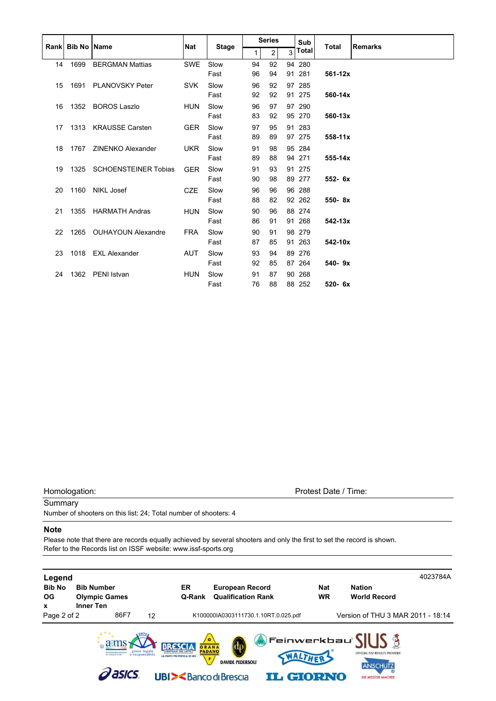|    |                  |                           |            |              |    | <b>Series</b>  |                | Sub          |             |                |
|----|------------------|---------------------------|------------|--------------|----|----------------|----------------|--------------|-------------|----------------|
|    | Rank Bib No Name |                           | Nat        | <b>Stage</b> | 1  | $\overline{2}$ | $\overline{3}$ | <b>Total</b> | Total       | <b>Remarks</b> |
| 14 | 1699             | <b>BERGMAN Mattias</b>    | <b>SWE</b> | Slow         | 94 | 92             |                | 94 280       |             |                |
|    |                  |                           |            | Fast         | 96 | 94             |                | 91 281       | 561-12x     |                |
| 15 | 1691             | <b>PLANOVSKY Peter</b>    | <b>SVK</b> | Slow         | 96 | 92             |                | 97 285       |             |                |
|    |                  |                           |            | Fast         | 92 | 92             |                | 91 275       | 560-14x     |                |
| 16 |                  | 1352 BOROS Laszlo         | <b>HUN</b> | Slow         | 96 | 97             |                | 97 290       |             |                |
|    |                  |                           |            | Fast         | 83 | 92             |                | 95 270       | 560-13x     |                |
| 17 |                  | 1313 KRAUSSE Carsten      | <b>GER</b> | Slow         | 97 | 95             |                | 91 283       |             |                |
|    |                  |                           |            | Fast         | 89 | 89             |                | 97 275       | 558-11x     |                |
| 18 | 1767             | ZINENKO Alexander         | <b>UKR</b> | Slow         | 91 | 98             |                | 95 284       |             |                |
|    |                  |                           |            | Fast         | 89 | 88             |                | 94 271       | 555-14x     |                |
| 19 |                  | 1325 SCHOENSTEINER Tobias | <b>GER</b> | Slow         | 91 | 93             |                | 91 275       |             |                |
|    |                  |                           |            | Fast         | 90 | 98             |                | 89 277       | $552 - 6x$  |                |
| 20 | 1160             | NIKL Josef                | <b>CZE</b> | Slow         | 96 | 96             |                | 96 288       |             |                |
|    |                  |                           |            | Fast         | 88 | 82             |                | 92 262       | 550-8x      |                |
| 21 | 1355             | <b>HARMATH Andras</b>     | <b>HUN</b> | Slow         | 90 | 96             |                | 88 274       |             |                |
|    |                  |                           |            | Fast         | 86 | 91             |                | 91 268       | $542 - 13x$ |                |
| 22 |                  | 1265 OUHAYOUN Alexandre   | <b>FRA</b> | Slow         | 90 | 91             |                | 98 279       |             |                |
|    |                  |                           |            | Fast         | 87 | 85             |                | 91 263       | 542-10x     |                |
| 23 |                  | 1018 EXL Alexander        | <b>AUT</b> | Slow         | 93 | 94             |                | 89 276       |             |                |
|    |                  |                           |            | Fast         | 92 | 85             |                | 87 264       | 540-9x      |                |
| 24 | 1362             | PENI Istvan               | <b>HUN</b> | Slow         | 91 | 87             |                | 90 268       |             |                |
|    |                  |                           |            | Fast         | 76 | 88             |                | 88 252       | $520 - 6x$  |                |

## **Summary**

Number of shooters on this list: 24; Total number of shooters: 4

### **Note**

Please note that there are records equally achieved by several shooters and only the first to set the record is shown. Refer to the Records list on ISSF website: www.issf-sports.org

| Legend<br><b>Bib No</b><br><b>OG</b><br>x | <b>Bib Number</b><br><b>Olympic Games</b><br><b>Inner Ten</b> | ER<br>Q-Rank                                                                                                           | <b>European Record</b><br><b>Qualification Rank</b> | <b>Nat</b><br><b>WR</b>     | 4023784A<br><b>Nation</b><br><b>World Record</b>                                                                                  |
|-------------------------------------------|---------------------------------------------------------------|------------------------------------------------------------------------------------------------------------------------|-----------------------------------------------------|-----------------------------|-----------------------------------------------------------------------------------------------------------------------------------|
| Page 2 of 2                               | 86F7                                                          | 12                                                                                                                     | K100000IA0303111730.1.10RT.0.025.pdf                |                             | Version of THU 3 MAR 2011 - 18:14                                                                                                 |
|                                           | gioco legale<br>e responsabile<br>asics                       | G<br><b>PADANO</b><br><b>LA PARTE PIÙ FRESCA DI NOI</b><br>P<br><b>UBI&gt;<bancodibrescia< b=""></bancodibrescia<></b> | GRANA<br><b>DAVIDE PEDERSOLI</b>                    | WALTHER<br><b>IL GIORNO</b> | Feinwerkbau $\left \left \right \right $<br>OFFICIAL ISSF RESULTS PROVIDER<br><b>ANSCHUTZ</b><br>$^{\circ}$<br>DIE MEISTER MACHER |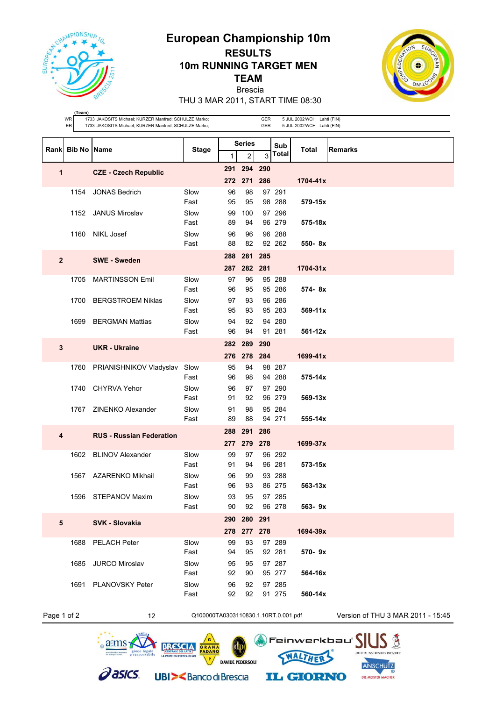



## **RESULTS 10m RUNNING TARGET MEN TEAM**



Brescia THU 3 MAR 2011, START TIME 08:30

|              | (Team)<br>WR<br>ER  | 1733 JAKOSITS Michael; KURZER Manfred; SCHULZE Marko;<br>1733 JAKOSITS Michael; KURZER Manfred; SCHULZE Marko; |                                                                                       |                         |                                 | GER<br>GER |                  | 5 JUL 2002 WCH Lahti (FIN)<br>5 JUL 2002 WCH Lahti (FIN) |                                                                         |
|--------------|---------------------|----------------------------------------------------------------------------------------------------------------|---------------------------------------------------------------------------------------|-------------------------|---------------------------------|------------|------------------|----------------------------------------------------------|-------------------------------------------------------------------------|
| <b>Rank</b>  | <b>Bib No IName</b> |                                                                                                                | Stage                                                                                 | 1                       | <b>Series</b><br>$\overline{2}$ | 3          | Sub<br>Total     | Total                                                    | Remarks                                                                 |
| 1            |                     | <b>CZE - Czech Republic</b>                                                                                    |                                                                                       | 291                     | 294 290                         |            |                  |                                                          |                                                                         |
|              |                     |                                                                                                                |                                                                                       | 272                     | 271                             | 286        |                  | 1704-41x                                                 |                                                                         |
|              | 1154                | <b>JONAS Bedrich</b>                                                                                           | Slow<br>Fast                                                                          | 96<br>95                | 98<br>95                        |            | 97 291<br>98 288 | 579-15x                                                  |                                                                         |
|              | 1152                | <b>JANUS Miroslav</b>                                                                                          | Slow                                                                                  | 99                      | 100                             |            | 97 296           |                                                          |                                                                         |
|              |                     |                                                                                                                | Fast                                                                                  | 89                      | 94                              |            | 96 279           | 575-18x                                                  |                                                                         |
|              | 1160                | <b>NIKL Josef</b>                                                                                              | Slow                                                                                  | 96                      | 96                              |            | 96 288           |                                                          |                                                                         |
|              |                     |                                                                                                                | Fast                                                                                  | 88                      | 82                              |            | 92 262           | 550-8x                                                   |                                                                         |
| $\mathbf{2}$ |                     | <b>SWE - Sweden</b>                                                                                            |                                                                                       | 288                     | 281                             | 285        |                  |                                                          |                                                                         |
|              | 1705                | <b>MARTINSSON Emil</b>                                                                                         | Slow                                                                                  | 287<br>97               | 282<br>96                       | 281        | 95 288           | 1704-31x                                                 |                                                                         |
|              |                     |                                                                                                                | Fast                                                                                  | 96                      | 95                              |            | 95 286           | 574-8x                                                   |                                                                         |
|              | 1700                | <b>BERGSTROEM Niklas</b>                                                                                       | Slow                                                                                  | 97                      | 93                              |            | 96 286           |                                                          |                                                                         |
|              |                     |                                                                                                                | Fast                                                                                  | 95                      | 93                              |            | 95 283           | $569-11x$                                                |                                                                         |
|              | 1699                | <b>BERGMAN Mattias</b>                                                                                         | Slow                                                                                  | 94                      | 92                              |            | 94 280           |                                                          |                                                                         |
|              |                     |                                                                                                                | Fast                                                                                  | 96                      | 94                              |            | 91 281           | 561-12x                                                  |                                                                         |
| 3            |                     | <b>UKR</b> - Ukraine                                                                                           |                                                                                       |                         | 282 289                         | 290        |                  |                                                          |                                                                         |
|              | 1760                | PRIANISHNIKOV Vladyslav                                                                                        | Slow                                                                                  | 95                      | 276 278<br>94                   | 284        | 98 287           | 1699-41x                                                 |                                                                         |
|              |                     |                                                                                                                | Fast                                                                                  | 96                      | 98                              |            | 94 288           | 575-14x                                                  |                                                                         |
|              | 1740                | <b>CHYRVA Yehor</b>                                                                                            | Slow                                                                                  | 96                      | 97                              |            | 97 290           |                                                          |                                                                         |
|              |                     |                                                                                                                | Fast                                                                                  | 91                      | 92                              |            | 96 279           | 569-13x                                                  |                                                                         |
|              |                     | 1767 ZINENKO Alexander                                                                                         | Slow                                                                                  | 91                      | 98                              |            | 95 284           |                                                          |                                                                         |
|              |                     |                                                                                                                | Fast                                                                                  | 89                      | 88                              |            | 94 271           | 555-14x                                                  |                                                                         |
| 4            |                     | <b>RUS - Russian Federation</b>                                                                                |                                                                                       | 288<br>277              | 291<br>279 278                  | 286        |                  | 1699-37x                                                 |                                                                         |
|              | 1602                | <b>BLINOV Alexander</b>                                                                                        | Slow                                                                                  | 99                      | 97                              |            | 96 292           |                                                          |                                                                         |
|              |                     |                                                                                                                | Fast                                                                                  | 91                      | 94                              |            | 96 281           | 573-15x                                                  |                                                                         |
|              |                     | 1567 AZARENKO Mikhail                                                                                          | Slow                                                                                  | 96                      | 99                              |            | 93 288           |                                                          |                                                                         |
|              |                     |                                                                                                                | Fast                                                                                  | 96                      | 93                              |            | 86 275           | 563-13x                                                  |                                                                         |
|              |                     | 1596 STEPANOV Maxim                                                                                            | Slow<br>Fast                                                                          | 93<br>90                | 95<br>92                        |            | 97 285<br>96 278 | 563-9x                                                   |                                                                         |
|              |                     |                                                                                                                |                                                                                       | 290                     | 280                             | 291        |                  |                                                          |                                                                         |
| 5            |                     | <b>SVK - Slovakia</b>                                                                                          |                                                                                       | 278                     | 277                             | 278        |                  | 1694-39x                                                 |                                                                         |
|              | 1688                | <b>PELACH Peter</b>                                                                                            | Slow                                                                                  | 99                      | 93                              |            | 97 289           |                                                          |                                                                         |
|              |                     |                                                                                                                | Fast                                                                                  | 94                      | 95                              |            | 92 281           | 570-9x                                                   |                                                                         |
|              | 1685                | <b>JURCO Miroslav</b>                                                                                          | Slow                                                                                  | 95                      | 95                              |            | 97 287           |                                                          |                                                                         |
|              |                     |                                                                                                                | Fast                                                                                  | 92                      | 90                              |            | 95 277           | 564-16x                                                  |                                                                         |
|              | 1691                | PLANOVSKY Peter                                                                                                | Slow<br>Fast                                                                          | 96<br>92                | 92<br>92                        |            | 97 285<br>91 275 | 560-14x                                                  |                                                                         |
|              |                     |                                                                                                                |                                                                                       |                         |                                 |            |                  |                                                          |                                                                         |
| Page 1 of 2  |                     | 12                                                                                                             | Q100000TA0303110830.1.10RT.0.001.pdf                                                  |                         |                                 |            |                  |                                                          | Version of THU 3 MAR 2011 - 15:45                                       |
|              |                     | gioco legale<br>e responsabile<br>LA PARTE PIÙ FRESCA DI NOI<br><b><i>asics</i></b>                            | GRANA<br><b>PADANO</b><br>P<br><b>UBI&gt;<bancodibrescia< b=""></bancodibrescia<></b> | <b>DAVIDE PEDERSOLI</b> |                                 |            |                  | Feinwerkbau<br><b>IL GIORNO</b>                          | OFFICIAL ISSF RESULTS PROVIDER<br><b>ANSCHUTZ</b><br>DIE MEISTER MACHER |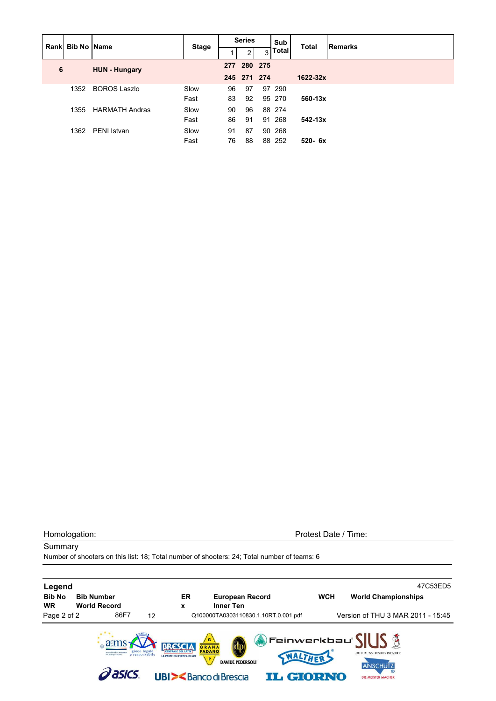|   | Rank Bib No Name |                       |              |    | <b>Series</b> |    | Sub          |              | Remarks |
|---|------------------|-----------------------|--------------|----|---------------|----|--------------|--------------|---------|
|   |                  |                       | <b>Stage</b> |    |               |    | <b>Total</b> | <b>Total</b> |         |
| 6 |                  | <b>HUN - Hungary</b>  |              |    | 277 280 275   |    |              |              |         |
|   |                  |                       |              |    | 245 271 274   |    |              | 1622-32x     |         |
|   | 1352             | <b>BOROS Laszlo</b>   | Slow         | 96 | 97            |    | 97 290       |              |         |
|   |                  |                       | Fast         | 83 | 92            |    | 95 270       | 560-13x      |         |
|   | 1355             | <b>HARMATH Andras</b> | Slow         | 90 | 96            |    | 88 274       |              |         |
|   |                  |                       | Fast         | 86 | 91            | 91 | 268          | $542 - 13x$  |         |
|   | 1362             | PENI Istvan           | Slow         | 91 | 87            |    | 90 268       |              |         |
|   |                  |                       | Fast         | 76 | 88            |    | 88 252       | $520 - 6x$   |         |

**Summary** 

Homologation: Protest Date / Time:

**Legend** 47C53ED5 **Bib No Bib Number ER European Record WCH World Championships WR World Record x Inner Ten** Page 2 of 2 86F7 12 Q100000TA0303110830.1.10RT.0.001.pdf Version of THU 3 MAR 2011 - 15:45 kbau A <u>einwer</u>  $a$ ams **RESCIA RESULTS PROVIDER DAVIDE PEDERSOLI ANSCHUTZ** *Pasics* **UBI><BancodiBrescia IL GIORNO** DIE MEISTER MACHER

Number of shooters on this list: 18; Total number of shooters: 24; Total number of teams: 6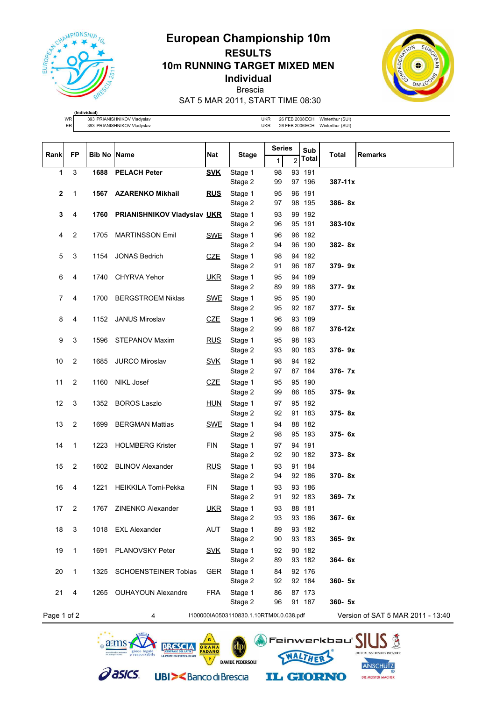

# **European Championship 10m RESULTS 10m RUNNING TARGET MIXED MEN Individual** Brescia



SAT 5 MAR 2011, START TIME 08:30

| WR | 393<br><b>PRIANISHNIKOV Vladyslav</b> | JKP | 26 FEB 2008 ECH | Winterthur (SUI) |
|----|---------------------------------------|-----|-----------------|------------------|
| гn | PRIANISHNIKOV Vladyslav<br>393        | JKF | 26 FEB 2006 FCH | Winterthur (SUI) |
|    |                                       |     |                 |                  |

| <b>Rank</b>    | FP             | <b>Bib No Name</b> |                                    | Nat        | <b>Stage</b>                            | Series |                | Sub    | Total      | <b>Remarks</b>                    |
|----------------|----------------|--------------------|------------------------------------|------------|-----------------------------------------|--------|----------------|--------|------------|-----------------------------------|
|                |                |                    |                                    |            |                                         | 1      | $\overline{2}$ | Total  |            |                                   |
| 1              | 3              | 1688               | <b>PELACH Peter</b>                | <b>SVK</b> | Stage 1                                 | 98     |                | 93 191 |            |                                   |
|                |                |                    |                                    |            | Stage 2                                 | 99     |                | 97 196 | 387-11x    |                                   |
| $\mathbf{2}$   | $\overline{1}$ |                    | 1567 AZARENKO Mikhail              | <b>RUS</b> | Stage 1                                 | 95     |                | 96 191 |            |                                   |
|                |                |                    |                                    |            | Stage 2                                 | 97     |                | 98 195 | 386-8x     |                                   |
| 3              | 4              | 1760               | <b>PRIANISHNIKOV Vladyslav UKR</b> |            | Stage 1                                 | 93     |                | 99 192 |            |                                   |
|                |                |                    |                                    |            | Stage 2                                 | 96     |                | 95 191 | 383-10x    |                                   |
| 4              | $\sqrt{2}$     | 1705               | <b>MARTINSSON Emil</b>             | SWE        | Stage 1                                 | 96     |                | 96 192 |            |                                   |
|                |                |                    |                                    |            | Stage 2                                 | 94     |                | 96 190 | 382-8x     |                                   |
| 5              | 3              | 1154               | <b>JONAS Bedrich</b>               | <b>CZE</b> | Stage 1                                 | 98     |                | 94 192 |            |                                   |
|                |                |                    |                                    |            | Stage 2                                 | 91     |                | 96 187 | 379-9x     |                                   |
| 6              | 4              | 1740               | <b>CHYRVA Yehor</b>                | <b>UKR</b> | Stage 1                                 | 95     |                | 94 189 |            |                                   |
|                |                |                    |                                    |            | Stage 2                                 | 89     |                | 99 188 | 377-9x     |                                   |
| $\overline{7}$ | 4              | 1700               | <b>BERGSTROEM Niklas</b>           | <b>SWE</b> | Stage 1                                 | 95     |                | 95 190 |            |                                   |
|                |                |                    |                                    |            | Stage 2                                 | 95     |                | 92 187 | 377- 5x    |                                   |
| 8              | 4              | 1152               | <b>JANUS Miroslav</b>              | <b>CZE</b> | Stage 1                                 | 96     |                | 93 189 |            |                                   |
|                |                |                    |                                    |            | Stage 2                                 | 99     |                | 88 187 | 376-12x    |                                   |
| 9              | 3              | 1596               | STEPANOV Maxim                     | <b>RUS</b> | Stage 1                                 | 95     |                | 98 193 |            |                                   |
|                |                |                    |                                    |            | Stage 2                                 | 93     |                | 90 183 | 376-9x     |                                   |
| 10             | 2              | 1685               | <b>JURCO Miroslav</b>              | <b>SVK</b> | Stage 1                                 | 98     |                | 94 192 |            |                                   |
|                |                |                    |                                    |            | Stage 2                                 | 97     |                | 87 184 | 376-7x     |                                   |
| 11             | $\overline{2}$ | 1160               | NIKL Josef                         | <b>CZE</b> | Stage 1                                 | 95     |                | 95 190 |            |                                   |
|                |                |                    |                                    |            | Stage 2                                 | 99     |                | 86 185 | 375-9x     |                                   |
| 12             | 3              | 1352               | <b>BOROS Laszlo</b>                | <b>HUN</b> | Stage 1                                 | 97     |                | 95 192 |            |                                   |
|                |                |                    |                                    |            | Stage 2                                 | 92     |                | 91 183 | 375-8x     |                                   |
| 13             | $\overline{c}$ | 1699               | <b>BERGMAN Mattias</b>             | <b>SWE</b> | Stage 1                                 | 94     |                | 88 182 |            |                                   |
|                |                |                    |                                    |            | Stage 2                                 | 98     |                | 95 193 | 375-6x     |                                   |
| 14             | $\mathbf{1}$   | 1223               | <b>HOLMBERG Krister</b>            | <b>FIN</b> | Stage 1                                 | 97     |                | 94 191 |            |                                   |
|                |                |                    |                                    |            | Stage 2                                 | 92     |                | 90 182 | 373-8x     |                                   |
| 15             | $\overline{2}$ | 1602               | <b>BLINOV Alexander</b>            | <b>RUS</b> | Stage 1                                 | 93     |                | 91 184 |            |                                   |
|                |                |                    |                                    |            | Stage 2                                 | 94     |                | 92 186 | 370-8x     |                                   |
| 16             | 4              | 1221               | HEIKKILA Tomi-Pekka                | <b>FIN</b> | Stage 1                                 | 93     |                | 93 186 |            |                                   |
|                |                |                    |                                    |            | Stage 2                                 | 91     |                | 92 183 | 369-7x     |                                   |
| 17             | $\overline{2}$ | 1767               | ZINENKO Alexander                  | <u>UKR</u> | Stage 1                                 | 93     |                | 88 181 |            |                                   |
|                |                |                    |                                    |            | Stage 2                                 | 93     |                | 93 186 | 367- 6x    |                                   |
| 18             | 3              |                    | 1018 EXL Alexander                 | AUT        | Stage 1                                 | 89     |                | 93 182 |            |                                   |
|                |                |                    |                                    |            | Stage 2                                 | 90     |                | 93 183 | $365 - 9x$ |                                   |
| 19             | $\mathbf{1}$   | 1691               | PLANOVSKY Peter                    | <u>SVK</u> | Stage 1                                 | 92     |                | 90 182 |            |                                   |
|                |                |                    |                                    |            | Stage 2                                 | 89     |                | 93 182 | 364-6x     |                                   |
| 20             | $\mathbf{1}$   | 1325               | <b>SCHOENSTEINER Tobias</b>        | <b>GER</b> | Stage 1                                 | 84     |                | 92 176 |            |                                   |
|                |                |                    |                                    |            | Stage 2                                 | 92     |                | 92 184 | 360- 5x    |                                   |
| 21             | 4              | 1265               | <b>OUHAYOUN Alexandre</b>          | <b>FRA</b> | Stage 1                                 | 86     |                | 87 173 |            |                                   |
|                |                |                    |                                    |            | Stage 2                                 | 96     |                | 91 187 | 360- 5x    |                                   |
| Page 1 of 2    |                |                    | 4                                  |            | I100000IA0503110830.1.10RTMIX.0.038.pdf |        |                |        |            | Version of SAT 5 MAR 2011 - 13:40 |

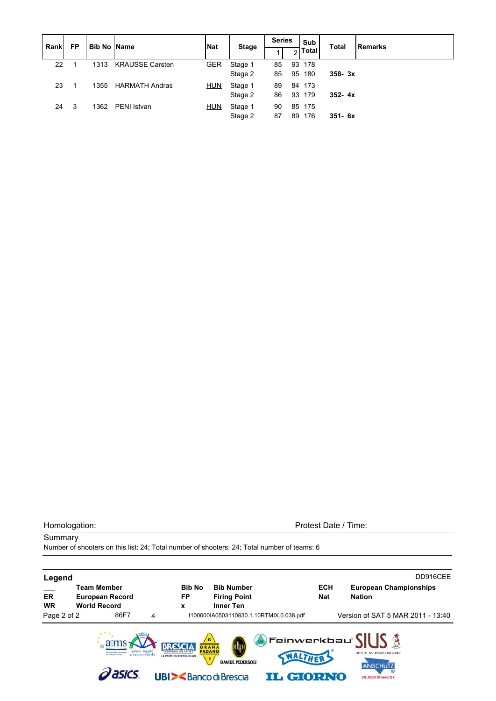| Rank | FP  | <b>Bib No IName</b> |                        | <b>Nat</b><br><b>Stage</b> |         | <b>Series</b> |    | Sub        | <b>Total</b> | Remarks |
|------|-----|---------------------|------------------------|----------------------------|---------|---------------|----|------------|--------------|---------|
|      |     |                     |                        |                            |         |               |    | न्ना Total |              |         |
| 22   |     | 1313                | <b>KRAUSSE Carsten</b> | <b>GER</b>                 | Stage 1 | 85            |    | 93 178     |              |         |
|      |     |                     |                        |                            | Stage 2 | 85            | 95 | 180        | $358 - 3x$   |         |
| 23   |     | 1355                | <b>HARMATH Andras</b>  | <b>HUN</b>                 | Stage 1 | 89            |    | 84 173     |              |         |
|      |     |                     |                        |                            | Stage 2 | 86            | 93 | 179        | $352 - 4x$   |         |
| 24   | - 3 | 1362                | PENI Istvan            | <b>HUN</b>                 | Stage 1 | 90            |    | 85 175     |              |         |
|      |     |                     |                        |                            | Stage 2 | 87            | 89 | 176        | $351 - 6x$   |         |

**Summary** 

Homologation: Protest Date / Time:

Number of shooters on this list: 24; Total number of shooters: 24; Total number of teams: 6

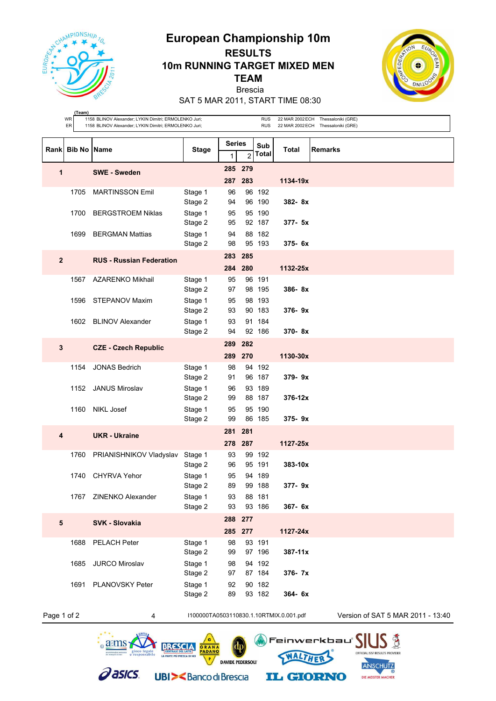

## **European Championship 10m RESULTS 10m RUNNING TARGET MIXED MEN TEAM** Brescia



SAT 5 MAR 2011, START TIME 08:30

| (Team)<br>WR<br>1158 BLINOV Alexander; LYKIN Dimitri; ERMOLENKO Juri;<br><b>RUS</b><br>22 MAR 2002 ECH Thessaloniki (GRE)<br>ER<br>1158 BLINOV Alexander; LYKIN Dimitri; ERMOLENKO Juri;<br><b>RUS</b><br>22 MAR 2002 ECH Thessaloniki (GRE) |                  |                                                           |                                                                                       |                         |                |                     |                                         |                                                                                                             |  |  |  |
|----------------------------------------------------------------------------------------------------------------------------------------------------------------------------------------------------------------------------------------------|------------------|-----------------------------------------------------------|---------------------------------------------------------------------------------------|-------------------------|----------------|---------------------|-----------------------------------------|-------------------------------------------------------------------------------------------------------------|--|--|--|
|                                                                                                                                                                                                                                              | Rank Bib No Name |                                                           | <b>Stage</b>                                                                          | <b>Series</b><br>1      | $\overline{2}$ | Sub<br><b>Total</b> | Total                                   | <b>Remarks</b>                                                                                              |  |  |  |
| 1                                                                                                                                                                                                                                            |                  | <b>SWE</b> - Sweden                                       |                                                                                       | 285 279<br>287 283      |                |                     | 1134-19x                                |                                                                                                             |  |  |  |
|                                                                                                                                                                                                                                              | 1705             | <b>MARTINSSON Emil</b>                                    | Stage 1<br>Stage 2                                                                    | 96<br>94                |                | 96 192<br>96 190    | $382 - 8x$                              |                                                                                                             |  |  |  |
|                                                                                                                                                                                                                                              | 1700             | <b>BERGSTROEM Niklas</b>                                  | Stage 1<br>Stage 2                                                                    | 95<br>95                |                | 95 190<br>92 187    | $377 - 5x$                              |                                                                                                             |  |  |  |
|                                                                                                                                                                                                                                              | 1699             | <b>BERGMAN Mattias</b>                                    | Stage 1<br>Stage 2                                                                    | 94<br>98                |                | 88 182<br>95 193    | $375 - 6x$                              |                                                                                                             |  |  |  |
| $\overline{2}$                                                                                                                                                                                                                               |                  | <b>RUS - Russian Federation</b>                           |                                                                                       | 283<br>284 280          | 285            |                     | 1132-25x                                |                                                                                                             |  |  |  |
|                                                                                                                                                                                                                                              | 1567             | <b>AZARENKO Mikhail</b>                                   | Stage 1<br>Stage 2                                                                    | 95<br>97                |                | 96 191<br>98 195    | $386 - 8x$                              |                                                                                                             |  |  |  |
|                                                                                                                                                                                                                                              |                  | 1596 STEPANOV Maxim                                       | Stage 1<br>Stage 2                                                                    | 95<br>93                |                | 98 193<br>90 183    | $376 - 9x$                              |                                                                                                             |  |  |  |
|                                                                                                                                                                                                                                              | 1602             | <b>BLINOV Alexander</b>                                   | Stage 1<br>Stage 2                                                                    | 93<br>94                |                | 91 184<br>92 186    | 370-8x                                  |                                                                                                             |  |  |  |
| 3                                                                                                                                                                                                                                            |                  | <b>CZE - Czech Republic</b>                               |                                                                                       | 289                     | 282            |                     |                                         |                                                                                                             |  |  |  |
|                                                                                                                                                                                                                                              | 1154             | <b>JONAS Bedrich</b>                                      | Stage 1<br>Stage 2                                                                    | 289 270<br>98<br>91     |                | 94 192<br>96 187    | 1130-30x<br>$379 - 9x$                  |                                                                                                             |  |  |  |
|                                                                                                                                                                                                                                              | 1152             | <b>JANUS Miroslav</b>                                     | Stage 1<br>Stage 2                                                                    | 96<br>99                |                | 93 189<br>88 187    | $376 - 12x$                             |                                                                                                             |  |  |  |
|                                                                                                                                                                                                                                              | 1160             | <b>NIKL Josef</b>                                         | Stage 1<br>Stage 2                                                                    | 95<br>99                |                | 95 190<br>86 185    | $375 - 9x$                              |                                                                                                             |  |  |  |
| $\overline{\mathbf{4}}$                                                                                                                                                                                                                      |                  | <b>UKR - Ukraine</b>                                      |                                                                                       | 281<br>278 287          | 281            |                     | 1127-25x                                |                                                                                                             |  |  |  |
|                                                                                                                                                                                                                                              | 1760             | PRIANISHNIKOV Vladyslav Stage 1                           | Stage 2                                                                               | 93<br>96                |                | 99 192<br>95 191    | 383-10x                                 |                                                                                                             |  |  |  |
|                                                                                                                                                                                                                                              |                  | 1740 CHYRVA Yehor                                         | Stage 1<br>Stage 2                                                                    | 95<br>89                |                | 94 189<br>99 188    | 377-9x                                  |                                                                                                             |  |  |  |
|                                                                                                                                                                                                                                              | 1767             | ZINENKO Alexander                                         | Stage 1<br>Stage 2                                                                    | 93<br>93                |                | 88 181<br>93 186    | 367-6x                                  |                                                                                                             |  |  |  |
| 5                                                                                                                                                                                                                                            |                  | SVK - Slovakia                                            |                                                                                       | 288<br>285 277          | 277            |                     | 1127-24x                                |                                                                                                             |  |  |  |
|                                                                                                                                                                                                                                              | 1688             | <b>PELACH Peter</b>                                       | Stage 1<br>Stage 2                                                                    | 98<br>99                |                | 93 191<br>97 196    | $387 - 11x$                             |                                                                                                             |  |  |  |
|                                                                                                                                                                                                                                              | 1685             | <b>JURCO Miroslav</b>                                     | Stage 1<br>Stage 2                                                                    | 98<br>97                |                | 94 192<br>87 184    | 376-7x                                  |                                                                                                             |  |  |  |
|                                                                                                                                                                                                                                              | 1691             | <b>PLANOVSKY Peter</b>                                    | Stage 1<br>Stage 2                                                                    | 92<br>89                |                | 90 182<br>93 182    | 364-6x                                  |                                                                                                             |  |  |  |
| Page 1 of 2                                                                                                                                                                                                                                  |                  | 4                                                         |                                                                                       |                         |                |                     | I100000TA0503110830.1.10RTMIX.0.001.pdf | Version of SAT 5 MAR 2011 - 13:40                                                                           |  |  |  |
|                                                                                                                                                                                                                                              |                  | gioco legale<br>LA PARTE PIÙ FRESCA DI NO<br><b>asics</b> | GRANA<br><b>PADANO</b><br>P<br><b>UBI&gt;<bancodibrescia< b=""></bancodibrescia<></b> | <b>DAVIDE PEDERSOLI</b> |                |                     |                                         | Feinwerkbau°<br>OFFICIAL ISSE RESULTS PROVIDER<br><b>ANSCHUTZ</b><br><b>IL GIORNO</b><br>DIE MEISTER MACHER |  |  |  |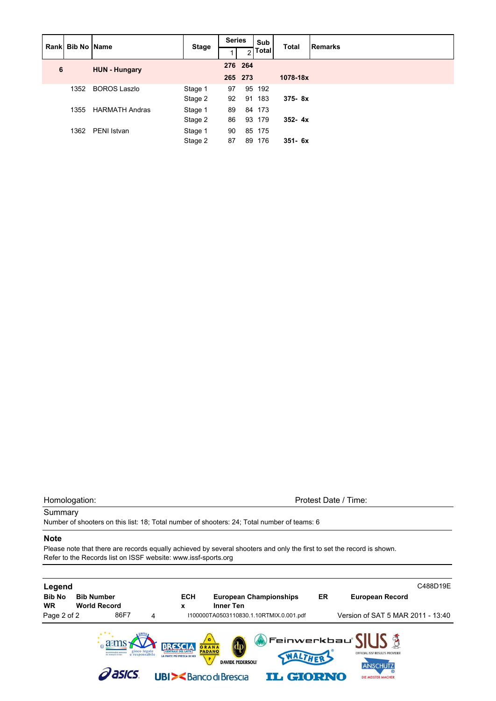|   |                  |                       |                                   | <b>Series</b> |         | Sub    |            |  |
|---|------------------|-----------------------|-----------------------------------|---------------|---------|--------|------------|--|
|   | Rank Bib No Name |                       | <b>Stage</b><br><b>Total</b><br>າ | <b>Total</b>  | Remarks |        |            |  |
| 6 |                  | <b>HUN - Hungary</b>  |                                   |               | 276 264 |        |            |  |
|   |                  |                       |                                   |               | 265 273 |        | 1078-18x   |  |
|   | 1352             | <b>BOROS Laszlo</b>   | Stage 1                           | 97            |         | 95 192 |            |  |
|   |                  |                       | Stage 2                           | 92            |         | 91 183 | $375 - 8x$ |  |
|   | 1355             | <b>HARMATH Andras</b> | Stage 1                           | 89            |         | 84 173 |            |  |
|   |                  |                       | Stage 2                           | 86            |         | 93 179 | $352 - 4x$ |  |
|   | 1362             | PENI Istvan           | Stage 1                           | 90            |         | 85 175 |            |  |
|   |                  |                       | Stage 2                           | 87            |         | 89 176 | $351 - 6x$ |  |

### Summary

Number of shooters on this list: 18; Total number of shooters: 24; Total number of teams: 6

### **Note**

Please note that there are records equally achieved by several shooters and only the first to set the record is shown. Refer to the Records list on ISSF website: www.issf-sports.org

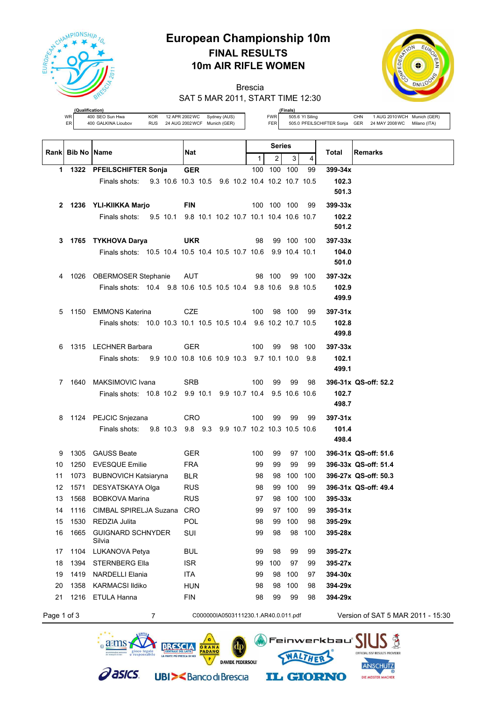

# **European Championship 10m FINAL RESULTS 10m AIR RIFLE WOMEN**

Brescia



SAT 5 MAR 2011, START TIME 12:30

|    | (Qualification)     |            |                              |              |
|----|---------------------|------------|------------------------------|--------------|
| WR | 400 SEO Sun Hwa     | KOR        | 12 APR 2002 WC               | Sydney (AUS) |
| ER | 400 GALKINA Lioubov | <b>RUS</b> | 24 AUG 2002 WCF Munich (GER) |              |

 $a$  aams

**asics** 

**(Finals)** FWR 505.6 YI Siling CHN 1 AUG 2010WCH Munich (GER) FER 505.0 PFEILSCHIFTER Sonja GER 24 MAY 2008WC Milano (ITA)

S 3

**JLTS PROVIDER** 

|             | Rank Bib No Name |                                                                | Nat                                            |           | <b>Series</b>          |              | <b>Remarks</b>                               |
|-------------|------------------|----------------------------------------------------------------|------------------------------------------------|-----------|------------------------|--------------|----------------------------------------------|
|             |                  |                                                                |                                                | 1         | 2 <sup>1</sup><br>3    | 4            | Total                                        |
|             |                  | 1 1322 PFEILSCHIFTER Sonja                                     | <b>GER</b>                                     |           | 100 100 100            | 99           | 399-34x                                      |
|             |                  | Finals shots: 9.3 10.6 10.3 10.5 9.6 10.2 10.4 10.2 10.7 10.5  |                                                |           |                        |              | 102.3<br>501.3                               |
|             |                  |                                                                |                                                |           |                        |              |                                              |
|             |                  | 2 1236 YLI-KIIKKA Marjo                                        | <b>FIN</b>                                     |           | 100 100 100            | 99           | 399-33x                                      |
|             |                  | Finals shots: 9.5 10.1 9.8 10.1 10.2 10.7 10.1 10.4 10.6 10.7  |                                                |           |                        |              | 102.2<br>501.2                               |
| 3           |                  | 1765 TYKHOVA Darya                                             | <b>UKR</b>                                     | 98        | 99 100 100             |              | $397 - 33x$                                  |
|             |                  | Finals shots: 10.5 10.4 10.5 10.4 10.5 10.7 10.6 9.9 10.4 10.1 |                                                |           |                        |              | 104.0                                        |
|             |                  |                                                                |                                                |           |                        |              | 501.0                                        |
| 4           |                  | 1026 OBERMOSER Stephanie                                       | AUT                                            | 98 100    |                        | 99 100       | $397 - 32x$                                  |
|             |                  | Finals shots: 10.4 9.8 10.6 10.5 10.5 10.4 9.8 10.6 9.8 10.5   |                                                |           |                        |              | 102.9                                        |
|             |                  |                                                                |                                                |           |                        |              | 499.9                                        |
| 5           |                  | 1150 EMMONS Katerina                                           | <b>CZE</b>                                     | 100       | 98 100                 | 99           | $397 - 31x$                                  |
|             |                  | Finals shots: 10.0 10.3 10.1 10.5 10.5 10.4 9.6 10.2 10.7 10.5 |                                                |           |                        |              | 102.8                                        |
|             |                  |                                                                |                                                |           |                        |              | 499.8                                        |
| 6           |                  | 1315 LECHNER Barbara                                           | <b>GER</b>                                     | 100       | 99                     | 98 100       | $397 - 33x$                                  |
|             |                  | Finals shots:                                                  | 9.9 10.0 10.8 10.6 10.9 10.3 9.7 10.1 10.0 9.8 |           |                        |              | 102.1                                        |
|             |                  |                                                                |                                                |           |                        |              | 499.1                                        |
| 7           |                  | 1640 MAKSIMOVIC Ivana                                          | <b>SRB</b>                                     | 100       | 99<br>99               | 98           | 396-31x QS-off: 52.2                         |
|             |                  | Finals shots: 10.8 10.2 9.9 10.1 9.9 10.7 10.4                 |                                                |           | 9.5 10.6 10.6          |              | 102.7                                        |
|             |                  |                                                                |                                                |           |                        |              | 498.7                                        |
| 8           |                  | 1124 PEJCIC Snjezana                                           | CRO                                            | 100       | 99<br>99               | 99           | $397 - 31x$                                  |
|             |                  | Finals shots:                                                  | 9.8 10.3 9.8 9.3 9.9 10.7 10.2 10.3 10.5 10.6  |           |                        |              | 101.4<br>498.4                               |
|             |                  |                                                                |                                                |           |                        |              |                                              |
| 9<br>10     | 1305<br>1250     | <b>GAUSS Beate</b><br><b>EVESQUE Emilie</b>                    | GER<br><b>FRA</b>                              | 100<br>99 | 99<br>99<br>99         | 97 100<br>99 | 396-31x QS-off: 51.6<br>396-33x QS-off: 51.4 |
| 11          |                  | 1073 BUBNOVICH Katsiaryna                                      | <b>BLR</b>                                     | 98        | 98<br>100              | 100          | 396-27x QS-off: 50.3                         |
| 12          | 1571             | DESYATSKAYA Olga                                               | <b>RUS</b>                                     | 98        | 99<br>100              | 99           | 396-31x QS-off: 49.4                         |
| 13          | 1568             | BOBKOVA Marina                                                 | <b>RUS</b>                                     | 97        | 100<br>98              | 100          | 395-33x                                      |
| 14          |                  | 1116 CIMBAL SPIRELJA Suzana                                    | <b>CRO</b>                                     | 99        | 97 100                 | 99           | $395 - 31x$                                  |
| 15          | 1530             | REDZIA Julita                                                  | POL                                            | 98        | 100<br>99              | 98           | 395-29x                                      |
| 16          | 1665             | <b>GUIGNARD SCHNYDER</b>                                       | SUI                                            | 99        | 98<br>98               | 100          | 395-28x                                      |
|             |                  | Silvia                                                         |                                                |           |                        |              |                                              |
| 17          | 1104             | LUKANOVA Petya                                                 | <b>BUL</b>                                     | 99        | 98<br>99               | 99           | 395-27x                                      |
| 18          | 1394             | <b>STERNBERG Ella</b>                                          | <b>ISR</b>                                     | 99        | 100<br>97              | 99           | 395-27x                                      |
| 19<br>20    | 1419<br>1358     | <b>NARDELLI Elania</b><br><b>KARMACSI Ildiko</b>               | <b>ITA</b>                                     | 99<br>98  | 98<br>100<br>98<br>100 | 97           | 394-30x<br>394-29x                           |
| 21          | 1216             | ETULA Hanna                                                    | <b>HUN</b><br><b>FIN</b>                       | 98        | 99<br>99               | 98<br>98     | 394-29x                                      |
|             |                  |                                                                |                                                |           |                        |              |                                              |
| Page 1 of 3 |                  | 7                                                              | C000000IA0503111230.1.AR40.0.011.pdf           |           |                        |              | Version of SAT 5 MAR 2011 - 15:30            |

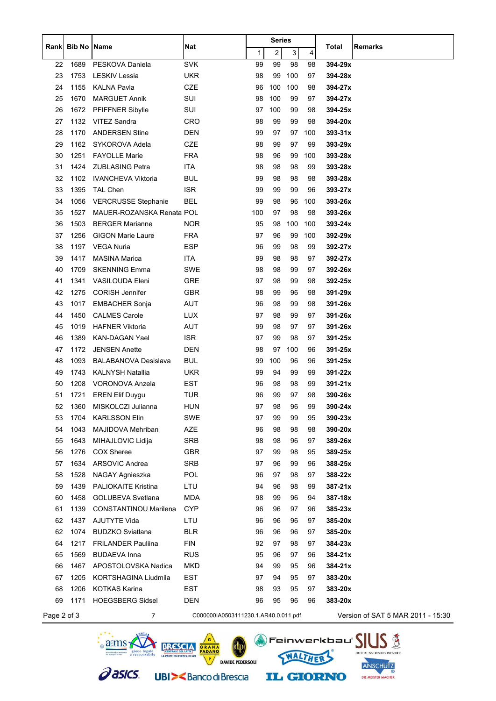|             |                      |                             |                                      |     | <b>Series</b>           |     |     |             |                                   |
|-------------|----------------------|-----------------------------|--------------------------------------|-----|-------------------------|-----|-----|-------------|-----------------------------------|
| Rank        | <b>Bib No   Name</b> |                             | Nat                                  | 1   | $\overline{\mathbf{c}}$ | 3   | 4   | Total       | Remarks                           |
| 22          | 1689                 | PESKOVA Daniela             | <b>SVK</b>                           | 99  | 99                      | 98  | 98  | 394-29x     |                                   |
| 23          | 1753                 | <b>LESKIV Lessia</b>        | <b>UKR</b>                           | 98  | 99                      | 100 | 97  | 394-28x     |                                   |
| 24          | 1155                 | <b>KALNA Pavla</b>          | CZE                                  | 96  | 100                     | 100 | 98  | 394-27x     |                                   |
| 25          | 1670                 | <b>MARGUET Annik</b>        | SUI                                  | 98  | 100                     | 99  | 97  | 394-27x     |                                   |
| 26          | 1672                 | PFIFFNER Sibylle            | SUI                                  | 97  | 100                     | 99  | 98  | 394-25x     |                                   |
| 27          | 1132                 | VITEZ Sandra                | <b>CRO</b>                           | 98  | 99                      | 99  | 98  | 394-20x     |                                   |
| 28          | 1170                 | <b>ANDERSEN Stine</b>       | <b>DEN</b>                           | 99  | 97                      | 97  | 100 | $393 - 31x$ |                                   |
| 29          | 1162                 | SYKOROVA Adela              | CZE                                  | 98  | 99                      | 97  | 99  | 393-29x     |                                   |
| 30          | 1251                 | <b>FAYOLLE Marie</b>        | <b>FRA</b>                           | 98  | 96                      | 99  | 100 | 393-28x     |                                   |
| 31          | 1424                 | <b>ZUBLASING Petra</b>      | <b>ITA</b>                           | 98  | 98                      | 98  | 99  | 393-28x     |                                   |
| 32          | 1102                 | <b>IVANCHEVA Viktoria</b>   | <b>BUL</b>                           | 99  | 98                      | 98  | 98  | 393-28x     |                                   |
| 33          | 1395                 | <b>TAL Chen</b>             | <b>ISR</b>                           | 99  | 99                      | 99  | 96  | 393-27x     |                                   |
| 34          | 1056                 | <b>VERCRUSSE Stephanie</b>  | <b>BEL</b>                           | 99  | 98                      | 96  | 100 | 393-26x     |                                   |
| 35          | 1527                 | MAUER-ROZANSKA Renata POL   |                                      | 100 | 97                      | 98  | 98  | 393-26x     |                                   |
| 36          | 1503                 | <b>BERGER Marianne</b>      | <b>NOR</b>                           | 95  | 98                      | 100 | 100 | 393-24x     |                                   |
| 37          | 1256                 | <b>GIGON Marie Laure</b>    | <b>FRA</b>                           | 97  | 96                      | 99  | 100 | 392-29x     |                                   |
| 38          | 1197                 | <b>VEGA Nuria</b>           | <b>ESP</b>                           | 96  | 99                      | 98  | 99  | 392-27x     |                                   |
| 39          | 1417                 | <b>MASINA Marica</b>        | ITA                                  | 99  | 98                      | 98  | 97  | 392-27x     |                                   |
| 40          | 1709                 | <b>SKENNING Emma</b>        | SWE                                  | 98  | 98                      | 99  | 97  | 392-26x     |                                   |
| 41          | 1341                 | <b>VASILOUDA Eleni</b>      | GRE                                  | 97  | 98                      | 99  | 98  | 392-25x     |                                   |
| 42          | 1275                 | <b>CORISH Jennifer</b>      | <b>GBR</b>                           | 98  | 99                      | 96  | 98  | 391-29x     |                                   |
| 43          | 1017                 | <b>EMBACHER Sonja</b>       | AUT                                  | 96  | 98                      | 99  | 98  | 391-26x     |                                   |
| 44          | 1450                 | <b>CALMES Carole</b>        | <b>LUX</b>                           | 97  | 98                      | 99  | 97  | 391-26x     |                                   |
| 45          | 1019                 | <b>HAFNER Viktoria</b>      | <b>AUT</b>                           | 99  | 98                      | 97  | 97  | 391-26x     |                                   |
| 46          | 1389                 | <b>KAN-DAGAN Yael</b>       | <b>ISR</b>                           | 97  | 99                      | 98  | 97  | 391-25x     |                                   |
| 47          | 1172                 | <b>JENSEN Anette</b>        | <b>DEN</b>                           | 98  | 97                      | 100 | 96  | 391-25x     |                                   |
| 48          | 1093                 | <b>BALABANOVA Desislava</b> | <b>BUL</b>                           | 99  | 100                     | 96  | 96  | 391-25x     |                                   |
| 49          | 1743                 | KALNYSH Natallia            | <b>UKR</b>                           | 99  | 94                      | 99  | 99  | 391-22x     |                                   |
| 50          | 1208                 | VORONOVA Anzela             | EST                                  | 96  | 98                      | 98  | 99  | $391 - 21x$ |                                   |
| 51          | 1721                 | <b>EREN Elif Duygu</b>      | TUR                                  | 96  | 99                      | 97  | 98  | 390-26x     |                                   |
| 52          |                      | 1360 MISKOLCZI Julianna     | <b>HUN</b>                           | 97  | 98                      | 96  | 99  | 390-24x     |                                   |
| 53          | 1704                 | <b>KARLSSON Elin</b>        | SWE                                  | 97  | 99                      | 99  | 95  | $390-23x$   |                                   |
| 54          | 1043                 | MAJIDOVA Mehriban           | AZE                                  | 96  | 98                      | 98  | 98  | 390-20x     |                                   |
| 55          | 1643                 | MIHAJLOVIC Lidija           | SRB                                  | 98  | 98                      | 96  | 97  | 389-26x     |                                   |
| 56          | 1276                 | <b>COX Sheree</b>           | <b>GBR</b>                           | 97  | 99                      | 98  | 95  | 389-25x     |                                   |
| 57          | 1634                 | <b>ARSOVIC Andrea</b>       | SRB                                  | 97  | 96                      | 99  | 96  | 388-25x     |                                   |
| 58          | 1528                 | NAGAY Agnieszka             | <b>POL</b>                           | 96  | 97                      | 98  | 97  | 388-22x     |                                   |
| 59          | 1439                 | <b>PALIOKAITE Kristina</b>  | LTU                                  | 94  | 96                      | 98  | 99  | $387 - 21x$ |                                   |
| 60          | 1458                 | <b>GOLUBEVA Svetlana</b>    | <b>MDA</b>                           | 98  | 99                      | 96  | 94  | 387-18x     |                                   |
| 61          | 1139                 | CONSTANTINOU Marilena       | <b>CYP</b>                           | 96  | 96                      | 97  | 96  | $385 - 23x$ |                                   |
| 62          | 1437                 | <b>AJUTYTE Vida</b>         | LTU                                  | 96  | 96                      | 96  | 97  | 385-20x     |                                   |
| 62          | 1074                 | <b>BUDZKO Sviatlana</b>     | <b>BLR</b>                           | 96  | 96                      | 96  | 97  | 385-20x     |                                   |
| 64          | 1217                 | <b>FRILANDER Pauliina</b>   | <b>FIN</b>                           | 92  | 97                      | 98  | 97  | 384-23x     |                                   |
| 65          | 1569                 | <b>BUDAEVA Inna</b>         | <b>RUS</b>                           | 95  | 96                      | 97  | 96  | 384-21x     |                                   |
| 66          | 1467                 | APOSTOLOVSKA Nadica         | MKD                                  | 94  | 99                      | 95  | 96  | 384-21x     |                                   |
| 67          | 1205                 | KORTSHAGINA Liudmila        | EST                                  | 97  | 94                      | 95  | 97  | 383-20x     |                                   |
| 68          | 1206                 | <b>KOTKAS Karina</b>        | <b>EST</b>                           | 98  | 93                      | 95  | 97  | 383-20x     |                                   |
| 69          | 1171                 | <b>HOEGSBERG Sidsel</b>     | <b>DEN</b>                           | 96  | 95                      | 96  | 96  | 383-20x     |                                   |
|             |                      |                             |                                      |     |                         |     |     |             |                                   |
| Page 2 of 3 |                      | 7                           | C000000IA0503111230.1.AR40.0.011.pdf |     |                         |     |     |             | Version of SAT 5 MAR 2011 - 15:30 |



adms since legale

**Pasics**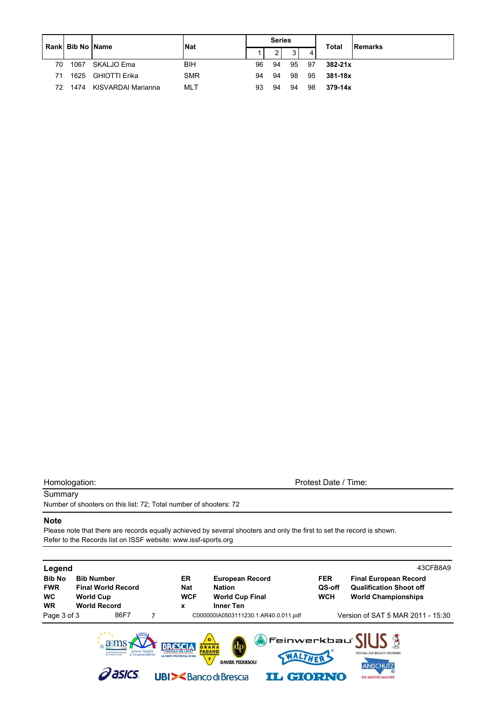|    |      | l Rankl Bib No IName | <b>Nat</b> |    | <b>Series</b>  |    |    | <b>Total</b> | <b>IRemarks</b> |
|----|------|----------------------|------------|----|----------------|----|----|--------------|-----------------|
|    |      |                      |            |    | 2 <sub>1</sub> | 3  | 4  |              |                 |
| 70 | 1067 | SKALJO Ema           | <b>BIH</b> | 96 | 94             | 95 | 97 | 382-21x      |                 |
|    | 1625 | GHIOTTI Erika        | <b>SMR</b> | 94 | 94             | 98 | 95 | 381-18x      |                 |
| 72 | 1474 | KISVARDAI Marianna   | MLT        | 93 | 94             | 94 | 98 | $379 - 14x$  |                 |

## **Summary**

Number of shooters on this list: 72; Total number of shooters: 72

## **Note**

Please note that there are records equally achieved by several shooters and only the first to set the record is shown. Refer to the Records list on ISSF website: www.issf-sports.org

| Legend                                                |                                                                                           |                                     |                                                                                                                       |                                                           | 43CFB8A9                                                                                     |
|-------------------------------------------------------|-------------------------------------------------------------------------------------------|-------------------------------------|-----------------------------------------------------------------------------------------------------------------------|-----------------------------------------------------------|----------------------------------------------------------------------------------------------|
| <b>Bib No</b><br><b>FWR</b><br><b>WC</b><br><b>WR</b> | <b>Bib Number</b><br><b>Final World Record</b><br><b>World Cup</b><br><b>World Record</b> | ER<br><b>Nat</b><br><b>WCF</b><br>X | <b>European Record</b><br><b>Nation</b><br><b>World Cup Final</b><br><b>Inner Ten</b>                                 | <b>FER</b><br>QS-off<br><b>WCH</b>                        | <b>Final European Record</b><br><b>Qualification Shoot off</b><br><b>World Championships</b> |
| Page 3 of 3                                           | 86F7                                                                                      |                                     | C000000IA0503111230.1.AR40.0.011.pdf                                                                                  |                                                           | Version of SAT 5 MAR 2011 - 15:30                                                            |
|                                                       | e responsabile<br><b>ASICS</b>                                                            | LA PARTE PIÙ FRESCA DI NOI          | G<br>GRANA<br><b>PADANO</b><br>P<br><b>DAVIDE PEDERSOLI</b><br><b>UBI&gt;<bancodibrescia< b=""></bancodibrescia<></b> | Feinwerkbau <sup>.1</sup><br>WALTHER'<br><b>IL GIORNO</b> | OFFICIAL ISSF RESULTS PROVIDER<br><b>ANSCHUTZ</b><br>DIE MEISTER MACHER                      |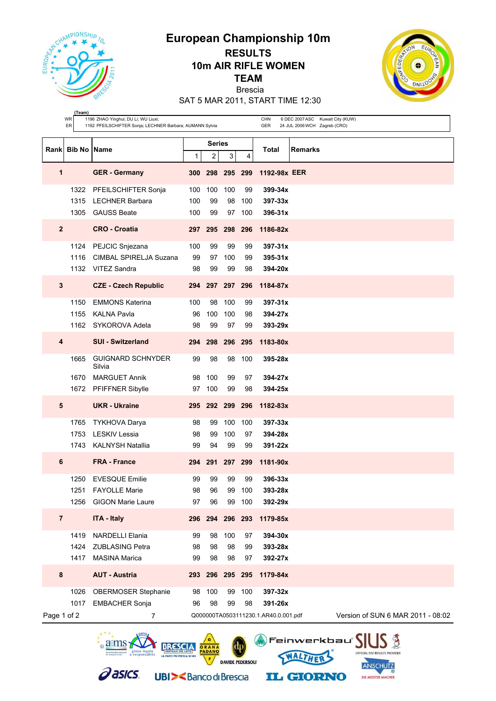

**RESULTS 10m AIR RIFLE WOMEN**

REAL PROPERTY

**TEAM**

Brescia

ROVIDER

SAT 5 MAR 2011, START TIME 12:30

|                | (Team)<br>WR<br>ER   | 1196 ZHAO Yinghui; DU Li; WU Liuxi;<br>1192 PFEILSCHIFTER Sonja; LECHNER Barbara; AUMANN Sylvia |                   |                 | <b>CHN</b><br>GER | 6 DEC 2007 ASC Kuwait City (KUW)<br>24 JUL 2006 WCH Zagreb (CRO) |                                                            |                                   |  |
|----------------|----------------------|-------------------------------------------------------------------------------------------------|-------------------|-----------------|-------------------|------------------------------------------------------------------|------------------------------------------------------------|-----------------------------------|--|
| Rank           | <b>Bib No Name</b>   |                                                                                                 | 1                 | Series<br>2     | 3                 | 4                                                                | <b>Remarks</b><br>Total                                    |                                   |  |
| 1              |                      | <b>GER</b> - Germany                                                                            |                   |                 | 300 298 295 299   |                                                                  | 1192-98x EER                                               |                                   |  |
|                | 1322<br>1315         | PFEILSCHIFTER Sonja<br><b>LECHNER Barbara</b><br>1305 GAUSS Beate                               | 100<br>100<br>100 | 100<br>99<br>99 | 100<br>98<br>97   | 99<br>100<br>100                                                 | 399-34x<br>$397 - 33x$<br>396-31x                          |                                   |  |
| $\overline{2}$ |                      | <b>CRO - Croatia</b>                                                                            |                   |                 | 297 295 298 296   |                                                                  | 1186-82x                                                   |                                   |  |
|                | 1124<br>1116         | PEJCIC Snjezana<br>CIMBAL SPIRELJA Suzana<br>1132 VITEZ Sandra                                  | 100<br>99<br>98   | 99<br>97<br>99  | 99<br>100<br>99   | 99<br>99<br>98                                                   | $397 - 31x$<br>$395 - 31x$<br>394-20x                      |                                   |  |
| $\mathbf 3$    |                      | <b>CZE - Czech Republic</b>                                                                     |                   |                 | 294 297 297 296   |                                                                  | 1184-87x                                                   |                                   |  |
|                | 1150<br>1155         | <b>EMMONS Katerina</b><br><b>KALNA Pavla</b><br>1162 SYKOROVA Adela                             | 100<br>96<br>98   | 98<br>100<br>99 | 100<br>100<br>97  | 99<br>98<br>99                                                   | 397-31x<br>394-27x<br>393-29x                              |                                   |  |
| 4              |                      | <b>SUI - Switzerland</b>                                                                        |                   |                 | 294 298 296 295   |                                                                  | 1183-80x                                                   |                                   |  |
|                | 1665                 | <b>GUIGNARD SCHNYDER</b><br>Silvia                                                              | 99                | 98              | 98                | 100                                                              | 395-28x                                                    |                                   |  |
|                | 1670                 | <b>MARGUET Annik</b><br>1672 PFIFFNER Sibylle                                                   | 98<br>97          | 100<br>100      | 99<br>99          | 97<br>98                                                         | 394-27x<br>394-25x                                         |                                   |  |
| 5              |                      | <b>UKR - Ukraine</b>                                                                            |                   |                 | 295 292 299 296   |                                                                  | 1182-83x                                                   |                                   |  |
|                | 1765<br>1753<br>1743 | <b>TYKHOVA Darya</b><br><b>LESKIV Lessia</b><br><b>KALNYSH Natallia</b>                         | 98<br>98<br>99    | 99<br>99<br>94  | 100<br>100<br>99  | 100<br>97<br>99                                                  | 397-33x<br>394-28x<br>391-22x                              |                                   |  |
| 6              |                      | <b>FRA - France</b>                                                                             |                   | 294 291         | 297 299           |                                                                  | 1181-90x                                                   |                                   |  |
|                | 1250<br>1251<br>1256 | <b>EVESQUE Emilie</b><br><b>FAYOLLE Marie</b><br><b>GIGON Marie Laure</b>                       | 99<br>98<br>97    | 99<br>96<br>96  | 99<br>99<br>99    | 99<br>100<br>100                                                 | 396-33x<br>393-28x<br>392-29x                              |                                   |  |
| $\overline{7}$ |                      | <b>ITA - Italy</b>                                                                              |                   |                 | 296 294 296 293   |                                                                  | 1179-85x                                                   |                                   |  |
|                | 1419<br>1424<br>1417 | <b>NARDELLI Elania</b><br><b>ZUBLASING Petra</b><br><b>MASINA Marica</b>                        | 99<br>98<br>99    | 98<br>98<br>98  | 100<br>98<br>98   | 97<br>99<br>97                                                   | 394-30x<br>393-28x<br>392-27x                              |                                   |  |
| 8              |                      | <b>AUT - Austria</b>                                                                            |                   |                 | 293 296 295 295   |                                                                  | 1179-84x                                                   |                                   |  |
| Page 1 of 2    | 1026<br>1017         | OBERMOSER Stephanie<br><b>EMBACHER Sonja</b><br>7                                               | 98<br>96          | 100<br>98       | 99<br>99          | 100<br>98                                                        | 397-32x<br>391-26x<br>Q000000TA0503111230.1.AR40.0.001.pdf | Version of SUN 6 MAR 2011 - 08:02 |  |

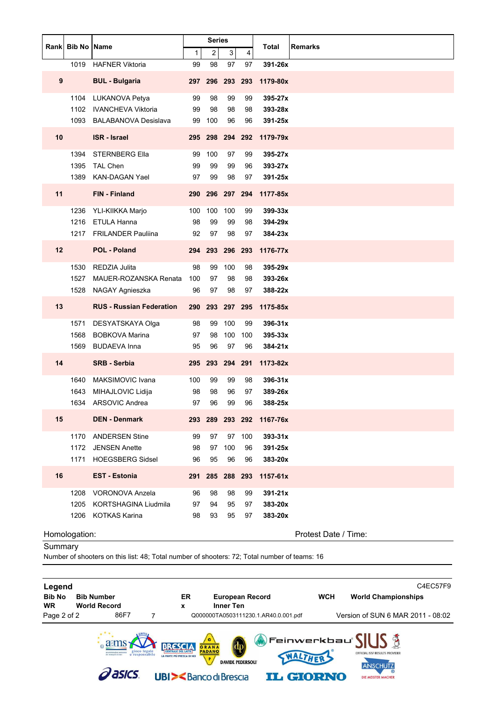|    | Rank Bib No Name |                                 |     | <b>Series</b>   |     |     | Total                    | <b>Remarks</b> |
|----|------------------|---------------------------------|-----|-----------------|-----|-----|--------------------------|----------------|
|    |                  |                                 | 1   | $\overline{c}$  | 3   | 4   |                          |                |
|    | 1019             | <b>HAFNER Viktoria</b>          | 99  | 98              | 97  | 97  | 391-26x                  |                |
| 9  |                  | <b>BUL - Bulgaria</b>           |     | 297 296 293 293 |     |     | 1179-80x                 |                |
|    | 1104             | LUKANOVA Petya                  | 99  | 98              | 99  | 99  | 395-27x                  |                |
|    |                  | 1102 IVANCHEVA Viktoria         | 99  | 98              | 98  | 98  | 393-28x                  |                |
|    | 1093             | <b>BALABANOVA Desislava</b>     | 99  | 100             | 96  | 96  | 391-25x                  |                |
| 10 |                  | <b>ISR - Israel</b>             |     | 295 298 294 292 |     |     | 1179-79x                 |                |
|    | 1394             | <b>STERNBERG Ella</b>           | 99  | 100             | 97  | 99  | 395-27x                  |                |
|    | 1395             | <b>TAL Chen</b>                 | 99  | 99              | 99  | 96  | 393-27x                  |                |
|    | 1389             | KAN-DAGAN Yael                  | 97  | 99              | 98  | 97  | $391 - 25x$              |                |
| 11 |                  | <b>FIN - Finland</b>            |     | 290 296 297 294 |     |     | 1177-85x                 |                |
|    | 1236             | YLI-KIIKKA Marjo                | 100 | 100             | 100 | 99  | $399-33x$                |                |
|    | 1216             | ETULA Hanna                     | 98  | 99              | 99  | 98  | 394-29x                  |                |
|    |                  | 1217 FRILANDER Pauliina         | 92  | 97              | 98  | 97  | 384-23x                  |                |
| 12 |                  | <b>POL - Poland</b>             |     | 294 293 296 293 |     |     | 1176-77x                 |                |
|    | 1530             | REDZIA Julita                   | 98  | 99              | 100 | 98  | 395-29x                  |                |
|    | 1527             | MAUER-ROZANSKA Renata           | 100 | 97              | 98  | 98  | 393-26x                  |                |
|    | 1528             | NAGAY Agnieszka                 | 96  | 97              | 98  | 97  | 388-22x                  |                |
| 13 |                  | <b>RUS - Russian Federation</b> |     | 290 293 297 295 |     |     | 1175-85x                 |                |
|    | 1571             | DESYATSKAYA Olga                | 98  | 99              | 100 | 99  | 396-31x                  |                |
|    | 1568             | <b>BOBKOVA Marina</b>           | 97  | 98              | 100 | 100 | $395-33x$                |                |
|    | 1569             | <b>BUDAEVA Inna</b>             | 95  | 96              | 97  | 96  | $384 - 21x$              |                |
| 14 |                  | <b>SRB - Serbia</b>             |     | 295 293 294 291 |     |     | $1173 - 82x$             |                |
|    | 1640             | <b>MAKSIMOVIC Ivana</b>         | 100 | 99              | 99  | 98  | 396-31x                  |                |
|    | 1643             | MIHAJLOVIC Lidija               | 98  | 98              | 96  | 97  | 389-26x                  |                |
|    |                  | 1634 ARSOVIC Andrea             | 97  | 96              | 99  | 96  | 388-25x                  |                |
| 15 |                  | <b>DEN - Denmark</b>            |     |                 |     |     | 293 289 293 292 1167-76x |                |
|    |                  | 1170 ANDERSEN Stine             | 99  | 97              | 97  | 100 | $393 - 31x$              |                |
|    |                  | 1172 JENSEN Anette              | 98  | 97              | 100 | 96  | 391-25x                  |                |
|    | 1171             | <b>HOEGSBERG Sidsel</b>         | 96  | 95              | 96  | 96  | 383-20x                  |                |
| 16 |                  | <b>EST - Estonia</b>            |     | 291 285 288 293 |     |     | $1157 - 61x$             |                |
|    | 1208             | VORONOVA Anzela                 | 96  | 98              | 98  | 99  | $391 - 21x$              |                |
|    | 1205             | KORTSHAGINA Liudmila            | 97  | 94              | 95  | 97  | 383-20x                  |                |
|    | 1206             | <b>KOTKAS Karina</b>            | 98  | 93              | 95  | 97  | 383-20x                  |                |
|    |                  |                                 |     |                 |     |     |                          |                |

**Summary** 

Number of shooters on this list: 48; Total number of shooters: 72; Total number of teams: 16

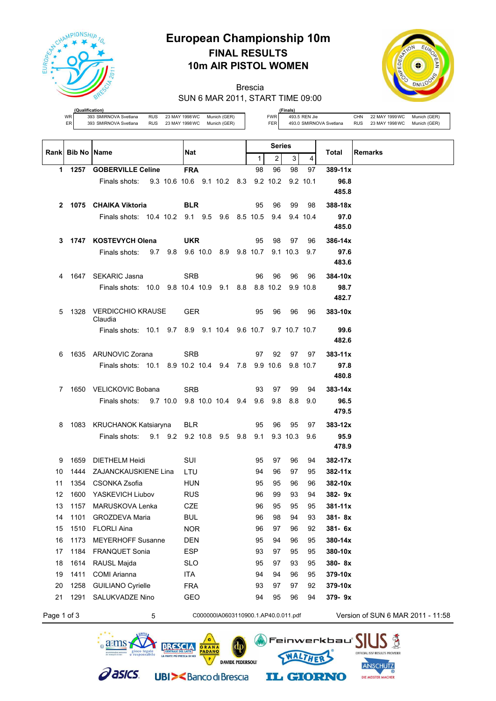

## **European Championship 10m FINAL RESULTS 10m AIR PISTOL WOMEN**

Brescia



SUN 6 MAR 2011, START TIME 09:00

|                 | (Qualification)       |            |                |              |
|-----------------|-----------------------|------------|----------------|--------------|
| WR I            | 393 SMIRNOVA Svetlana | <b>RUS</b> | 23 MAY 1998 WC | Munich (GER) |
| ER <sup>1</sup> | 393 SMIRNOVA Svetlana | <b>RUS</b> | 23 MAY 1998 WC | Munich (GER) |

 $a$  aams

**(Finals)** FWR 493.5 REN Jie CHN 22 MAY 1999 WC Munich (GER)<br>FER 493.0 SMIRNOVA Svetlana RUS 23 MAY 1998 WC Munich (GER)

FER 493.0 SMIRNOVA Svetlana RUS 23 MAY 1998WC Munich (GER)

| Rank        | <b>Bib No   Name</b> |                                                            | Nat                                  |          | <b>Series</b>  |            |                | Remarks<br>Total                  |
|-------------|----------------------|------------------------------------------------------------|--------------------------------------|----------|----------------|------------|----------------|-----------------------------------|
|             |                      |                                                            |                                      | 1        | $\overline{2}$ | 3          | $\overline{4}$ |                                   |
| 1           |                      | 1257 GOBERVILLE Celine                                     | <b>FRA</b>                           | 98       | 96             | 98         | 97             | 389-11x                           |
|             |                      | Finals shots:                                              | 9.3 10.6 10.6 9.1 10.2 8.3 9.2 10.2  |          |                |            | 9.2 10.1       | 96.8                              |
|             |                      |                                                            |                                      |          |                |            |                | 485.8                             |
|             |                      | 2 1075 CHAIKA Viktoria                                     | <b>BLR</b>                           | 95       | 96             | 99         | 98             | 388-18x                           |
|             |                      | Finals shots: 10.4 10.2 9.1 9.5 9.6 8.5 10.5               |                                      |          | 9.4            |            | 9.4 10.4       | 97.0                              |
|             |                      |                                                            |                                      |          |                |            |                | 485.0                             |
|             |                      | 3 1747 KOSTEVYCH Olena                                     | <b>UKR</b>                           | 95       | 98             | 97         | 96             | 386-14x                           |
|             |                      | Finals shots:                                              | 9.7 9.8 9.6 10.0 8.9 9.8 10.7        |          |                | $9.1$ 10.3 | 9.7            | 97.6                              |
|             |                      |                                                            |                                      |          |                |            |                | 483.6                             |
| 4           | 1647                 | <b>SEKARIC Jasna</b>                                       | <b>SRB</b>                           | 96       | 96             | 96         | 96             | 384-10x                           |
|             |                      | Finals shots: 10.0 9.8 10.4 10.9 9.1 8.8 8.8 10.2          |                                      |          |                |            | 99 10.8        | 98.7                              |
|             |                      |                                                            |                                      |          |                |            |                | 482.7                             |
| 5           | 1328                 | <b>VERDICCHIO KRAUSE</b><br>Claudia                        | <b>GER</b>                           | 95       | 96             | 96         | 96             | $383 - 10x$                       |
|             |                      | Finals shots: 10.1 9.7 8.9 9.1 10.4 9.6 10.7 9.7 10.7 10.7 |                                      |          |                |            |                | 99.6                              |
|             |                      |                                                            |                                      |          |                |            |                | 482.6                             |
| 6           |                      | 1635 ARUNOVIC Zorana                                       | <b>SRB</b>                           | 97       | 92             | 97         | 97             | $383 - 11x$                       |
|             |                      | Finals shots: 10.1 8.9 10.2 10.4 9.4 7.8                   |                                      |          | 9.9 10.6       |            | 9.8 10.7       | 97.8                              |
|             |                      |                                                            |                                      |          |                |            |                | 480.8                             |
| 7           |                      | 1650 VELICKOVIC Bobana                                     | SRB                                  | 93       | 97             | 99         | 94             | $383 - 14x$                       |
|             |                      | Finals shots:                                              | 9.7 10.0 9.8 10.0 10.4 9.4           | 9.6      | 9.8            | 8.8        | 9.0            | 96.5                              |
|             |                      |                                                            |                                      |          |                |            |                | 479.5                             |
| 8           |                      | 1083 KRUCHANOK Katsiaryna                                  | <b>BLR</b>                           | 95       | 96             | 95         | 97             | $383 - 12x$                       |
|             |                      | Finals shots: 9.1 9.2 9.2 10.8 9.5 9.8                     |                                      | 9.1      |                | 9.3 10.3   | 9.6            | 95.9                              |
|             |                      |                                                            |                                      |          |                |            |                | 478.9                             |
| 9           | 1659                 | DIETHELM Heidi                                             | SUI                                  | 95       | 97             | 96         | 94             | 382-17x                           |
| 10          | 1444                 | ZAJANCKAUSKIENE Lina                                       | LTU                                  | 94       | 96             | 97         | 95             | $382 - 11x$                       |
| 11          | 1354                 | CSONKA Zsofia                                              | HUN                                  | 95       | 95             | 96         | 96             | 382-10x                           |
| 12          | 1600                 | YASKEVICH Liubov                                           | <b>RUS</b>                           | 96       | 99             | 93         | 94             | $382 - 9x$                        |
| 13          | 1157                 | MARUSKOVA Lenka                                            | <b>CZE</b>                           | 96       | 95             | 95         | 95             | $381 - 11x$                       |
| 14          | 1101                 | GROZDEVA Maria                                             | <b>BUL</b>                           | 96       | 98             | 94         | 93             | 381-8x                            |
| 15          | 1510                 | <b>FLORLI Aina</b>                                         | <b>NOR</b>                           | 96       | 97             | 96         | 92             | 381- 6x                           |
| 16          | 1173                 | <b>MEYERHOFF Susanne</b>                                   | <b>DEN</b>                           | 95       | 94             | 96         | 95             | 380-14x                           |
| 17          | 1184                 | <b>FRANQUET Sonia</b>                                      | <b>ESP</b>                           | 93       | 97             | 95         | 95             | 380-10x                           |
| 18          | 1614<br>1411         | RAUSL Majda                                                | <b>SLO</b>                           | 95       | 97             | 93         | 95             | 380-8x<br>379-10x                 |
| 19<br>20    | 1258                 | COMI Arianna<br><b>GUILIANO Cyrielle</b>                   | ITA<br><b>FRA</b>                    | 94<br>93 | 94<br>97       | 96<br>97   | 95<br>92       | 379-10x                           |
| 21          | 1291                 | SALUKVADZE Nino                                            | GEO                                  | 94       | 95             | 96         | 94             | 379-9x                            |
|             |                      |                                                            |                                      |          |                |            |                |                                   |
| Page 1 of 3 |                      | 5                                                          | C000000IA0603110900.1.AP40.0.011.pdf |          |                |            |                | Version of SUN 6 MAR 2011 - 11:58 |

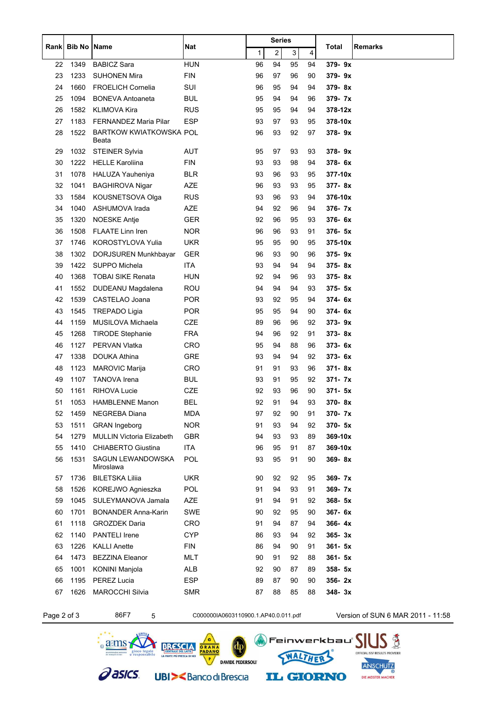|      |                    |                                  |            | <b>Series</b> |                         |    |    |             |         |
|------|--------------------|----------------------------------|------------|---------------|-------------------------|----|----|-------------|---------|
| Rank | <b>Bib No Name</b> |                                  | Nat        | $\mathbf{1}$  | $\overline{\mathbf{c}}$ | 3  | 4  | Total       | Remarks |
| 22   | 1349               | <b>BABICZ Sara</b>               | <b>HUN</b> | 96            | 94                      | 95 | 94 | 379-9x      |         |
| 23   | 1233               | <b>SUHONEN Mira</b>              | <b>FIN</b> | 96            | 97                      | 96 | 90 | 379-9x      |         |
| 24   | 1660               | <b>FROELICH Cornelia</b>         | SUI        | 96            | 95                      | 94 | 94 | 379-8x      |         |
| 25   | 1094               | <b>BONEVA Antoaneta</b>          | <b>BUL</b> | 95            | 94                      | 94 | 96 | 379-7x      |         |
| 26   | 1582               | <b>KLIMOVA Kira</b>              | <b>RUS</b> | 95            | 95                      | 94 | 94 | $378 - 12x$ |         |
| 27   | 1183               | FERNANDEZ Maria Pilar            | <b>ESP</b> | 93            | 97                      | 93 | 95 | 378-10x     |         |
| 28   | 1522               | BARTKOW KWIATKOWSKA POL<br>Beata |            | 96            | 93                      | 92 | 97 | 378-9x      |         |
| 29   | 1032               | <b>STEINER Sylvia</b>            | AUT        | 95            | 97                      | 93 | 93 | $378 - 9x$  |         |
| 30   | 1222               | <b>HELLE Karoliina</b>           | <b>FIN</b> | 93            | 93                      | 98 | 94 | 378- 6x     |         |
| 31   | 1078               | HALUZA Yauheniya                 | <b>BLR</b> | 93            | 96                      | 93 | 95 | 377-10x     |         |
| 32   | 1041               | <b>BAGHIROVA Nigar</b>           | AZE        | 96            | 93                      | 93 | 95 | 377-8x      |         |
| 33   | 1584               | KOUSNETSOVA Olga                 | <b>RUS</b> | 93            | 96                      | 93 | 94 | 376-10x     |         |
| 34   | 1040               | ASHUMOVA Irada                   | AZE        | 94            | 92                      | 96 | 94 | 376-7x      |         |
| 35   | 1320               | <b>NOESKE Antie</b>              | <b>GER</b> | 92            | 96                      | 95 | 93 | 376-6x      |         |
| 36   | 1508               | <b>FLAATE Linn Iren</b>          | <b>NOR</b> | 96            | 96                      | 93 | 91 | $376 - 5x$  |         |
| 37   | 1746               | <b>KOROSTYLOVA Yulia</b>         | <b>UKR</b> | 95            | 95                      | 90 | 95 | 375-10x     |         |
| 38   | 1302               | DORJSUREN Munkhbayar             | <b>GER</b> | 96            | 93                      | 90 | 96 | $375 - 9x$  |         |
| 39   | 1422               | SUPPO Michela                    | <b>ITA</b> | 93            | 94                      | 94 | 94 | 375-8x      |         |
| 40   | 1368               | <b>TOBAI SIKE Renata</b>         | <b>HUN</b> | 92            | 94                      | 96 | 93 | 375-8x      |         |
| 41   | 1552               | DUDEANU Magdalena                | <b>ROU</b> | 94            | 94                      | 94 | 93 | $375 - 5x$  |         |
| 42   | 1539               | CASTELAO Joana                   | <b>POR</b> | 93            | 92                      | 95 | 94 | 374-6x      |         |
| 43   | 1545               | <b>TREPADO Ligia</b>             | <b>POR</b> | 95            | 95                      | 94 | 90 | 374- 6x     |         |
| 44   | 1159               | <b>MUSILOVA Michaela</b>         | CZE        | 89            | 96                      | 96 | 92 | $373 - 9x$  |         |
| 45   | 1268               | <b>TIRODE Stephanie</b>          | <b>FRA</b> | 94            | 96                      | 92 | 91 | $373 - 8x$  |         |
| 46   | 1127               | PERVAN Vlatka                    | <b>CRO</b> | 95            | 94                      | 88 | 96 | 373-6x      |         |
| 47   | 1338               | <b>DOUKA Athina</b>              | <b>GRE</b> | 93            | 94                      | 94 | 92 | 373-6x      |         |
| 48   | 1123               | MAROVIC Marija                   | <b>CRO</b> | 91            | 91                      | 93 | 96 | 371-8x      |         |
| 49   | 1107               | <b>TANOVA</b> Irena              | <b>BUL</b> | 93            | 91                      | 95 | 92 | 371- 7x     |         |
| 50   | 1161               | <b>RIHOVA Lucie</b>              | CZE        | 92            | 93                      | 96 | 90 | $371 - 5x$  |         |
| 51   | 1053               | <b>HAMBLENNE Manon</b>           | <b>BEL</b> | 92            | 91                      | 94 | 93 | 370-8x      |         |
| 52   | 1459               | NEGREBA Diana                    | <b>MDA</b> | 97            | 92                      | 90 | 91 | 370- 7x     |         |
| 53   | 1511               | <b>GRAN</b> Ingeborg             | <b>NOR</b> | 91            | 93                      | 94 | 92 | 370- 5x     |         |
| 54   | 1279               | <b>MULLIN Victoria Elizabeth</b> | <b>GBR</b> | 94            | 93                      | 93 | 89 | 369-10x     |         |
| 55   | 1410               | CHIABERTO Giustina               | ITA        | 96            | 95                      | 91 | 87 | 369-10x     |         |
| 56   | 1531               | SAGUN LEWANDOWSKA<br>Miroslawa   | POL        | 93            | 95                      | 91 | 90 | 369-8x      |         |
| 57   | 1736               | <b>BILETSKA Lilija</b>           | <b>UKR</b> | 90            | 92                      | 92 | 95 | 369- 7x     |         |
| 58   | 1526               | KOREJWO Agnieszka                | POL        | 91            | 94                      | 93 | 91 | 369-7x      |         |
| 59   | 1045               | SULEYMANOVA Jamala               | AZE        | 91            | 94                      | 91 | 92 | $368 - 5x$  |         |
| 60   | 1701               | <b>BONANDER Anna-Karin</b>       | <b>SWE</b> | 90            | 92                      | 95 | 90 | 367- 6x     |         |
| 61   | 1118               | <b>GROZDEK Daria</b>             | CRO        | 91            | 94                      | 87 | 94 | $366 - 4x$  |         |
| 62   | 1140               | <b>PANTELI</b> Irene             | <b>CYP</b> | 86            | 93                      | 94 | 92 | $365 - 3x$  |         |
| 63   | 1226               | <b>KALLI Anette</b>              | FIN        | 86            | 94                      | 90 | 91 | $361 - 5x$  |         |
| 64   | 1473               | <b>BEZZINA Eleanor</b>           | MLT        | 90            | 91                      | 92 | 88 | $361 - 5x$  |         |
| 65   | 1001               | <b>KONINI Manjola</b>            | ALB        | 92            | 90                      | 87 | 89 | 358- 5x     |         |
| 66   | 1195               | PEREZ Lucia                      | <b>ESP</b> | 89            | 87                      | 90 | 90 | 356-2x      |         |
| 67   | 1626               | <b>MAROCCHI Silvia</b>           | <b>SMR</b> | 87            | 88                      | 85 | 88 | $348 - 3x$  |         |



**BRESCIA** 

RANA<br>ADANO

**UBI><BancodiBrescia** 

 $\frac{2\text{ams}}{2}$ 

**Pasics** 

**DAVIDE PEDERSOLI** 

Feinwerkbau')

NALTHER

**IL GIORNO** 

Page 2 of 3 86F7 5 C000000IA0603110900.1.AP40.0.011.pdf Version of SUN 6 MAR 2011 - 11:58

SIUS<sup>3</sup>

ANSCHUTZ

DIE MEISTER MACHER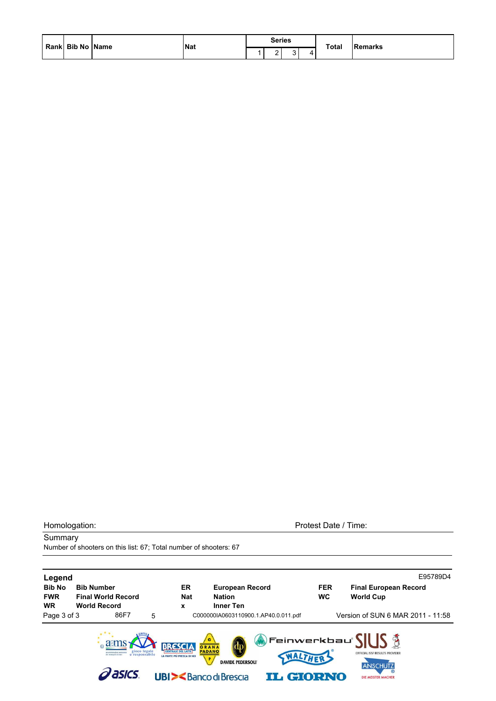| Rank Bib No Name | <b>Nat</b> | <b>Series</b> | <b>Total</b> |                 |
|------------------|------------|---------------|--------------|-----------------|
|                  |            | ∽<br>-        |              | <b>IRemarks</b> |

**Summary** Number of shooters on this list: 67; Total number of shooters: 67

| Legend<br><b>Bib No</b><br><b>FWR</b><br><b>WR</b> | <b>Bib Number</b><br><b>Final World Record</b><br><b>World Record</b> |   | ER<br><b>Nat</b><br>X             | <b>European Record</b><br><b>Nation</b><br><b>Inner Ten</b>                 | <b>FER</b><br><b>WC</b> | E95789D4<br><b>Final European Record</b><br><b>World Cup</b> |
|----------------------------------------------------|-----------------------------------------------------------------------|---|-----------------------------------|-----------------------------------------------------------------------------|-------------------------|--------------------------------------------------------------|
| Page 3 of 3                                        | 86F7                                                                  | 5 |                                   | C000000IA0603110900.1.AP40.0.011.pdf                                        |                         | Version of SUN 6 MAR 2011 - 11:58                            |
|                                                    | gioco legale<br>e responsabile                                        |   | <b>LA PARTE PIÙ FRESCA DI NOI</b> | G<br><b>GRANA</b><br>PADANO<br>P.<br><b>DAVIDE PEDERSOLI</b>                | WALTHER                 | OFFICIAL ISSF RESULTS PROVIDER                               |
|                                                    | <b>Pasics</b>                                                         |   |                                   | <b>UBI&gt;<bancodibrescia< b=""><br/><b>IL GIORNO</b></bancodibrescia<></b> |                         | <b>ANSCHUTZ</b><br>DIE MEISTER MACHER                        |

Homologation: Protest Date / Time: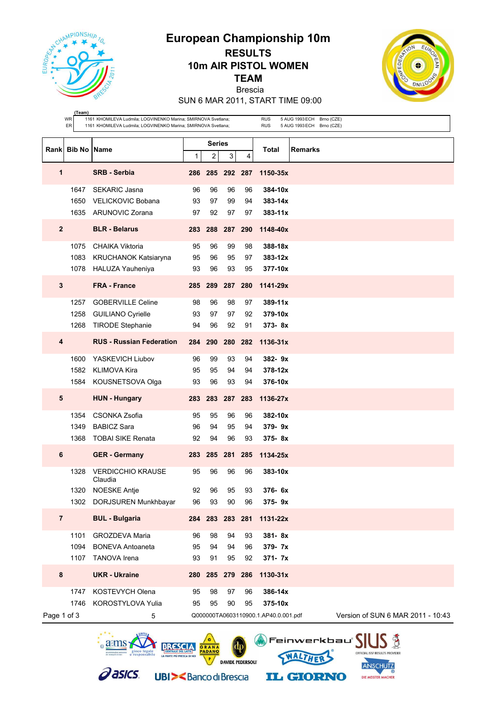

**RESULTS 10m AIR PISTOL WOMEN**

**TEAM**

Brescia

SUN 6 MAR 2011, START TIME 09:00

|                         | WR<br>ER           | 1161 KHOMILEVA Ludmila; LOGVINENKO Marina; SMIRNOVA Svetlana;<br>1161 KHOMILEVA Ludmila; LOGVINENKO Marina; SMIRNOVA Svetlana; |     |             |                 |     | <b>RUS</b><br><b>RUS</b>             | 5 AUG 1993 ECH Brno (CZE)<br>5 AUG 1993 ECH Brno (CZE) |
|-------------------------|--------------------|--------------------------------------------------------------------------------------------------------------------------------|-----|-------------|-----------------|-----|--------------------------------------|--------------------------------------------------------|
|                         |                    |                                                                                                                                |     | Series      |                 |     |                                      |                                                        |
| Rankl                   | <b>Bib No Name</b> |                                                                                                                                | 1   | 2           | 3               | 4   | Total                                | <b>Remarks</b>                                         |
| 1                       |                    | <b>SRB - Serbia</b>                                                                                                            | 286 |             | 285 292 287     |     | 1150-35x                             |                                                        |
|                         | 1647               | <b>SEKARIC Jasna</b>                                                                                                           | 96  | 96          | 96              | 96  | 384-10x                              |                                                        |
|                         | 1650               | <b>VELICKOVIC Bobana</b>                                                                                                       | 93  | 97          | 99              | 94  | 383-14x                              |                                                        |
|                         |                    | 1635 ARUNOVIC Zorana                                                                                                           | 97  | 92          | 97              | 97  | 383-11x                              |                                                        |
| $\overline{\mathbf{2}}$ |                    | <b>BLR - Belarus</b>                                                                                                           |     |             | 283 288 287 290 |     | 1148-40x                             |                                                        |
|                         | 1075               | <b>CHAIKA Viktoria</b>                                                                                                         | 95  | 96          | 99              | 98  | 388-18x                              |                                                        |
|                         | 1083               | <b>KRUCHANOK Katsiaryna</b>                                                                                                    | 95  | 96          | 95              | 97  | 383-12x                              |                                                        |
|                         |                    | 1078 HALUZA Yauheniya                                                                                                          | 93  | 96          | 93              | 95  | 377-10x                              |                                                        |
| $\mathbf{3}$            |                    | <b>FRA - France</b>                                                                                                            |     |             | 285 289 287     | 280 | 1141-29x                             |                                                        |
|                         | 1257               | <b>GOBERVILLE Celine</b>                                                                                                       | 98  | 96          | 98              | 97  | 389-11x                              |                                                        |
|                         | 1258               | <b>GUILIANO Cyrielle</b>                                                                                                       | 93  | 97          | 97              | 92  | 379-10x                              |                                                        |
|                         | 1268               | <b>TIRODE Stephanie</b>                                                                                                        | 94  | 96          | 92              | 91  | $373 - 8x$                           |                                                        |
| 4                       |                    | <b>RUS - Russian Federation</b>                                                                                                | 284 |             | 290 280         | 282 | $1136 - 31x$                         |                                                        |
|                         | 1600               | YASKEVICH Liubov                                                                                                               | 96  | 99          | 93              | 94  | 382-9x                               |                                                        |
|                         | 1582               | <b>KLIMOVA Kira</b>                                                                                                            | 95  | 95          | 94              | 94  | 378-12x                              |                                                        |
|                         | 1584               | KOUSNETSOVA Olga                                                                                                               | 93  | 96          | 93              | 94  | 376-10x                              |                                                        |
| 5                       |                    | <b>HUN - Hungary</b>                                                                                                           |     | 283 283     | 287             | 283 | 1136-27x                             |                                                        |
|                         | 1354               | <b>CSONKA Zsofia</b>                                                                                                           | 95  | 95          | 96              | 96  | 382-10x                              |                                                        |
|                         | 1349               | <b>BABICZ Sara</b>                                                                                                             | 96  | 94          | 95              | 94  | $379 - 9x$                           |                                                        |
|                         | 1368               | <b>TOBAI SIKE Renata</b>                                                                                                       | 92  | 94          | 96              | 93  | $375 - 8x$                           |                                                        |
| 6                       |                    | <b>GER</b> - Germany                                                                                                           |     | 283 285 281 |                 | 285 | 1134-25x                             |                                                        |
|                         | 1328               | <b>VERDICCHIO KRAUSE</b><br>Claudia                                                                                            | 95  | 96          | 96              | 96  | 383-10x                              |                                                        |
|                         | 1320               | <b>NOESKE Antje</b>                                                                                                            | 92  | 96          | 95              | 93  | 376- 6x                              |                                                        |
|                         | 1302               | DORJSUREN Munkhbayar                                                                                                           | 96  | 93          | 90              | 96  | 375-9x                               |                                                        |
| $\overline{7}$          |                    | <b>BUL - Bulgaria</b>                                                                                                          |     | 284 283     | 283             | 281 | 1131-22x                             |                                                        |
|                         | 1101               | <b>GROZDEVA Maria</b>                                                                                                          | 96  | 98          | 94              | 93  | 381-8x                               |                                                        |
|                         | 1094               | <b>BONEVA Antoaneta</b>                                                                                                        | 95  | 94          | 94              | 96  | 379-7x                               |                                                        |
|                         | 1107               | TANOVA Irena                                                                                                                   | 93  | 91          | 95              | 92  | 371-7x                               |                                                        |
| $\bf 8$                 |                    | <b>UKR - Ukraine</b>                                                                                                           |     |             | 280 285 279 286 |     | 1130-31x                             |                                                        |
|                         | 1747               | <b>KOSTEVYCH Olena</b>                                                                                                         | 95  | 98          | 97              | 96  | 386-14x                              |                                                        |
|                         | 1746               | KOROSTYLOVA Yulia                                                                                                              | 95  | 95          | 90              | 95  | 375-10x                              |                                                        |
| Page 1 of 3             |                    | 5                                                                                                                              |     |             |                 |     | Q000000TA0603110900.1.AP40.0.001.pdf | Version of SUN 6 MAR 2011 - 10:43                      |



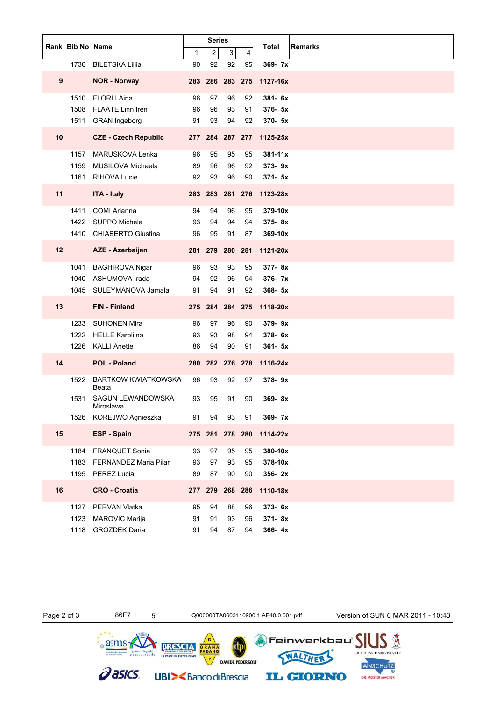|    | Rank Bib No Name |                                     |    | <b>Series</b>   |    |    |                          |                |
|----|------------------|-------------------------------------|----|-----------------|----|----|--------------------------|----------------|
|    |                  |                                     | 1  | 2               | 3  | 4  | Total                    | <b>Remarks</b> |
|    | 1736             | <b>BILETSKA Lilija</b>              | 90 | 92              | 92 | 95 | 369- 7x                  |                |
| 9  |                  | <b>NOR - Norway</b>                 |    | 283 286 283 275 |    |    | 1127-16x                 |                |
|    | 1510             | <b>FLORLI Aina</b>                  | 96 | 97              | 96 | 92 | 381- 6x                  |                |
|    | 1508             | <b>FLAATE Linn Iren</b>             | 96 | 96              | 93 | 91 | 376- 5x                  |                |
|    | 1511             | <b>GRAN Ingeborg</b>                | 91 | 93              | 94 | 92 | 370- 5x                  |                |
| 10 |                  | <b>CZE - Czech Republic</b>         |    | 277 284 287 277 |    |    | 1125-25x                 |                |
|    | 1157             | <b>MARUSKOVA Lenka</b>              | 96 | 95              | 95 | 95 | $381 - 11x$              |                |
|    | 1159             | MUSILOVA Michaela                   | 89 | 96              | 96 | 92 | $373 - 9x$               |                |
|    | 1161             | <b>RIHOVA Lucie</b>                 | 92 | 93              | 96 | 90 | $371 - 5x$               |                |
| 11 |                  | <b>ITA - Italy</b>                  |    |                 |    |    | 283 283 281 276 1123-28x |                |
|    | 1411             | <b>COMI</b> Arianna                 | 94 | 94              | 96 | 95 | 379-10x                  |                |
|    |                  | 1422 SUPPO Michela                  | 93 | 94              | 94 | 94 | $375 - 8x$               |                |
|    | 1410             | <b>CHIABERTO Giustina</b>           | 96 | 95              | 91 | 87 | 369-10x                  |                |
| 12 |                  | AZE - Azerbaijan                    |    | 281 279 280 281 |    |    | 1121-20x                 |                |
|    | 1041             | <b>BAGHIROVA Nigar</b>              | 96 | 93              | 93 | 95 | $377 - 8x$               |                |
|    | 1040             | ASHUMOVA Irada                      | 94 | 92              | 96 | 94 | 376-7x                   |                |
|    | 1045             | SULEYMANOVA Jamala                  | 91 | 94              | 91 | 92 | $368 - 5x$               |                |
| 13 |                  | <b>FIN</b> - Finland                |    |                 |    |    | 275 284 284 275 1118-20x |                |
|    | 1233             | <b>SUHONEN Mira</b>                 | 96 | 97              | 96 | 90 | 379-9x                   |                |
|    |                  | 1222 HELLE Karoliina                | 93 | 93              | 98 | 94 | 378-6x                   |                |
|    | 1226             | KALLI Anette                        | 86 | 94              | 90 | 91 | $361 - 5x$               |                |
| 14 |                  | <b>POL - Poland</b>                 |    | 280 282 276 278 |    |    | 1116-24x                 |                |
|    | 1522             | <b>BARTKOW KWIATKOWSKA</b><br>Beata | 96 | 93              | 92 | 97 | $378 - 9x$               |                |
|    | 1531             | SAGUN LEWANDOWSKA                   | 93 | 95              | 91 | 90 | $369 - 8x$               |                |
|    | 1526             | Miroslawa<br>KOREJWO Agnieszka      | 91 | 94              | 93 | 91 | 369-7x                   |                |
| 15 |                  | <b>ESP - Spain</b>                  |    |                 |    |    | 275 281 278 280 1114-22x |                |
|    | 1184             | <b>FRANQUET Sonia</b>               | 93 | 97              | 95 | 95 | 380-10x                  |                |
|    | 1183             | FERNANDEZ Maria Pilar               | 93 | 97              | 93 | 95 | 378-10x                  |                |
|    |                  | 1195 PEREZ Lucia                    | 89 | 87              | 90 | 90 | $356 - 2x$               |                |
| 16 |                  | <b>CRO - Croatia</b>                |    | 277 279 268 286 |    |    | 1110-18x                 |                |
|    | 1127             | PERVAN Vlatka                       | 95 | 94              | 88 | 96 | 373-6x                   |                |
|    | 1123             | MAROVIC Marija                      | 91 | 91              | 93 | 96 | 371-8x                   |                |
|    | 1118             | <b>GROZDEK Daria</b>                | 91 | 94              | 87 | 94 | 366-4x                   |                |

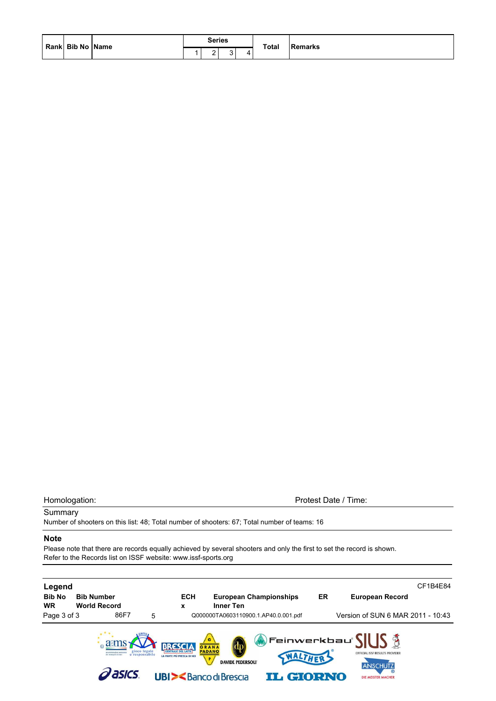|  | Rank Bib No Name | Series | <b>Total</b> | Remarks |
|--|------------------|--------|--------------|---------|
|  |                  | $\sim$ |              |         |

### Summary

Number of shooters on this list: 48; Total number of shooters: 67; Total number of teams: 16

### **Note**

Please note that there are records equally achieved by several shooters and only the first to set the record is shown. Refer to the Records list on ISSF website: www.issf-sports.org

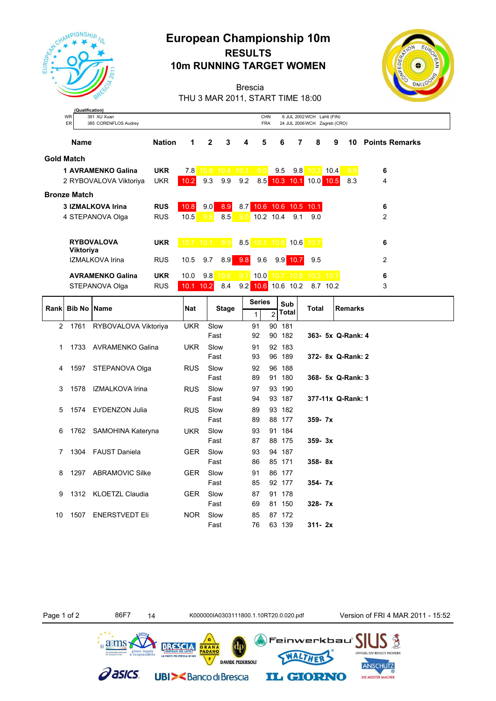

# **European Championship 10m RESULTS 10m RUNNING TARGET WOMEN**



Brescia THU 3 MAR 2011, START TIME 18:00

|                     | (Qualification) |                          |               |      |                   |                   |      |               |                   |                     |      |                              |     |                       |
|---------------------|-----------------|--------------------------|---------------|------|-------------------|-------------------|------|---------------|-------------------|---------------------|------|------------------------------|-----|-----------------------|
| <b>WR</b>           |                 | 391 XU Xuan              |               |      |                   |                   |      | <b>CHN</b>    |                   |                     |      | 6 JUL 2002 WCH Lahti (FIN)   |     |                       |
| ER                  |                 | 385 CORENFLOS Audrey     |               |      |                   |                   |      | <b>FRA</b>    |                   |                     |      | 24 JUL 2006 WCH Zagreb (CRO) |     |                       |
|                     | <b>Name</b>     |                          | <b>Nation</b> | 1    | $\mathbf{2}$      | 3                 | 4    | 5             | 6                 | 7                   | 8    | 9                            | 10  | <b>Points Remarks</b> |
| Gold Match          |                 |                          |               |      |                   |                   |      |               |                   |                     |      |                              |     |                       |
|                     |                 | 1 AVRAMENKO Galina       | <b>UKR</b>    | 7.8  | 10.9 <sup>°</sup> | 10.4              | 10.1 | 9.0           | 9.5               | 9.8                 | 10.3 | 10.4                         | 9.9 | 6                     |
|                     |                 | 2 RYBOVALOVA Viktoriya   | <b>UKR</b>    | 10.2 | 9.3               | 9.9               | 9.2  | 8.5           |                   | 10.3 10.1 10.0      |      | 10.5                         | 8.3 | 4                     |
| <b>Bronze Match</b> |                 |                          |               |      |                   |                   |      |               |                   |                     |      |                              |     |                       |
|                     |                 | <b>3 IZMALKOVA Irina</b> | <b>RUS</b>    | 10.8 | 9.0               | 8.9               | 8.7  |               |                   | 10.6 10.6 10.5 10.1 |      |                              |     | 6                     |
|                     |                 | 4 STEPANOVA Olga         | <b>RUS</b>    | 10.5 | 9.8               | 8.5               | 9.0  |               | 10.2 10.4         | 9.1                 | 9.0  |                              |     | $\overline{2}$        |
|                     |                 | <b>RYBOVALOVA</b>        | <b>UKR</b>    |      | 10.7 10.1 9.9     |                   |      | 8.5 10.1 10.6 |                   |                     |      |                              |     |                       |
|                     | Viktoriya       |                          |               |      |                   |                   |      |               |                   | $10.6$ 10.7         |      |                              |     | 6                     |
|                     |                 | IZMALKOVA Irina          | <b>RUS</b>    | 10.5 | 9.7               | 8.9               | 9.8  | 9.6           | 9.9               | 10.7                | 9.5  |                              |     | $\overline{2}$        |
|                     |                 | <b>AVRAMENKO Galina</b>  | <b>UKR</b>    | 10.0 | 9.8               | 10.6 <sup>°</sup> | 9.7  | 10.0          | 10.7 <sup>°</sup> | 10.8 10.3 10.7      |      |                              |     | 6                     |
|                     |                 | STEPANOVA Olga           | <b>RUS</b>    | 10.1 | 10.2              | 8.4               | 9.2  |               | 10.6 10.6 10.2    |                     |      | 8.7 10.2                     |     | 3                     |
|                     |                 |                          |               |      |                   |                   |      | <b>Corine</b> |                   |                     |      |                              |     |                       |

| Rankl        | <b>Bib No Name</b> |                        | <b>Nat</b> | <b>Stage</b> | <b>Series</b> |    | Sub    | Total      | <b>Remarks</b>    |
|--------------|--------------------|------------------------|------------|--------------|---------------|----|--------|------------|-------------------|
|              |                    |                        |            |              |               | 2  | Total  |            |                   |
| $\mathbf{2}$ | 1761               | RYBOVALOVA Viktoriya   | <b>UKR</b> | Slow         | 91            |    | 90 181 |            |                   |
|              |                    |                        |            | Fast         | 92            |    | 90 182 |            | 363- 5x Q-Rank: 4 |
| 1.           | 1733               | AVRAMENKO Galina       | UKR.       | Slow         | 91            |    | 92 183 |            |                   |
|              |                    |                        |            | Fast         | 93            |    | 96 189 |            | 372- 8x Q-Rank: 2 |
| 4            | 1597               | STEPANOVA Olga         | <b>RUS</b> | Slow         | 92            |    | 96 188 |            |                   |
|              |                    |                        |            | Fast         | 89            |    | 91 180 |            | 368- 5x Q-Rank: 3 |
| 3            | 1578               | IZMALKOVA Irina        | <b>RUS</b> | Slow         | 97            |    | 93 190 |            |                   |
|              |                    |                        |            | Fast         | 94            |    | 93 187 |            | 377-11x Q-Rank: 1 |
| 5            | 1574               | <b>EYDENZON Julia</b>  | <b>RUS</b> | Slow         | 89            |    | 93 182 |            |                   |
|              |                    |                        |            | Fast         | 89            |    | 88 177 | $359 - 7x$ |                   |
| 6            | 1762               | SAMOHINA Kateryna      | <b>UKR</b> | Slow         | 93            |    | 91 184 |            |                   |
|              |                    |                        |            | Fast         | 87            |    | 88 175 | $359 - 3x$ |                   |
| 7            | 1304               | <b>FAUST Daniela</b>   | <b>GER</b> | Slow         | 93            |    | 94 187 |            |                   |
|              |                    |                        |            | Fast         | 86            |    | 85 171 | $358 - 8x$ |                   |
| 8            | 1297               | <b>ABRAMOVIC Silke</b> | <b>GER</b> | Slow         | 91            |    | 86 177 |            |                   |
|              |                    |                        |            | Fast         | 85            |    | 92 177 | $354 - 7x$ |                   |
| 9            | 1312               | KLOETZL Claudia        | <b>GER</b> | Slow         | 87            |    | 91 178 |            |                   |
|              |                    |                        |            | Fast         | 69            | 81 | 150    | $328 - 7x$ |                   |
| 10           | 1507               | <b>ENERSTVEDT Eli</b>  | NOR.       | Slow         | 85            |    | 87 172 |            |                   |
|              |                    |                        |            | Fast         | 76            |    | 63 139 | $311 - 2x$ |                   |

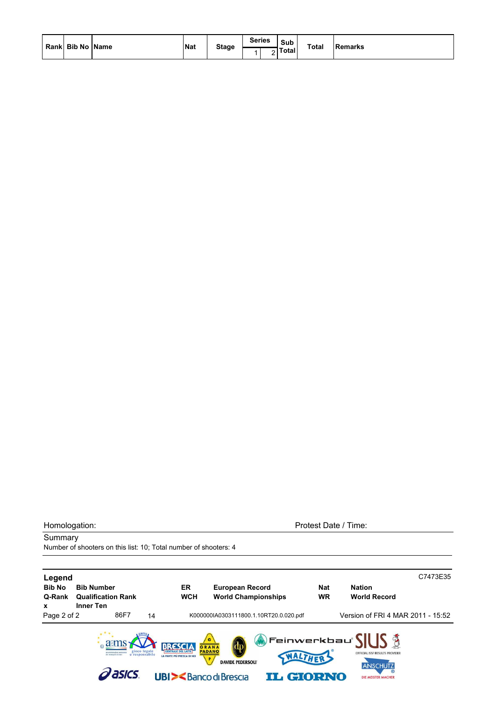| Rank Bib No Name |  | <b>Nat</b> | <b>Stage</b> | <b>Series</b> | Sub<br>Total | <b>Total</b> | <b>IRemarks</b> |
|------------------|--|------------|--------------|---------------|--------------|--------------|-----------------|
|------------------|--|------------|--------------|---------------|--------------|--------------|-----------------|

**Summary** 

Homologation: Protest Date / Time:

Number of shooters on this list: 10; Total number of shooters: 4

| Legend<br><b>Bib No</b><br>Q-Rank<br>x | <b>Bib Number</b><br><b>Qualification Rank</b><br><b>Inner Ten</b> | ER<br><b>WCH</b>                                                                   | <b>European Record</b><br><b>World Championships</b>                 | <b>Nat</b><br><b>WR</b>       | C7473E35<br><b>Nation</b><br><b>World Record</b>                                                                       |
|----------------------------------------|--------------------------------------------------------------------|------------------------------------------------------------------------------------|----------------------------------------------------------------------|-------------------------------|------------------------------------------------------------------------------------------------------------------------|
| Page 2 of 2                            | 86F7                                                               | 14                                                                                 | K000000IA0303111800.1.10RT20.0.020.pdf                               |                               | Version of FRI 4 MAR 2011 - 15:52                                                                                      |
|                                        | gioco legale<br>e responsabile<br>asics                            | LA PARTE PIÙ FRESCA DI NOI<br><b>UBI&gt;<banco b="" brescia<="" di=""></banco></b> | $\sqrt{e}$<br>GRANA<br><b>PADANC</b><br>P<br><b>DAVIDE PEDERSOLI</b> | WALTHER .<br><b>IL GIORNO</b> | Feinwerkbau $\left\{\ \hspace{1ex}\right\ $<br>OFFICIAL ISSF RESULTS PROVIDER<br><b>ANSCHUTZ</b><br>DIE MEISTER MACHER |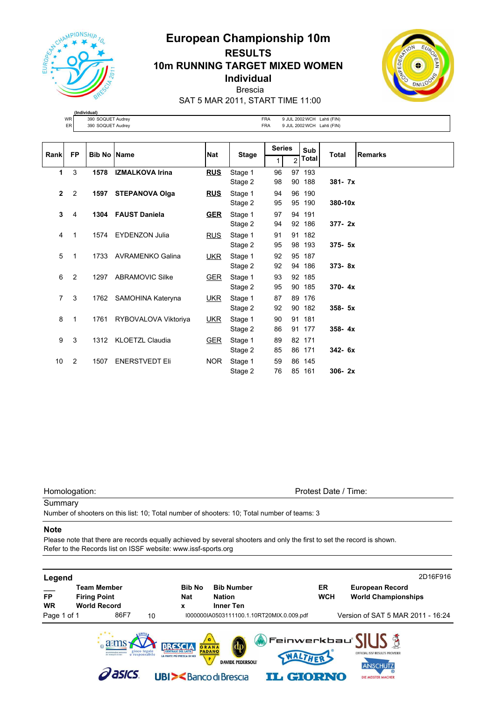

## **European Championship 10m RESULTS 10m RUNNING TARGET MIXED WOMEN Individual** Brescia



SAT 5 MAR 2011, START TIME 11:00

| <b>WR</b> | J SOOUET<br>Audrey<br>390 | 9 JUL 2002 WCH<br>Lahti (FIN)<br><b>FRA</b> |
|-----------|---------------------------|---------------------------------------------|
| ER.       | Audrey<br>390             | Lahti (FIN)<br>FRA<br>.2002 WCH<br>. II I   |
|           |                           |                                             |

| Rank           | <b>FP</b>      |      | <b>Bib No IName</b><br><b>Nat</b> |            | <b>Series</b> |    | Sub | <b>Total</b> | <b>Remarks</b> |  |
|----------------|----------------|------|-----------------------------------|------------|---------------|----|-----|--------------|----------------|--|
|                |                |      |                                   |            | <b>Stage</b>  |    | 2   | Total        |                |  |
| 1              | 3              | 1578 | <b>IZMALKOVA Irina</b>            | <b>RUS</b> | Stage 1       | 96 |     | 97 193       |                |  |
|                |                |      |                                   |            | Stage 2       | 98 |     | 90 188       | $381 - 7x$     |  |
| $\mathbf{2}$   | $\overline{2}$ | 1597 | <b>STEPANOVA Olga</b>             | <u>RUS</u> | Stage 1       | 94 |     | 96 190       |                |  |
|                |                |      |                                   |            | Stage 2       | 95 |     | 95 190       | 380-10x        |  |
| 3              | 4              | 1304 | <b>FAUST Daniela</b>              | <b>GER</b> | Stage 1       | 97 |     | 94 191       |                |  |
|                |                |      |                                   |            | Stage 2       | 94 |     | 92 186       | $377 - 2x$     |  |
| 4              | $\mathbf 1$    | 1574 | <b>EYDENZON Julia</b>             | <b>RUS</b> | Stage 1       | 91 |     | 91 182       |                |  |
|                |                |      |                                   |            | Stage 2       | 95 |     | 98 193       | $375 - 5x$     |  |
| 5              | $\overline{1}$ | 1733 | <b>AVRAMENKO Galina</b>           | <b>UKR</b> | Stage 1       | 92 |     | 95 187       |                |  |
|                |                |      |                                   |            | Stage 2       | 92 |     | 94 186       | $373 - 8x$     |  |
| 6              | $\overline{2}$ | 1297 | <b>ABRAMOVIC Silke</b>            | <b>GER</b> | Stage 1       | 93 |     | 92 185       |                |  |
|                |                |      |                                   |            | Stage 2       | 95 |     | 90 185       | $370 - 4x$     |  |
| $\overline{7}$ | 3              |      | 1762 SAMOHINA Kateryna            | <u>UKR</u> | Stage 1       | 87 |     | 89 176       |                |  |
|                |                |      |                                   |            | Stage 2       | 92 |     | 90 182       | $358 - 5x$     |  |
| 8              | $\mathbf 1$    | 1761 | RYBOVALOVA Viktoriya              | <b>UKR</b> | Stage 1       | 90 | 91  | 181          |                |  |
|                |                |      |                                   |            | Stage 2       | 86 |     | 91 177       | $358 - 4x$     |  |
| 9              | 3              | 1312 | <b>KLOETZL Claudia</b>            | <b>GER</b> | Stage 1       | 89 |     | 82 171       |                |  |
|                |                |      |                                   |            | Stage 2       | 85 | 86  | 171          | $342 - 6x$     |  |
| 10             | 2              | 1507 | <b>ENERSTVEDT Eli</b>             | NOR.       | Stage 1       | 59 |     | 86 145       |                |  |
|                |                |      |                                   |            | Stage 2       | 76 |     | 85 161       | $306 - 2x$     |  |

Homologation: Protest Date / Time:

## **Summary**

Number of shooters on this list: 10; Total number of shooters: 10; Total number of teams: 3

### **Note**

Please note that there are records equally achieved by several shooters and only the first to set the record is shown. Refer to the Records list on ISSF website: www.issf-sports.org

| Legend                 |                     |                                           |                                |                                                                                                     |                                                                  |                  | 2D16F916                                                                                             |
|------------------------|---------------------|-------------------------------------------|--------------------------------|-----------------------------------------------------------------------------------------------------|------------------------------------------------------------------|------------------|------------------------------------------------------------------------------------------------------|
| <b>FP</b><br><b>WR</b> | <b>Firing Point</b> | <b>Team Member</b><br><b>World Record</b> |                                | <b>Bib No</b><br><b>Nat</b><br>x                                                                    | <b>Bib Number</b><br><b>Nation</b><br><b>Inner Ten</b>           | ER<br><b>WCH</b> | <b>European Record</b><br><b>World Championships</b>                                                 |
| Page 1 of 1            |                     | 86F7                                      | 10                             |                                                                                                     | I000000IA0503111100.1.10RT20MIX.0.009.pdf                        |                  | Version of SAT 5 MAR 2011 - 16:24                                                                    |
|                        |                     | Ari missingili di atat-<br>asics          | gioco legale<br>e responsabile | <b>PADANO</b><br>LA PARTE PIÙ FRESCA DI NOI<br><b>UBI&gt;<banco b="" brescia<="" di=""></banco></b> | $\mathbf{G}$<br>GRANA<br>WALTHER<br>P<br><b>DAVIDE PEDERSOLI</b> | <b>GIORNO</b>    | <b>WFeinwerkbau SILIS</b><br>OFFICIAL ISSF RESULTS PROVIDER<br><b>ANSCHUTZ</b><br>DIE MEISTER MACHER |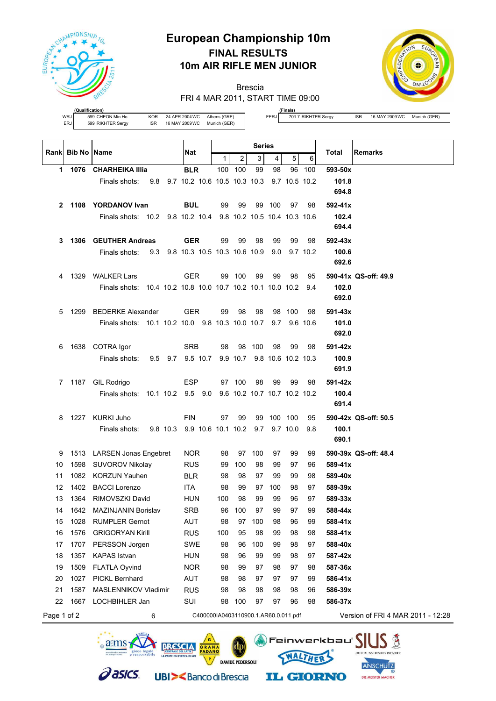

# **European Championship 10m FINAL RESULTS 10m AIR RIFLE MEN JUNIOR**

Brescia



FRI 4 MAR 2011, START TIME 09:00

|     | (Qualification)   |     |     |
|-----|-------------------|-----|-----|
| /RJ | 599 CHEON Min Ho  | KOR | 24. |
| ERJ | 599 RIKHTER Sergy | ISR | 161 |

APR 2004 WC Athens (GRE)<br>MAY 2009 WC Munich (GER)  $MAY$  2009 WC

**(Finals)**

FERJ 701.7 RIKHTER Sergy ISR 16 MAY 2009 WC Munich (GER)

|             |                  |                                                               |                                          | <b>Series</b> |                              |        |            |              |               |                                   |  |
|-------------|------------------|---------------------------------------------------------------|------------------------------------------|---------------|------------------------------|--------|------------|--------------|---------------|-----------------------------------|--|
|             | Rank Bib No Name |                                                               | Nat                                      | $\mathbf 1$   | 2                            | 3      | 4          | 5            | 6             | Total<br><b>Remarks</b>           |  |
| 1.          | 1076             | <b>CHARHEIKA Illia</b>                                        | <b>BLR</b>                               |               | 100 100                      | 99     | 98         |              | 96 100        | 593-50x                           |  |
|             |                  | 9.8 9.7 10.2 10.6 10.5 10.3 10.3<br>Finals shots:             |                                          |               |                              |        |            |              | 9.7 10.5 10.2 | 101.8                             |  |
|             |                  |                                                               |                                          |               |                              |        |            |              |               | 694.8                             |  |
|             |                  | 2 1108 YORDANOV Ivan                                          | <b>BUL</b>                               | 99            | 99                           |        | 99 100     | 97           | 98            | 592-41x                           |  |
|             |                  | Finals shots: 10.2 9.8 10.2 10.4 9.8 10.2 10.5 10.4 10.3 10.6 |                                          |               |                              |        |            |              |               | 102.4                             |  |
|             |                  |                                                               |                                          |               |                              |        |            |              |               | 694.4                             |  |
| 3           |                  | 1306 GEUTHER Andreas                                          | <b>GER</b>                               | 99            | 99                           | 98     | 99         | 99           | 98            | 592-43x                           |  |
|             |                  | 9.3 9.8 10.3 10.5 10.3 10.6 10.9<br>Finals shots:             |                                          |               |                              |        | 9.0        |              | 9.7 10.2      | 100.6                             |  |
|             |                  |                                                               |                                          |               |                              |        |            |              |               | 692.6                             |  |
| 4           |                  | 1329 WALKER Lars                                              | <b>GER</b>                               |               | 99 100                       | 99     | 99         | 98           | 95            | 590-41x QS-off: 49.9              |  |
|             |                  | Finals shots: 10.4 10.2 10.8 10.0 10.7 10.2 10.1 10.0 10.2    |                                          |               |                              |        |            |              | 9.4           | 102.0                             |  |
|             |                  |                                                               |                                          |               |                              |        |            |              |               | 692.0                             |  |
| 5           | 1299             | <b>BEDERKE Alexander</b>                                      | <b>GER</b>                               | 99            | 98                           | 98     | 98         | 100          | 98            | 591-43x                           |  |
|             |                  | Finals shots: 10.1 10.2 10.0 9.8 10.3 10.0 10.7               |                                          |               |                              |        |            | 9.7 9.6 10.6 |               | 101.0                             |  |
|             |                  |                                                               |                                          |               |                              |        |            |              |               | 692.0                             |  |
| 6           |                  | 1638 COTRA Igor                                               | <b>SRB</b>                               | 98            |                              | 98 100 | 98         | 99           | 98            | 591-42x                           |  |
|             |                  | Finals shots:                                                 | 9.5 9.7 9.5 10.7                         |               | 9.9 10.7 9.8 10.6 10.2 10.3  |        |            |              |               | 100.9                             |  |
|             |                  |                                                               |                                          |               |                              |        |            |              |               | 691.9                             |  |
|             |                  | 7 1187 GIL Rodrigo                                            | ESP                                      |               | 97 100                       | 98     | 99         | 99           | 98            | 591-42x                           |  |
|             |                  | Finals shots: 10.1 10.2 9.5 9.0                               |                                          |               | 9.6 10.2 10.7 10.7 10.2 10.2 |        |            |              |               | 100.4                             |  |
|             |                  |                                                               |                                          |               |                              |        |            |              |               | 691.4                             |  |
| 8           |                  | 1227 KURKI Juho                                               | <b>FIN</b>                               | 97            | 99                           |        | 99 100 100 |              | 95            | 590-42x QS-off: 50.5              |  |
|             |                  | Finals shots:                                                 | 9.8 10.3 9.9 10.6 10.1 10.2 9.7 9.7 10.0 |               |                              |        |            |              | 9.8           | 100.1                             |  |
|             |                  |                                                               |                                          |               |                              |        |            |              |               | 690.1                             |  |
| 9           |                  | 1513 LARSEN Jonas Engebret                                    | NOR.                                     | 98            | 97                           | 100    | 97         | 99           | 99            | 590-39x QS-off: 48.4              |  |
| 10          | 1598             | <b>SUVOROV Nikolay</b>                                        | <b>RUS</b>                               | 99            | 100                          | 98     | 99         | 97           | 96            | 589-41x                           |  |
| 11          | 1082             | <b>KORZUN Yauhen</b>                                          | <b>BLR</b>                               | 98            | 98                           | 97     | 99         | 99           | 98            | 589-40x                           |  |
| 12          |                  | 1402 BACCI Lorenzo                                            | ITA.                                     | 98            | 99                           | 97     | 100        | 98           | 97            | 589-39x                           |  |
| 13          | 1364             | RIMOVSZKI David                                               | <b>HUN</b>                               | 100           | 98                           | 99     | 99         | 96           | 97            | 589-33x                           |  |
| 14          |                  | 1642 MAZINJANIN Borislav                                      | SRB                                      |               | 96 100                       | 97     | 99         | 97           | 99            | 588-44x                           |  |
| 15          | 1028             | <b>RUMPLER Gernot</b>                                         | <b>AUT</b>                               | 98            | 97                           | 100    | 98         | 96           | 99            | 588-41x                           |  |
| 16          | 1576             | <b>GRIGORYAN Kirill</b>                                       | <b>RUS</b>                               | 100           | 95                           | 98     | 99         | 98           | 98            | 588-41x                           |  |
| 17          | 1707             | PERSSON Jorgen                                                | SWE                                      | 98            | 96                           | 100    | 99         | 98           | 97            | 588-40x                           |  |
| 18          | 1357             | KAPAS Istvan                                                  | <b>HUN</b>                               | 98            | 96                           | 99     | 99         | 98           | 97            | 587-42x                           |  |
| 19          | 1509             | <b>FLATLA Oyvind</b>                                          | <b>NOR</b>                               | 98            | 99                           | 97     | 98         | 97           | 98            | 587-36x                           |  |
| 20          | 1027             | <b>PICKL Bernhard</b>                                         | AUT                                      | 98            | 98                           | 97     | 97         | 97           | 99            | 586-41x                           |  |
| 21          | 1587             | MASLENNIKOV Vladimir                                          | <b>RUS</b>                               | 98            | 98                           | 98     | 98         | 98           | 96            | 586-39x                           |  |
| 22          | 1667             | LOCHBIHLER Jan                                                | SUI                                      | 98            | 100                          | 97     | 97         | 96           | 98            | 586-37x                           |  |
| Page 1 of 2 |                  | 6                                                             | C400000IA0403110900.1.AR60.0.011.pdf     |               |                              |        |            |              |               | Version of FRI 4 MAR 2011 - 12:28 |  |
|             |                  |                                                               |                                          |               |                              |        |            |              |               |                                   |  |

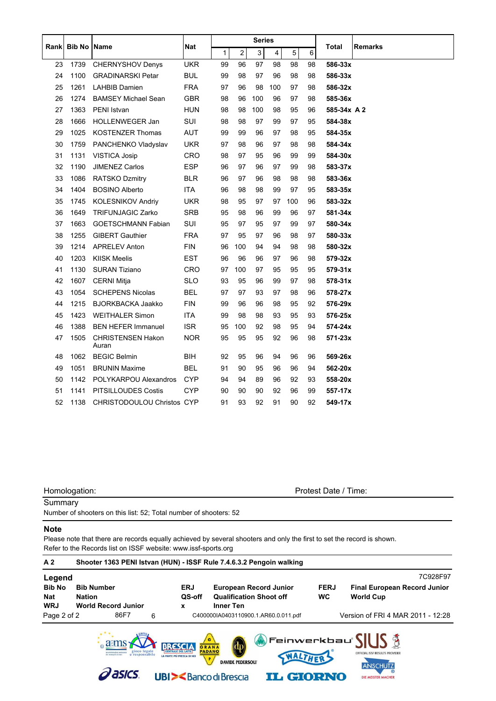|    |                  |                                   |            | <b>Series</b> |     |     |                         |     |    |             |                |
|----|------------------|-----------------------------------|------------|---------------|-----|-----|-------------------------|-----|----|-------------|----------------|
|    | Rank Bib No Name |                                   | Nat        | 1             | 2   | 3   | $\overline{\mathbf{4}}$ | 5   | 6  | Total       | <b>Remarks</b> |
| 23 | 1739             | <b>CHERNYSHOV Denys</b>           | <b>UKR</b> | 99            | 96  | 97  | 98                      | 98  | 98 | 586-33x     |                |
| 24 | 1100             | <b>GRADINARSKI Petar</b>          | <b>BUL</b> | 99            | 98  | 97  | 96                      | 98  | 98 | 586-33x     |                |
| 25 | 1261             | <b>LAHBIB Damien</b>              | <b>FRA</b> | 97            | 96  | 98  | 100                     | 97  | 98 | 586-32x     |                |
| 26 | 1274             | <b>BAMSEY Michael Sean</b>        | <b>GBR</b> | 98            | 96  | 100 | 96                      | 97  | 98 | 585-36x     |                |
| 27 | 1363             | PENI Istvan                       | <b>HUN</b> | 98            | 98  | 100 | 98                      | 95  | 96 | 585-34x A 2 |                |
| 28 | 1666             | HOLLENWEGER Jan                   | <b>SUI</b> | 98            | 98  | 97  | 99                      | 97  | 95 | 584-38x     |                |
| 29 | 1025             | <b>KOSTENZER Thomas</b>           | <b>AUT</b> | 99            | 99  | 96  | 97                      | 98  | 95 | 584-35x     |                |
| 30 | 1759             | PANCHENKO Vladyslav               | <b>UKR</b> | 97            | 98  | 96  | 97                      | 98  | 98 | 584-34x     |                |
| 31 | 1131             | <b>VISTICA Josip</b>              | CRO        | 98            | 97  | 95  | 96                      | 99  | 99 | 584-30x     |                |
| 32 | 1190             | <b>JIMENEZ Carlos</b>             | <b>ESP</b> | 96            | 97  | 96  | 97                      | 99  | 98 | 583-37x     |                |
| 33 | 1086             | <b>RATSKO Dzmitry</b>             | <b>BLR</b> | 96            | 97  | 96  | 98                      | 98  | 98 | 583-36x     |                |
| 34 | 1404             | <b>BOSINO Alberto</b>             | <b>ITA</b> | 96            | 98  | 98  | 99                      | 97  | 95 | 583-35x     |                |
| 35 | 1745             | KOLESNIKOV Andriy                 | <b>UKR</b> | 98            | 95  | 97  | 97                      | 100 | 96 | 583-32x     |                |
| 36 | 1649             | <b>TRIFUNJAGIC Zarko</b>          | <b>SRB</b> | 95            | 98  | 96  | 99                      | 96  | 97 | 581-34x     |                |
| 37 | 1663             | <b>GOETSCHMANN Fabian</b>         | SUI        | 95            | 97  | 95  | 97                      | 99  | 97 | 580-34x     |                |
| 38 | 1255             | <b>GIBERT Gauthier</b>            | <b>FRA</b> | 97            | 95  | 97  | 96                      | 98  | 97 | 580-33x     |                |
| 39 | 1214             | <b>APRELEV Anton</b>              | <b>FIN</b> | 96            | 100 | 94  | 94                      | 98  | 98 | 580-32x     |                |
| 40 | 1203             | <b>KIISK Meelis</b>               | <b>EST</b> | 96            | 96  | 96  | 97                      | 96  | 98 | 579-32x     |                |
| 41 | 1130             | <b>SURAN Tiziano</b>              | <b>CRO</b> | 97            | 100 | 97  | 95                      | 95  | 95 | 579-31x     |                |
| 42 | 1607             | <b>CERNI Mitja</b>                | <b>SLO</b> | 93            | 95  | 96  | 99                      | 97  | 98 | 578-31x     |                |
| 43 | 1054             | <b>SCHEPENS Nicolas</b>           | <b>BEL</b> | 97            | 97  | 93  | 97                      | 98  | 96 | 578-27x     |                |
| 44 | 1215             | <b>BJORKBACKA Jaakko</b>          | <b>FIN</b> | 99            | 96  | 96  | 98                      | 95  | 92 | 576-29x     |                |
| 45 | 1423             | <b>WEITHALER Simon</b>            | <b>ITA</b> | 99            | 98  | 98  | 93                      | 95  | 93 | 576-25x     |                |
| 46 | 1388             | <b>BEN HEFER Immanuel</b>         | <b>ISR</b> | 95            | 100 | 92  | 98                      | 95  | 94 | 574-24x     |                |
| 47 | 1505             | <b>CHRISTENSEN Hakon</b><br>Auran | <b>NOR</b> | 95            | 95  | 95  | 92                      | 96  | 98 | 571-23x     |                |
| 48 | 1062             | <b>BEGIC Belmin</b>               | BIH        | 92            | 95  | 96  | 94                      | 96  | 96 | 569-26x     |                |
| 49 | 1051             | <b>BRUNIN Maxime</b>              | <b>BEL</b> | 91            | 90  | 95  | 96                      | 96  | 94 | 562-20x     |                |
| 50 | 1142             | POLYKARPOU Alexandros             | <b>CYP</b> | 94            | 94  | 89  | 96                      | 92  | 93 | 558-20x     |                |
| 51 | 1141             | <b>PITSILLOUDES Costis</b>        | <b>CYP</b> | 90            | 90  | 90  | 92                      | 96  | 99 | 557-17x     |                |
| 52 | 1138             | CHRISTODOULOU Christos CYP        |            | 91            | 93  | 92  | 91                      | 90  | 92 | 549-17x     |                |

**IL GIORNO** 

ANSCHUTZ

DIE MEISTER MACHER

Summary

Number of shooters on this list: 52; Total number of shooters: 52

## **Note**

Please note that there are records equally achieved by several shooters and only the first to set the record is shown. Refer to the Records list on ISSF website: www.issf-sports.org

| A <sub>2</sub>                            | Shooter 1363 PENI Istvan (HUN) - ISSF Rule 7.4.6.3.2 Pengoin walking |   |                            |                                                                                     |                          |                                                               |  |  |  |  |  |  |
|-------------------------------------------|----------------------------------------------------------------------|---|----------------------------|-------------------------------------------------------------------------------------|--------------------------|---------------------------------------------------------------|--|--|--|--|--|--|
| Legend                                    |                                                                      |   |                            |                                                                                     |                          | 7C928F97                                                      |  |  |  |  |  |  |
| <b>Bib No</b><br><b>Nat</b><br><b>WRJ</b> | <b>Bib Number</b><br><b>Nation</b><br><b>World Record Junior</b>     |   | <b>ERJ</b><br>QS-off<br>X  | <b>European Record Junior</b><br><b>Qualification Shoot off</b><br><b>Inner Ten</b> | <b>FERJ</b><br><b>WC</b> | <b>Final European Record Junior</b><br><b>World Cup</b>       |  |  |  |  |  |  |
| Page 2 of 2                               | 86F7                                                                 | 6 |                            | C400000IA0403110900.1.AR60.0.011.pdf                                                |                          | Version of FRI 4 MAR 2011 - 12:28                             |  |  |  |  |  |  |
|                                           | gioco legale<br>e responsabile                                       |   | LA PARTE PIÙ FRESCA DI NOI | $\mathbf{G}$<br>GRANA<br><b>PADANO</b><br>P<br><b>DAVIDE PEDERSOLI</b>              |                          | <b>A</b> Feinwerkbau SII IS<br>OFFICIAL ISSF RESULTS PROVIDER |  |  |  |  |  |  |

**DAVIDE PEDERSOLI** 

asics UBI><BancodiBrescia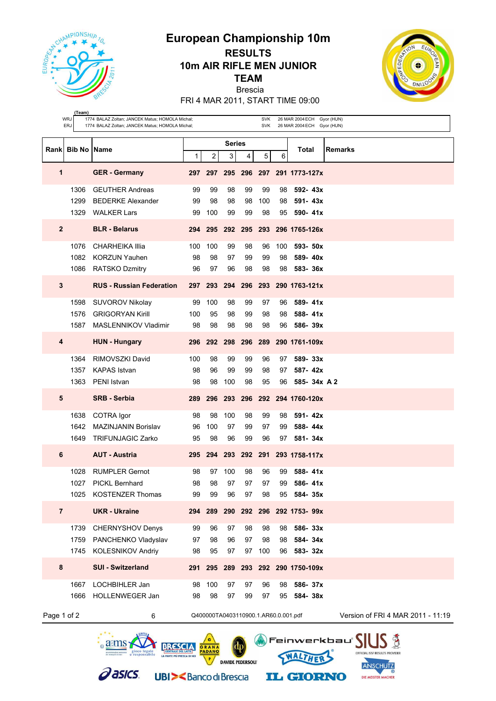**European Championship 10m**



**RESULTS 10m AIR RIFLE MEN JUNIOR**

**TEAM** Brescia



FRI 4 MAR 2011, START TIME 09:00

|                | (Team)<br>WRJ<br><b>ERJ</b> | 1774 BALAZ Zoltan; JANCEK Matus; HOMOLA Michal;<br>1774 BALAZ Zoltan; JANCEK Matus; HOMOLA Michal; |     |       |        |    | SVK<br><b>SVK</b>                    |     | 26 MAR 2004 ECH Gyor (HUN)<br>26 MAR 2004 ECH Gyor (HUN) |                                                |
|----------------|-----------------------------|----------------------------------------------------------------------------------------------------|-----|-------|--------|----|--------------------------------------|-----|----------------------------------------------------------|------------------------------------------------|
|                | Rank Bib No Name            |                                                                                                    |     |       | Series |    |                                      |     | Total                                                    | <b>Remarks</b>                                 |
|                |                             |                                                                                                    | 1   | 2     | 3      | 4  | 5                                    | 6   |                                                          |                                                |
| 1              |                             | <b>GER</b> - Germany                                                                               |     |       |        |    |                                      |     | 297 297 295 296 297 291 1773-127x                        |                                                |
|                | 1306                        | <b>GEUTHER Andreas</b>                                                                             | 99  | 99    | 98     | 99 | 99                                   | 98  | 592-43x                                                  |                                                |
|                | 1299                        | <b>BEDERKE Alexander</b>                                                                           | 99  | 98    | 98     | 98 | 100                                  | 98  | 591-43x                                                  |                                                |
|                | 1329                        | <b>WALKER Lars</b>                                                                                 | 99  | 100   | 99     | 99 | 98                                   | 95  | 590-41x                                                  |                                                |
| $\overline{2}$ |                             | <b>BLR</b> - Belarus                                                                               |     |       |        |    |                                      |     | 294 295 292 295 293 296 1765-126x                        |                                                |
|                | 1076                        | <b>CHARHEIKA Illia</b>                                                                             | 100 | 100   | 99     | 98 | 96                                   | 100 | 593- 50x                                                 |                                                |
|                | 1082                        | <b>KORZUN Yauhen</b>                                                                               | 98  | 98    | 97     | 99 | 99                                   | 98  | 589-40x                                                  |                                                |
|                |                             | 1086 RATSKO Dzmitry                                                                                | 96  | 97    | 96     | 98 | 98                                   | 98  | 583-36x                                                  |                                                |
| $\mathbf{3}$   |                             | <b>RUS - Russian Federation</b>                                                                    |     |       |        |    |                                      |     | 297 293 294 296 293 290 1763-121x                        |                                                |
|                | 1598                        | SUVOROV Nikolay                                                                                    | 99  | 100   | 98     | 99 | 97                                   | 96  | 589-41x                                                  |                                                |
|                | 1576                        | <b>GRIGORYAN Kirill</b>                                                                            | 100 | 95    | 98     | 99 | 98                                   | 98  | 588-41x                                                  |                                                |
|                | 1587                        | <b>MASLENNIKOV Vladimir</b>                                                                        | 98  | 98    | 98     | 98 | 98                                   | 96  | 586-39x                                                  |                                                |
| 4              |                             | <b>HUN - Hungary</b>                                                                               |     |       |        |    |                                      |     | 296 292 298 296 289 290 1761-109x                        |                                                |
|                | 1364                        | RIMOVSZKI David                                                                                    | 100 | 98    | 99     | 99 | 96                                   | 97  | 589-33x                                                  |                                                |
|                | 1357                        | <b>KAPAS Istvan</b>                                                                                | 98  | 96    | 99     | 99 | 98                                   | 97  | 587-42x                                                  |                                                |
|                | 1363                        | PENI Istvan                                                                                        | 98  | 98    | 100    | 98 | 95                                   | 96  | 585-34x A 2                                              |                                                |
| $5\phantom{1}$ |                             | <b>SRB - Serbia</b>                                                                                |     |       |        |    |                                      |     | 289 296 293 296 292 294 1760-120x                        |                                                |
|                | 1638                        | COTRA Igor                                                                                         | 98  | 98    | 100    | 98 | 99                                   | 98  | 591-42x                                                  |                                                |
|                | 1642                        | <b>MAZINJANIN Borislav</b>                                                                         | 96  | 100   | 97     | 99 | 97                                   | 99  | 588-44x                                                  |                                                |
|                | 1649                        | <b>TRIFUNJAGIC Zarko</b>                                                                           | 95  | 98    | 96     | 99 | 96                                   | 97  | 581-34x                                                  |                                                |
| 6              |                             | <b>AUT - Austria</b>                                                                               |     |       |        |    |                                      |     | 295 294 293 292 291 293 1758-117x                        |                                                |
|                | 1028                        | <b>RUMPLER Gernot</b>                                                                              | 98  | 97    | 100    | 98 | 96                                   | 99  | 588-41x                                                  |                                                |
|                |                             | 1027 PICKL Bernhard                                                                                | 98  | 98    | 97     | 97 | 97                                   | 99  | 586-41x                                                  |                                                |
|                |                             | 1025 KOSTENZER Thomas                                                                              | 99  | 99    | 96     | 97 | 98                                   |     | 95 584-35x                                               |                                                |
| $\overline{7}$ |                             | <b>UKR - Ukraine</b>                                                                               |     |       |        |    |                                      |     | 294 289 290 292 296 292 1753- 99x                        |                                                |
|                | 1739                        | <b>CHERNYSHOV Denys</b>                                                                            | 99  | 96    | 97     | 98 | 98                                   | 98  | 586-33x                                                  |                                                |
|                | 1759                        | PANCHENKO Vladyslav                                                                                | 97  | 98    | 96     | 97 | 98                                   | 98  | 584-34x                                                  |                                                |
|                |                             | 1745 KOLESNIKOV Andriy                                                                             | 98  | 95    | 97     | 97 | 100                                  | 96  | 583-32x                                                  |                                                |
| 8              |                             | <b>SUI - Switzerland</b>                                                                           |     |       |        |    |                                      |     | 291 295 289 293 292 290 1750-109x                        |                                                |
|                | 1667                        | LOCHBIHLER Jan                                                                                     | 98  | 100   | 97     | 97 | 96                                   | 98  | 586-37x                                                  |                                                |
|                | 1666                        | HOLLENWEGER Jan                                                                                    | 98  | 98    | 97     | 99 | 97                                   | 95  | 584-38x                                                  |                                                |
| Page 1 of 2    |                             | 6                                                                                                  |     |       |        |    | Q400000TA0403110900.1.AR60.0.001.pdf |     |                                                          | Version of FRI 4 MAR 2011 - 11:19              |
|                |                             |                                                                                                    |     | GRANA |        |    |                                      |     |                                                          | Feinwerkbau®<br>OFFICIAL ISSF RESULTS PROVIDER |

DAVIDE PEDERSOLIT

**UBI><BancodiBrescia** 

**Pasics** 

NALTHER

**IL GIORNO** 

ANSCHUTZ

DIE MEISTER MACHER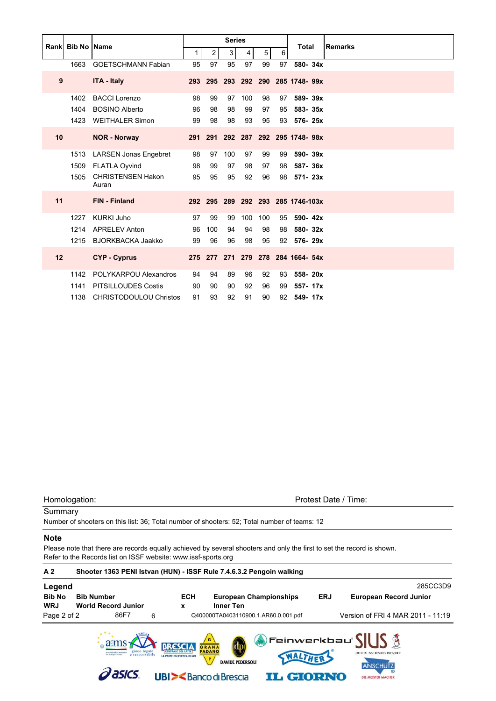|    | <b>Rankl Bib No IName</b> |                                   |              |                | <b>Series</b> |     |     |    | <b>Total</b>                      |  | <b>Remarks</b> |
|----|---------------------------|-----------------------------------|--------------|----------------|---------------|-----|-----|----|-----------------------------------|--|----------------|
|    |                           |                                   | $\mathbf{1}$ | $\overline{2}$ | 3             | 4   | 5   | 6  |                                   |  |                |
|    | 1663                      | <b>GOETSCHMANN Fabian</b>         | 95           | 97             | 95            | 97  | 99  | 97 | 580-34x                           |  |                |
| 9  |                           | <b>ITA - Italy</b>                |              |                |               |     |     |    | 293 295 293 292 290 285 1748-99x  |  |                |
|    | 1402                      | <b>BACCI Lorenzo</b>              | 98           | 99             | 97            | 100 | 98  | 97 | 589-39x                           |  |                |
|    | 1404                      | <b>BOSINO Alberto</b>             | 96           | 98             | 98            | 99  | 97  | 95 | 583-35x                           |  |                |
|    | 1423                      | <b>WEITHALER Simon</b>            | 99           | 98             | 98            | 93  | 95  | 93 | 576-25x                           |  |                |
| 10 |                           | <b>NOR - Norway</b>               |              |                |               |     |     |    | 291 291 292 287 292 295 1748 98x  |  |                |
|    | 1513                      | <b>LARSEN Jonas Engebret</b>      | 98           | 97             | 100           | 97  | 99  | 99 | 590-39x                           |  |                |
|    | 1509                      | <b>FLATLA Ovvind</b>              | 98           | 99             | 97            | 98  | 97  | 98 | 587-36x                           |  |                |
|    | 1505                      | <b>CHRISTENSEN Hakon</b><br>Auran | 95           | 95             | 95            | 92  | 96  | 98 | 571-23x                           |  |                |
| 11 |                           | <b>FIN - Finland</b>              |              |                |               |     |     |    | 292 295 289 292 293 285 1746-103x |  |                |
|    | 1227                      | <b>KURKI Juho</b>                 | 97           | 99             | 99            | 100 | 100 | 95 | 590-42x                           |  |                |
|    | 1214                      | <b>APRELEV Anton</b>              | 96           | 100            | 94            | 94  | 98  | 98 | 580-32x                           |  |                |
|    | 1215                      | <b>BJORKBACKA Jaakko</b>          | 99           | 96             | 96            | 98  | 95  | 92 | 576-29x                           |  |                |
| 12 |                           | <b>CYP - Cyprus</b>               |              |                |               |     |     |    | 275 277 271 279 278 284 1664- 54x |  |                |
|    | 1142                      | POLYKARPOU Alexandros             | 94           | 94             | 89            | 96  | 92  | 93 | 558-20x                           |  |                |
|    | 1141                      | <b>PITSILLOUDES Costis</b>        | 90           | 90             | 90            | 92  | 96  | 99 | 557-17x                           |  |                |
|    | 1138                      | <b>CHRISTODOULOU Christos</b>     | 91           | 93             | 92            | 91  | 90  | 92 | 549-17x                           |  |                |

## Summary

Number of shooters on this list: 36; Total number of shooters: 52; Total number of teams: 12

### **Note**

Please note that there are records equally achieved by several shooters and only the first to set the record is shown. Refer to the Records list on ISSF website: www.issf-sports.org

| A <sub>2</sub>              |                                                 |                                                                                      | Shooter 1363 PENI Istvan (HUN) - ISSF Rule 7.4.6.3.2 Pengoin walking                                 |            |                                                                                                                                                                      |
|-----------------------------|-------------------------------------------------|--------------------------------------------------------------------------------------|------------------------------------------------------------------------------------------------------|------------|----------------------------------------------------------------------------------------------------------------------------------------------------------------------|
| Legend                      |                                                 |                                                                                      |                                                                                                      |            | 285CC3D9                                                                                                                                                             |
| <b>Bib No</b><br><b>WRJ</b> | <b>Bib Number</b><br><b>World Record Junior</b> | <b>ECH</b><br>x                                                                      | <b>European Championships</b><br><b>Inner Ten</b>                                                    | <b>ERJ</b> | <b>European Record Junior</b>                                                                                                                                        |
| Page 2 of 2                 | 86F7                                            | 6                                                                                    | Q400000TA0403110900.1.AR60.0.001.pdf                                                                 |            | Version of FRI 4 MAR 2011 - 11:19                                                                                                                                    |
|                             | gioco legale<br>responsabile<br><b>asics</b>    | LA PARTE PIÙ FRESCA DI NOI<br><b>UBI&gt;<bancodibrescia< b=""></bancodibrescia<></b> | $\sqrt{6}$<br>GRANA<br><b>PADANC</b><br>WALTHER<br>P.<br><b>DAVIDE PEDERSOLI</b><br><b>IL GIORNO</b> |            | $\mathbb{A}$ Feinwerkbau $\mathsf{S}\mathsf{I}\mathsf{I}\mathsf{S}$ $\mathbb{\mathsf{S}}$<br>OFFICIAL ISSF RESULTS PROVIDER<br><b>ANSCHUTZ</b><br>DIE MEISTER MACHER |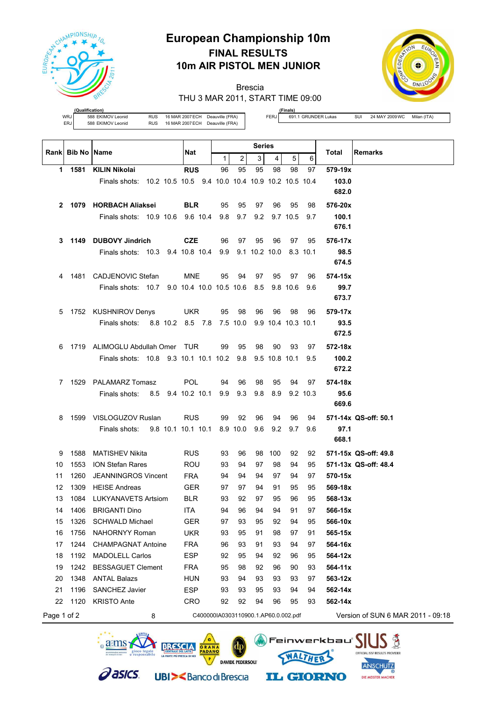

# **European Championship 10m FINAL RESULTS 10m AIR PISTOL MEN JUNIOR**

Brescia



THU 3 MAR 2011, START TIME 09:00

**(fication)**<br>588 EKIMOV Leonid WRJ 588 EKIMOV Leonid RUS 16 MAR 2007 ECH Deauville (FRA)<br>ERJ 588 EKIMOV Leonid RUS 16 MAR 2007 ECH Deauville (FRA)

**(Finals)**

FERJ 691.1 GRUNDER Lukas SUI 24 MAY 2009 WC Milan (ITA)

|              | Rank Bib No Name |                                                                | Nat                                  | <b>Series</b> |          |              |                    |          | <b>Remarks</b><br>Total |                                   |
|--------------|------------------|----------------------------------------------------------------|--------------------------------------|---------------|----------|--------------|--------------------|----------|-------------------------|-----------------------------------|
|              |                  |                                                                |                                      | $\mathbf{1}$  | 2        | $\mathbf{3}$ | 4                  | 5        | 6                       |                                   |
| 1.           | 1581             | <b>KILIN Nikolai</b>                                           | <b>RUS</b>                           | 96            | 95       | 95           | 98                 | 98       | 97                      | 579-19x                           |
|              |                  | Finals shots: 10.2 10.5 10.5 9.4 10.0 10.4 10.9 10.2 10.5 10.4 |                                      |               |          |              |                    |          |                         | 103.0                             |
|              |                  |                                                                |                                      |               |          |              |                    |          |                         | 682.0                             |
| $\mathbf{2}$ |                  | 1079 HORBACH Aliaksei                                          | <b>BLR</b>                           | 95            | 95       | 97           | 96                 | 95       | 98                      | 576-20x                           |
|              |                  | Finals shots: 10.9 10.6 9.6 10.4                               |                                      | 9.8           | 9.7      | 9.2          |                    | 9.7 10.5 | 9.7                     | 100.1                             |
|              |                  |                                                                |                                      |               |          |              |                    |          |                         | 676.1                             |
| 3.           |                  | 1149 DUBOVY Jindrich                                           | <b>CZE</b>                           | 96            | 97       | 95           | 96                 | 97       | 95                      | 576-17x                           |
|              |                  | Finals shots: 10.3 9.4 10.8 10.4 9.9 9.1 10.2 10.0             |                                      |               |          |              |                    |          | 8.3 10.1                | 98.5                              |
|              |                  |                                                                |                                      |               |          |              |                    |          |                         | 674.5                             |
| 4            | 1481             | CADJENOVIC Stefan                                              | MNE                                  | 95            | 94       | 97           | 95                 | 97       | 96                      | 574-15x                           |
|              |                  | Finals shots: 10.7 9.0 10.4 10.0 10.5 10.6                     |                                      |               |          | 8.5          |                    | 9.8 10.6 | 9.6                     | 99.7                              |
|              |                  |                                                                |                                      |               |          |              |                    |          |                         | 673.7                             |
| 5            |                  | 1752 KUSHNIROV Denys                                           | UKR                                  | 95            | 98       | 96           | 96                 | 98       | 96                      | 579-17x                           |
|              |                  | 8.8 10.2 8.5 7.8<br>Finals shots:                              |                                      |               | 7.5 10.0 |              | 9.9 10.4 10.3 10.1 |          |                         | 93.5                              |
|              |                  |                                                                |                                      |               |          |              |                    |          |                         | 672.5                             |
| 6            |                  | 1719 ALIMOGLU Abdullah Omer TUR                                |                                      | 99            | 95       | 98           | 90                 | 93       | 97                      | 572-18x                           |
|              |                  | Finals shots: 10.8 9.3 10.1 10.1 10.2 9.8 9.5 10.8 10.1        |                                      |               |          |              |                    |          | 9.5                     | 100.2                             |
|              |                  |                                                                |                                      |               |          |              |                    |          |                         | 672.2                             |
| 7            |                  | 1529 PALAMARZ Tomasz                                           | <b>POL</b>                           | 94            | 96       | 98           | 95                 | 94       | 97                      | 574-18x                           |
|              |                  | 8.5 9.4 10.2 10.1<br>Finals shots:                             |                                      | 9.9           | 9.3      | 9.8          | 8.9                |          | 9.2 10.3                | 95.6                              |
|              |                  |                                                                |                                      |               |          |              |                    |          |                         | 669.6                             |
| 8            |                  | 1599 VISLOGUZOV Ruslan                                         | <b>RUS</b>                           | 99            | 92       | 96           | 94                 | 96       | 94                      | 571-14x QS-off: 50.1              |
|              |                  | 9.8 10.1 10.1 10.1<br>Finals shots:                            |                                      |               | 8.9 10.0 | 9.6          | 9.2                | 9.7      | 9.6                     | 97.1                              |
|              |                  |                                                                |                                      |               |          |              |                    |          |                         | 668.1                             |
| 9            | 1588             | <b>MATISHEV Nikita</b>                                         | <b>RUS</b>                           | 93            | 96       |              | 98 100             | 92       | 92                      | 571-15x QS-off: 49.8              |
| 10           | 1553             | <b>ION Stefan Rares</b>                                        | <b>ROU</b>                           | 93            | 94       | 97           | 98                 | 94       | 95                      | 571-13x QS-off: 48.4              |
| 11           | 1260             | JEANNINGROS Vincent                                            | <b>FRA</b>                           | 94            | 94       | 94           | 97                 | 94       | 97                      | 570-15x                           |
| 12           | 1309             | <b>HEISE Andreas</b>                                           | <b>GER</b>                           | 97            | 97       | 94           | 91                 | 95       | 95                      | 569-18x                           |
| 13           | 1084             | <b>LUKYANAVETS Artsiom</b>                                     | BLR.                                 | 93            | 92       | 97           | 95                 | 96       | 95                      | 568-13x                           |
| 14           |                  | 1406 BRIGANTI Dino                                             | ITA                                  | 94            | 96       | 94           | 94                 | 91       | 97                      | 566-15x                           |
| 15           | 1326             | <b>SCHWALD Michael</b>                                         | GER                                  | 97            | 93       | 95           | 92                 | 94       | 95                      | 566-10x                           |
| 16           | 1756             | NAHORNYY Roman                                                 | <b>UKR</b>                           | 93            | 95       | 91           | 98                 | 97       | 91                      | 565-15x                           |
| 17           | 1244             | <b>CHAMPAGNAT Antoine</b>                                      | <b>FRA</b>                           | 96            | 93       | 91           | 93                 | 94       | 97                      | 564-16x                           |
| 18           | 1192             | <b>MADOLELL Carlos</b>                                         | <b>ESP</b>                           | 92            | 95       | 94           | 92                 | 96       | 95                      | 564-12x                           |
| 19           | 1242             | <b>BESSAGUET Clement</b>                                       | <b>FRA</b>                           | 95            | 98       | 92           | 96                 | 90       | 93                      | 564-11x                           |
| 20           | 1348             | <b>ANTAL Balazs</b>                                            | <b>HUN</b>                           | 93            | 94       | 93           | 93                 | 93       | 97                      | 563-12x                           |
| 21           | 1196             | SANCHEZ Javier                                                 | <b>ESP</b>                           | 93            | 93       | 95           | 93                 | 94       | 94                      | 562-14x                           |
| 22           | 1120             | <b>KRISTO Ante</b>                                             | <b>CRO</b>                           | 92            | 92       | 94           | 96                 | 95       | 93                      | 562-14x                           |
| Page 1 of 2  |                  | 8                                                              | C400000IA0303110900.1.AP60.0.002.pdf |               |          |              |                    |          |                         | Version of SUN 6 MAR 2011 - 09:18 |

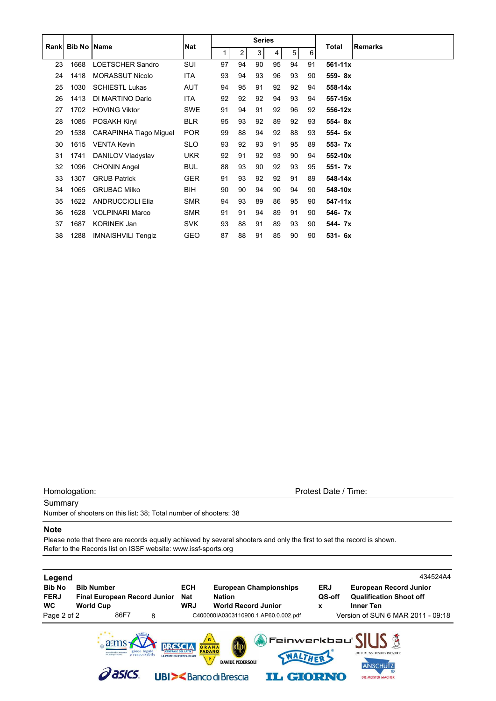|    | Rank Bib No Name |                           | <b>Nat</b> |    |                | <b>Series</b> |    |    |    | Total       | <b>Remarks</b> |
|----|------------------|---------------------------|------------|----|----------------|---------------|----|----|----|-------------|----------------|
|    |                  |                           |            | 1  | $\overline{2}$ | 3             | 4  | 5  | 6  |             |                |
| 23 | 1668             | LOETSCHER Sandro          | SUI        | 97 | 94             | 90            | 95 | 94 | 91 | 561-11x     |                |
| 24 | 1418             | <b>MORASSUT Nicolo</b>    | <b>ITA</b> | 93 | 94             | 93            | 96 | 93 | 90 | 559-8x      |                |
| 25 | 1030             | <b>SCHIESTL Lukas</b>     | AUT        | 94 | 95             | 91            | 92 | 92 | 94 | 558-14x     |                |
| 26 | 1413             | DI MARTINO Dario          | ITA        | 92 | 92             | 92            | 94 | 93 | 94 | 557-15x     |                |
| 27 | 1702             | <b>HOVING Viktor</b>      | SWE        | 91 | 94             | 91            | 92 | 96 | 92 | 556-12x     |                |
| 28 | 1085             | <b>POSAKH Kiryl</b>       | <b>BLR</b> | 95 | 93             | 92            | 89 | 92 | 93 | 554-8x      |                |
| 29 | 1538             | CARAPINHA Tiago Miguel    | POR.       | 99 | 88             | 94            | 92 | 88 | 93 | 554- 5x     |                |
| 30 | 1615             | <b>VENTA Kevin</b>        | <b>SLO</b> | 93 | 92             | 93            | 91 | 95 | 89 | 553- 7x     |                |
| 31 | 1741             | DANILOV Vladyslav         | <b>UKR</b> | 92 | 91             | 92            | 93 | 90 | 94 | 552-10x     |                |
| 32 | 1096             | <b>CHONIN Angel</b>       | <b>BUL</b> | 88 | 93             | 90            | 92 | 93 | 95 | 551- 7x     |                |
| 33 | 1307             | <b>GRUB Patrick</b>       | <b>GER</b> | 91 | 93             | 92            | 92 | 91 | 89 | 548-14x     |                |
| 34 | 1065             | <b>GRUBAC Milko</b>       | <b>BIH</b> | 90 | 90             | 94            | 90 | 94 | 90 | 548-10x     |                |
| 35 | 1622             | <b>ANDRUCCIOLI Elia</b>   | <b>SMR</b> | 94 | 93             | 89            | 86 | 95 | 90 | $547 - 11x$ |                |
| 36 | 1628             | <b>VOLPINARI Marco</b>    | <b>SMR</b> | 91 | 91             | 94            | 89 | 91 | 90 | 546- 7x     |                |
| 37 | 1687             | <b>KORINEK Jan</b>        | <b>SVK</b> | 93 | 88             | 91            | 89 | 93 | 90 | 544- 7x     |                |
| 38 | 1288             | <b>IMNAISHVILI Tengiz</b> | <b>GEO</b> | 87 | 88             | 91            | 85 | 90 | 90 | 531- 6x     |                |

## **Summary**

Number of shooters on this list: 38; Total number of shooters: 38

### **Note**

Please note that there are records equally achieved by several shooters and only the first to set the record is shown. Refer to the Records list on ISSF website: www.issf-sports.org

| Legend                                    |                                                                              |   |                                        |                                                                                                                                                                       |                           | 434524A4                                                                            |
|-------------------------------------------|------------------------------------------------------------------------------|---|----------------------------------------|-----------------------------------------------------------------------------------------------------------------------------------------------------------------------|---------------------------|-------------------------------------------------------------------------------------|
| <b>Bib No</b><br><b>FERJ</b><br><b>WC</b> | <b>Bib Number</b><br><b>Final European Record Junior</b><br><b>World Cup</b> |   | <b>ECH</b><br><b>Nat</b><br><b>WRJ</b> | <b>European Championships</b><br><b>Nation</b><br><b>World Record Junior</b>                                                                                          | <b>ERJ</b><br>QS-off<br>X | <b>European Record Junior</b><br><b>Qualification Shoot off</b><br><b>Inner Ten</b> |
| Page 2 of 2                               | 86F7                                                                         | 8 |                                        | C400000IA0303110900.1.AP60.0.002.pdf                                                                                                                                  |                           | Version of SUN 6 MAR 2011 - 09:18                                                   |
|                                           | gioco legale<br>e responsabile<br>asics                                      |   | LA PARTE PIÙ FRESCA DI NOI             | Feinwerkbau' $\bm \varsigma$   <br>G<br>GRANA<br><b>PADANO</b><br>. WALTHER<br>P<br><b>DAVIDE PEDERSOLI</b><br><b>UBI&gt;<bancodibrescia< b=""></bancodibrescia<></b> | <b>GIORNO</b>             | OFFICIAL ISSF RESULTS PROVIDER<br><b>ANSCHUTZ</b><br>DIE MEISTER MACHER             |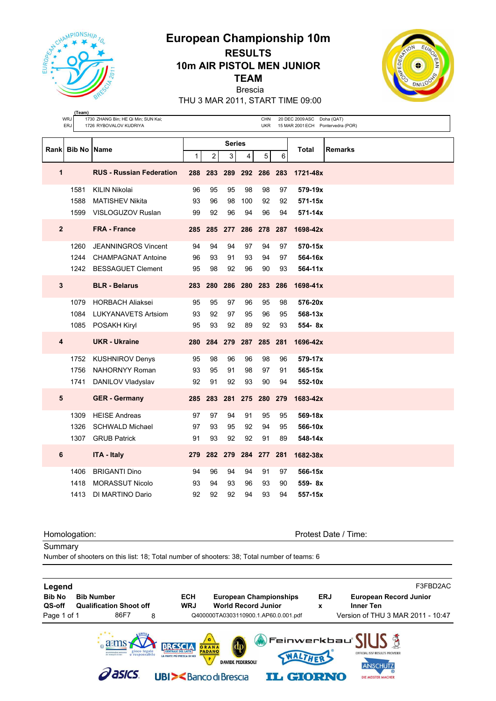

ESSENTIAL AND MANPIONSHIP

**RESULTS 10m AIR PISTOL MEN JUNIOR TEAM** Brescia



THU 3 MAR 2011, START TIME 09:00

| (Team)<br><b>WRJ</b><br>1730 ZHANG Bin; HE Qi Min; SUN Kai;<br><b>CHN</b><br>20 DEC 2009 ASC Doha (QAT) |                      |                                 |     |                     |               |                 |            |                                   |              |                |  |  |  |
|---------------------------------------------------------------------------------------------------------|----------------------|---------------------------------|-----|---------------------|---------------|-----------------|------------|-----------------------------------|--------------|----------------|--|--|--|
|                                                                                                         | <b>ERJ</b>           | 1726 RYBOVALOV KUDRIYA          |     |                     |               |                 | <b>UKR</b> | 15 MAR 2001 ECH Pontervedra (POR) |              |                |  |  |  |
|                                                                                                         |                      |                                 |     |                     |               |                 |            |                                   |              |                |  |  |  |
| Rank                                                                                                    | <b>Bib No   Name</b> |                                 |     |                     | <b>Series</b> |                 |            |                                   | Total        | <b>Remarks</b> |  |  |  |
|                                                                                                         |                      |                                 | 1   | $\overline{2}$      | 3             | 4               | 5          | 6                                 |              |                |  |  |  |
| 1                                                                                                       |                      | <b>RUS - Russian Federation</b> | 288 |                     |               | 283 289 292 286 |            | 283                               | 1721-48x     |                |  |  |  |
|                                                                                                         | 1581                 | <b>KILIN Nikolai</b>            | 96  | 95                  | 95            | 98              | 98         | 97                                | 579-19x      |                |  |  |  |
|                                                                                                         | 1588                 | <b>MATISHEV Nikita</b>          | 93  | 96                  | 98            | 100             | 92         | 92                                | 571-15x      |                |  |  |  |
|                                                                                                         | 1599                 | VISLOGUZOV Ruslan               | 99  | 92                  | 96            | 94              | 96         | 94                                | 571-14x      |                |  |  |  |
| $\overline{2}$                                                                                          |                      | <b>FRA - France</b>             |     | 285 285 277 286 278 |               |                 |            | 287                               | 1698-42x     |                |  |  |  |
|                                                                                                         | 1260                 | <b>JEANNINGROS Vincent</b>      | 94  | 94                  | 94            | 97              | 94         | 97                                | 570-15x      |                |  |  |  |
|                                                                                                         | 1244                 | <b>CHAMPAGNAT Antoine</b>       | 96  | 93                  | 91            | 93              | 94         | 97                                | 564-16x      |                |  |  |  |
|                                                                                                         | 1242                 | <b>BESSAGUET Clement</b>        | 95  | 98                  | 92            | 96              | 90         | 93                                | $564 - 11x$  |                |  |  |  |
| 3                                                                                                       |                      | <b>BLR</b> - Belarus            | 283 | 280                 | 286           | 280             | 283        | 286                               | $1698 - 41x$ |                |  |  |  |
|                                                                                                         | 1079                 | <b>HORBACH Aliaksei</b>         | 95  | 95                  | 97            | 96              | 95         | 98                                | 576-20x      |                |  |  |  |
|                                                                                                         | 1084                 | <b>LUKYANAVETS Artsiom</b>      | 93  | 92                  | 97            | 95              | 96         | 95                                | 568-13x      |                |  |  |  |
|                                                                                                         |                      | 1085 POSAKH Kiryl               | 95  | 93                  | 92            | 89              | 92         | 93                                | 554-8x       |                |  |  |  |
| $\overline{\mathbf{4}}$                                                                                 |                      | <b>UKR</b> - Ukraine            |     | 280 284 279 287     |               |                 | 285        | 281                               | 1696-42x     |                |  |  |  |
|                                                                                                         | 1752                 | <b>KUSHNIROV Denys</b>          | 95  | 98                  | 96            | 96              | 98         | 96                                | 579-17x      |                |  |  |  |
|                                                                                                         | 1756                 | NAHORNYY Roman                  | 93  | 95                  | 91            | 98              | 97         | 91                                | 565-15x      |                |  |  |  |
|                                                                                                         | 1741                 | DANILOV Vladyslav               | 92  | 91                  | 92            | 93              | 90         | 94                                | 552-10x      |                |  |  |  |
| 5                                                                                                       |                      | <b>GER</b> - Germany            |     | 285 283 281         |               |                 | 275 280    | 279                               | 1683-42x     |                |  |  |  |
|                                                                                                         | 1309                 | <b>HEISE Andreas</b>            | 97  | 97                  | 94            | 91              | 95         | 95                                | 569-18x      |                |  |  |  |
|                                                                                                         | 1326                 | <b>SCHWALD Michael</b>          | 97  | 93                  | 95            | 92              | 94         | 95                                | 566-10x      |                |  |  |  |
|                                                                                                         | 1307                 | <b>GRUB Patrick</b>             | 91  | 93                  | 92            | 92              | 91         | 89                                | 548-14x      |                |  |  |  |
| 6                                                                                                       |                      | <b>ITA - Italy</b>              | 279 |                     | 282 279       | 284             | 277        | 281                               | 1682-38x     |                |  |  |  |
|                                                                                                         | 1406                 | <b>BRIGANTI Dino</b>            | 94  | 96                  | 94            | 94              | 91         | 97                                | 566-15x      |                |  |  |  |
|                                                                                                         | 1418                 | <b>MORASSUT Nicolo</b>          | 93  | 94                  | 93            | 96              | 93         | 90                                | $559 - 8x$   |                |  |  |  |
|                                                                                                         | 1413                 | DI MARTINO Dario                | 92  | 92                  | 92            | 94              | 93         | 94                                | 557-15x      |                |  |  |  |

Homologation: Protest Date / Time:

**Summary** Number of shooters on this list: 18; Total number of shooters: 38; Total number of teams: 6

**Legend** F3FBD2AC **Bib No Bib Number ECH European Championships ERJ European Record Junior QS-off Qualification Shoot off WRJ World Record Junior x Inner Ten** Page 1 of 1 86F7 8 Q400000TA0303110900.1.AP60.0.001.pdf Version of THU 3 MAR 2011 - 10:47 Feinwer ·kbau ams **RESULTS PROVIDER DAVIDE PEDERSOLI ANSCHUTZ** *dasics* **UBI><BancodiBrescia IL GIORNO** DIE MEISTER MACHER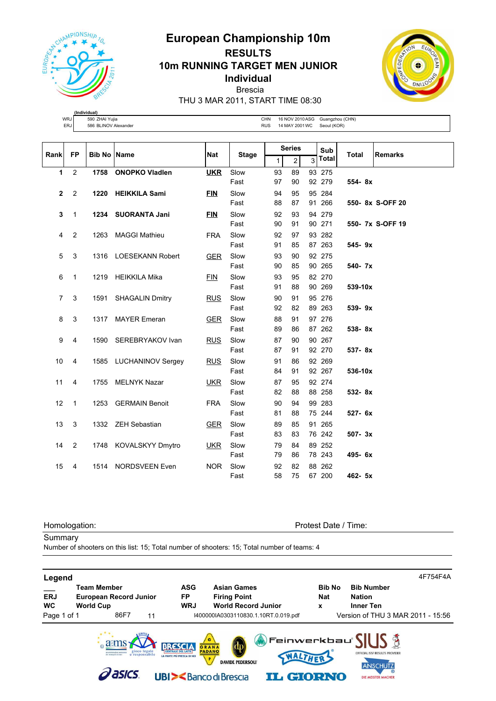

# **European Championship 10m RESULTS 10m RUNNING TARGET MEN JUNIOR Individual** Brescia



THU 3 MAR 2011, START TIME 08:30

|     | (Individual) |                      |            |                 |                 |
|-----|--------------|----------------------|------------|-----------------|-----------------|
| WRJ |              | 590 ZHAI Yujia       | CHN        | 16 NOV 2010 ASG | Guangzhou (CHN) |
| ERJ |              | 586 BLINOV Alexander | <b>RUS</b> | 14 MAY 2001 WC  | Seoul (KOR)     |
|     |              |                      |            |                 |                 |

**Series**

| Rank           | <b>FP</b>      | <b>Bib No Name</b> |                        | <b>Nat</b> | <b>Stage</b> | peries |                | Sub<br><b>Total</b> |              | <b>Remarks</b> |                  |
|----------------|----------------|--------------------|------------------------|------------|--------------|--------|----------------|---------------------|--------------|----------------|------------------|
|                |                |                    |                        |            |              | 1      | $\overline{2}$ | 3                   | <b>Total</b> |                |                  |
| 1              | 2              | 1758               | <b>ONOPKO Vladlen</b>  | <b>UKR</b> | Slow         | 93     | 89             |                     | 93 275       |                |                  |
|                |                |                    |                        |            | Fast         | 97     | 90             |                     | 92 279       | $554 - 8x$     |                  |
| $\mathbf{2}$   | $\overline{2}$ | 1220               | <b>HEIKKILA Sami</b>   | <b>FIN</b> | Slow         | 94     | 95             |                     | 95 284       |                |                  |
|                |                |                    |                        |            | Fast         | 88     | 87             |                     | 91 266       |                | 550- 8x S-OFF 20 |
| 3              | $\mathbf 1$    | 1234               | <b>SUORANTA Jani</b>   | <b>FIN</b> | Slow         | 92     | 93             |                     | 94 279       |                |                  |
|                |                |                    |                        |            | Fast         | 90     | 91             |                     | 90 271       |                | 550- 7x S-OFF 19 |
| $\overline{4}$ | $\overline{2}$ | 1263               | <b>MAGGI Mathieu</b>   | <b>FRA</b> | Slow         | 92     | 97             |                     | 93 282       |                |                  |
|                |                |                    |                        |            | Fast         | 91     | 85             |                     | 87 263       | 545-9x         |                  |
| 5              | 3              |                    | 1316 LOESEKANN Robert  | <b>GER</b> | Slow         | 93     | 90             |                     | 92 275       |                |                  |
|                |                |                    |                        |            | Fast         | 90     | 85             |                     | 90 265       | 540- 7x        |                  |
| 6              | 1              |                    | 1219 HEIKKILA Mika     | <b>FIN</b> | Slow         | 93     | 95             |                     | 82 270       |                |                  |
|                |                |                    |                        |            | Fast         | 91     | 88             |                     | 90 269       | 539-10x        |                  |
| $\overline{7}$ | 3              | 1591               | <b>SHAGALIN Dmitry</b> | <b>RUS</b> | Slow         | 90     | 91             |                     | 95 276       |                |                  |
|                |                |                    |                        |            | Fast         | 92     | 82             |                     | 89 263       | 539-9x         |                  |
| 8              | 3              | 1317               | <b>MAYER Emeran</b>    | <b>GER</b> | Slow         | 88     | 91             |                     | 97 276       |                |                  |
|                |                |                    |                        |            | Fast         | 89     | 86             |                     | 87 262       | 538-8x         |                  |
| 9              | $\overline{4}$ |                    | 1590 SEREBRYAKOV Ivan  | <b>RUS</b> | Slow         | 87     | 90             |                     | 90 267       |                |                  |
|                |                |                    |                        |            | Fast         | 87     | 91             |                     | 92 270       | 537-8x         |                  |
| 10             | 4              |                    | 1585 LUCHANINOV Sergey | <b>RUS</b> | Slow         | 91     | 86             |                     | 92 269       |                |                  |
|                |                |                    |                        |            | Fast         | 84     | 91             |                     | 92 267       | 536-10x        |                  |
| 11             | $\overline{4}$ | 1755               | <b>MELNYK Nazar</b>    | <b>UKR</b> | Slow         | 87     | 95             |                     | 92 274       |                |                  |
|                |                |                    |                        |            | Fast         | 82     | 88             |                     | 88 258       | 532-8x         |                  |
| 12             | 1              |                    | 1253 GERMAIN Benoit    | <b>FRA</b> | Slow         | 90     | 94             |                     | 99 283       |                |                  |
|                |                |                    |                        |            | Fast         | 81     | 88             |                     | 75 244       | 527- 6x        |                  |
| 13             | 3              |                    | 1332 ZEH Sebastian     | <b>GER</b> | Slow         | 89     | 85             |                     | 91 265       |                |                  |
|                |                |                    |                        |            | Fast         | 83     | 83             |                     | 76 242       | $507 - 3x$     |                  |
| 14             | $\overline{2}$ |                    | 1748 KOVALSKYY Dmytro  | <b>UKR</b> | Slow         | 79     | 84             |                     | 89 252       |                |                  |
|                |                |                    |                        |            | Fast         | 79     | 86             |                     | 78 243       | 495-6x         |                  |
| 15             | 4              | 1514               | <b>NORDSVEEN Even</b>  | <b>NOR</b> | Slow         | 92     | 82             |                     | 88 262       |                |                  |
|                |                |                    |                        |            | Fast         | 58     | 75             |                     | 67 200       | 462- 5x        |                  |

Homologation: Protest Date / Time:

**Summary** 

Number of shooters on this list: 15; Total number of shooters: 15; Total number of teams: 4

| Legend                  |                                                                         |                                |                                                                                                                                        |                                  | 4F754F4A                                                                                                                                                                   |
|-------------------------|-------------------------------------------------------------------------|--------------------------------|----------------------------------------------------------------------------------------------------------------------------------------|----------------------------------|----------------------------------------------------------------------------------------------------------------------------------------------------------------------------|
| <b>ERJ</b><br><b>WC</b> | <b>Team Member</b><br><b>European Record Junior</b><br><b>World Cup</b> | <b>ASG</b><br>FP<br><b>WRJ</b> | <b>Asian Games</b><br><b>Firing Point</b><br><b>World Record Junior</b>                                                                | <b>Bib No</b><br><b>Nat</b><br>x | <b>Bib Number</b><br><b>Nation</b><br><b>Inner Ten</b>                                                                                                                     |
| Page 1 of 1             | 86F7<br>11                                                              |                                | I400000IA0303110830.1.10RT.0.019.pdf                                                                                                   |                                  | Version of THU 3 MAR 2011 - 15:56                                                                                                                                          |
|                         | gioco legale<br>e responsabile<br><b>asics</b>                          | LA PARTE PIÙ FRESCA DI NOI     | G<br>GRANA<br>WALTHER.<br>P.<br><b>DAVIDE PEDERSOLI</b><br><b>UBI&gt;<bancodibrescia< b=""><br/><b>IL GIORNO</b></bancodibrescia<></b> |                                  | Feinwerkbau $\textstyle\bigcap\limits_{\mathbb{R}}\bigl[\bigcup\limits_{\mathbb{R}}\delta\big]$<br>OFFICIAL ISSF RESULTS PROVIDER<br><b>ANSCHUTZ</b><br>DIE MEISTER MACHER |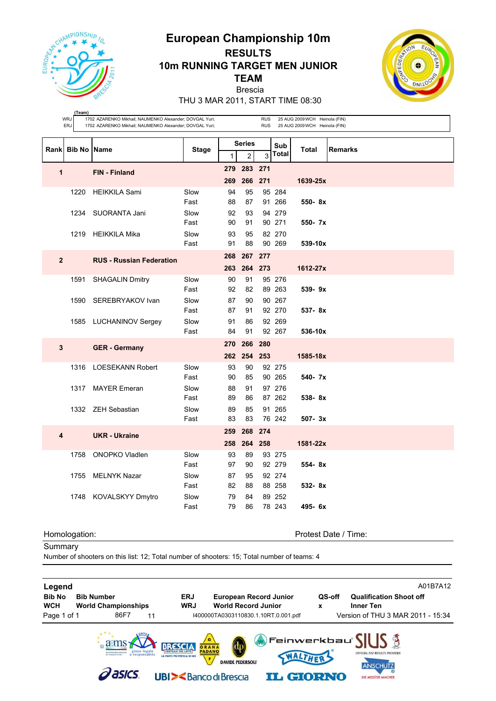

**(Team)**

## **European Championship 10m RESULTS 10m RUNNING TARGET MEN JUNIOR TEAM** Brescia



THU 3 MAR 2011, START TIME 08:30

|                         | <b>WRJ</b><br><b>ERJ</b> | 1702 AZARENKO Mikhail; NAUMENKO Alexander; DOVGAL Yuri;<br>1702 AZARENKO Mikhail; NAUMENKO Alexander; DOVGAL Yuri; |              |     |                | <b>RUS</b><br><b>RUS</b> |              | 25 AUG 2009 WCH Heinola (FIN)<br>25 AUG 2009 WCH Heinola (FIN) |                |
|-------------------------|--------------------------|--------------------------------------------------------------------------------------------------------------------|--------------|-----|----------------|--------------------------|--------------|----------------------------------------------------------------|----------------|
| Rank                    | Bib No                   | <b>Name</b>                                                                                                        | <b>Stage</b> |     | <b>Series</b>  |                          | Sub          | <b>Total</b>                                                   | <b>Remarks</b> |
|                         |                          |                                                                                                                    |              | 1   | $\overline{2}$ | 3                        | <b>Total</b> |                                                                |                |
| 1                       |                          | FIN - Finland                                                                                                      |              | 279 |                | 283 271                  |              |                                                                |                |
|                         |                          |                                                                                                                    |              | 269 |                | 266 271                  |              | 1639-25x                                                       |                |
|                         | 1220                     | <b>HEIKKILA Sami</b>                                                                                               | Slow         | 94  | 95             |                          | 95 284       |                                                                |                |
|                         |                          |                                                                                                                    | Fast         | 88  | 87             |                          | 91 266       | 550-8x                                                         |                |
|                         | 1234                     | SUORANTA Jani                                                                                                      | Slow         | 92  | 93             |                          | 94 279       |                                                                |                |
|                         |                          |                                                                                                                    | Fast         | 90  | 91             |                          | 90 271       | 550- 7x                                                        |                |
|                         | 1219                     | HEIKKILA Mika                                                                                                      | Slow         | 93  | 95             |                          | 82 270       |                                                                |                |
|                         |                          |                                                                                                                    | Fast         | 91  | 88             |                          | 90 269       | 539-10x                                                        |                |
| $\overline{2}$          |                          | <b>RUS - Russian Federation</b>                                                                                    |              | 268 | 267 277        |                          |              |                                                                |                |
|                         |                          |                                                                                                                    |              |     | 263 264 273    |                          |              | 1612-27x                                                       |                |
|                         | 1591                     | <b>SHAGALIN Dmitry</b>                                                                                             | Slow         | 90  | 91             |                          | 95 276       |                                                                |                |
|                         |                          |                                                                                                                    | Fast         | 92  | 82             |                          | 89 263       | 539-9x                                                         |                |
|                         |                          | 1590 SEREBRYAKOV Ivan                                                                                              | Slow         | 87  | 90             |                          | 90 267       |                                                                |                |
|                         |                          |                                                                                                                    | Fast         | 87  | 91             |                          | 92 270       | 537-8x                                                         |                |
|                         |                          | 1585 LUCHANINOV Sergey                                                                                             | Slow         | 91  | 86             |                          | 92 269       |                                                                |                |
|                         |                          |                                                                                                                    | Fast         | 84  | 91             |                          | 92 267       | 536-10x                                                        |                |
| $\overline{\mathbf{3}}$ |                          | <b>GER</b> - Germany                                                                                               |              | 270 | 266            | 280                      |              |                                                                |                |
|                         |                          |                                                                                                                    |              |     | 262 254        | 253                      |              | 1585-18x                                                       |                |
|                         |                          | 1316 LOESEKANN Robert                                                                                              | Slow         | 93  | 90             |                          | 92 275       |                                                                |                |
|                         |                          |                                                                                                                    | Fast         | 90  | 85             |                          | 90 265       | 540- 7x                                                        |                |
|                         | 1317                     | <b>MAYER Emeran</b>                                                                                                | Slow         | 88  | 91             |                          | 97 276       |                                                                |                |
|                         |                          |                                                                                                                    | Fast         | 89  | 86             |                          | 87 262       | $538 - 8x$                                                     |                |
|                         |                          | 1332 ZEH Sebastian                                                                                                 | Slow         | 89  | 85             |                          | 91 265       |                                                                |                |
|                         |                          |                                                                                                                    | Fast         | 83  | 83             |                          | 76 242       | $507 - 3x$                                                     |                |
| 4                       |                          | <b>UKR - Ukraine</b>                                                                                               |              | 259 | 268            | 274                      |              |                                                                |                |
|                         |                          |                                                                                                                    |              |     | 258 264        | 258                      |              | 1581-22x                                                       |                |
|                         | 1758                     | ONOPKO Vladlen                                                                                                     | Slow         | 93  | 89             |                          | 93 275       |                                                                |                |
|                         |                          |                                                                                                                    | Fast         | 97  | 90             |                          | 92 279       | $554 - 8x$                                                     |                |
|                         | 1755                     | <b>MELNYK Nazar</b>                                                                                                | Slow         | 87  | 95             |                          | 92 274       |                                                                |                |
|                         |                          |                                                                                                                    | Fast         | 82  | 88             |                          | 88 258       | $532 - 8x$                                                     |                |
|                         |                          | 1748 KOVALSKYY Dmytro                                                                                              | Slow         | 79  | 84             |                          | 89 252       |                                                                |                |
|                         |                          |                                                                                                                    | Fast         | 79  | 86             |                          | 78 243       | 495- 6x                                                        |                |
|                         |                          |                                                                                                                    |              |     |                |                          |              |                                                                |                |

Homologation: Protest Date / Time:

**Summary** 

Number of shooters on this list: 12; Total number of shooters: 15; Total number of teams: 4

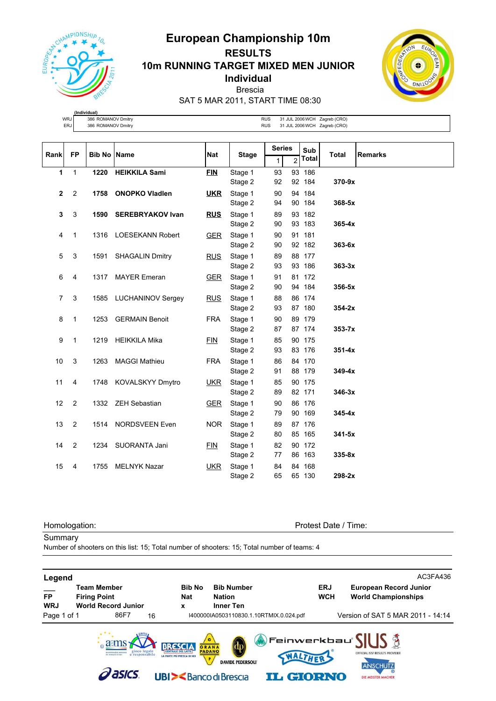

## **European Championship 10m RESULTS 10m RUNNING TARGET MIXED MEN JUNIOR Individual** Brescia



SAT 5 MAR 2011, START TIME 08:30

|            | (Individual)       |                                                         |
|------------|--------------------|---------------------------------------------------------|
| <b>WRJ</b> | 386 ROMANOV Dmitry | Zagreb (CRO)<br><b>JUL 2006 WCH</b><br><b>RUS</b>       |
| <b>ERJ</b> | 386 ROMANOV Dmitry | Zagreb (CRO)<br><b>JUL 2006 WCH</b><br><b>RUS</b><br>31 |
|            |                    |                                                         |

| Rank           | <b>FP</b>      | <b>Bib No Name</b> |                        | <b>Nat</b> | <b>Stage</b>       | <b>Series</b> |                | Sub              | <b>Total</b> | <b>Remarks</b> |
|----------------|----------------|--------------------|------------------------|------------|--------------------|---------------|----------------|------------------|--------------|----------------|
|                |                |                    |                        |            |                    | 1             | $\overline{2}$ | <b>Total</b>     |              |                |
| 1              | $\mathbf{1}$   | 1220               | <b>HEIKKILA Sami</b>   | <b>FIN</b> | Stage 1            | 93            |                | 93 186           |              |                |
|                |                |                    |                        |            | Stage 2            | 92            |                | 92 184           | 370-9x       |                |
| $\mathbf{2}$   | $\overline{2}$ | 1758               | <b>ONOPKO Vladlen</b>  | <u>UKR</u> | Stage 1            | 90            |                | 94 184           |              |                |
|                |                |                    |                        |            | Stage 2            | 94            |                | 90 184           | $368 - 5x$   |                |
| 3              | 3              |                    | 1590 SEREBRYAKOV Ivan  | <b>RUS</b> | Stage 1            | 89            |                | 93 182           |              |                |
|                |                |                    |                        |            | Stage 2            | 90            |                | 93 183           | $365-4x$     |                |
| 4              | $\mathbf{1}$   |                    | 1316 LOESEKANN Robert  | <b>GER</b> | Stage 1            | 90            |                | 91 181           |              |                |
|                |                |                    |                        |            | Stage 2            | 90            |                | 92 182           | 363-6x       |                |
| 5              | 3              | 1591               | <b>SHAGALIN Dmitry</b> | <b>RUS</b> | Stage 1            | 89            |                | 88 177           |              |                |
|                |                |                    |                        |            | Stage 2            | 93            |                | 93 186           | $363-3x$     |                |
| 6              | 4              |                    | 1317 MAYER Emeran      | <b>GER</b> | Stage 1            | 91            |                | 81 172           |              |                |
|                |                |                    |                        |            | Stage 2            | 90            |                | 94 184           | $356-5x$     |                |
| $\overline{7}$ | 3              |                    | 1585 LUCHANINOV Sergey | <b>RUS</b> | Stage 1            | 88            |                | 86 174           |              |                |
|                |                |                    |                        |            | Stage 2            | 93            |                | 87 180           | $354-2x$     |                |
| 8              | $\mathbf{1}$   | 1253               | <b>GERMAIN Benoit</b>  | <b>FRA</b> | Stage 1            | 90            |                | 89 179           |              |                |
|                |                |                    |                        |            | Stage 2            | 87            |                | 87 174           | $353 - 7x$   |                |
| 9              | 1              |                    | 1219 HEIKKILA Mika     | <b>FIN</b> | Stage 1            | 85            |                | 90 175           |              |                |
|                |                |                    |                        |            | Stage 2            | 93            |                | 83 176           | $351 - 4x$   |                |
| 10             | 3              | 1263               | <b>MAGGI Mathieu</b>   | <b>FRA</b> | Stage 1            | 86            |                | 84 170           |              |                |
|                |                |                    |                        |            | Stage 2            | 91            |                | 88 179           | $349 - 4x$   |                |
| 11             | 4              |                    | 1748 KOVALSKYY Dmytro  | <b>UKR</b> | Stage 1            | 85            |                | 90 175           |              |                |
|                |                |                    |                        |            | Stage 2            | 89            |                | 82 171           | $346-3x$     |                |
| 12             | $\overline{2}$ |                    | 1332 ZEH Sebastian     | <b>GER</b> | Stage 1            | 90<br>79      |                | 86 176<br>90 169 | $345 - 4x$   |                |
|                |                |                    |                        |            | Stage 2            |               |                |                  |              |                |
| 13             | $\overline{2}$ | 1514               | <b>NORDSVEEN Even</b>  | <b>NOR</b> | Stage 1            | 89<br>80      |                | 87 176<br>85 165 | $341 - 5x$   |                |
|                |                |                    |                        |            | Stage 2            |               |                |                  |              |                |
| 14             | $\overline{2}$ |                    | 1234 SUORANTA Jani     | FIN        | Stage 1<br>Stage 2 | 82<br>77      |                | 90 172<br>86 163 | $335-8x$     |                |
| 15             | 4              | 1755               | <b>MELNYK Nazar</b>    |            |                    | 84            |                | 84 168           |              |                |
|                |                |                    |                        | <b>UKR</b> | Stage 1<br>Stage 2 | 65            |                | 65 130           | 298-2x       |                |
|                |                |                    |                        |            |                    |               |                |                  |              |                |

Homologation: **Protest Date / Time:** Protest Date / Time:

**Summary** 

Number of shooters on this list: 15; Total number of shooters: 15; Total number of teams: 4

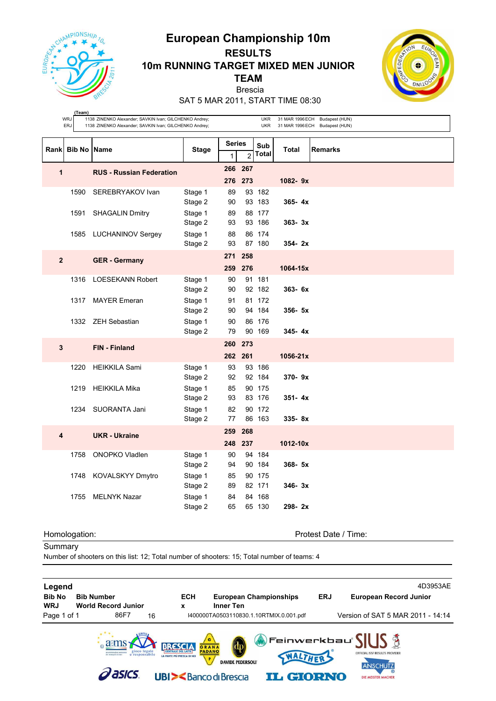

## **European Championship 10m RESULTS 10m RUNNING TARGET MIXED MEN JUNIOR TEAM**





SAT 5 MAR 2011, START TIME 08:30

|                         | (Team)<br><b>WRJ</b><br>ERJ | 1138 ZINENKO Alexander; SAVKIN Ivan; GILCHENKO Andrey;<br>1138 ZINENKO Alexander; SAVKIN Ivan; GILCHENKO Andrey; |                    |               |                           | <b>UKR</b><br><b>UKR</b> |              | 31 MAR 1996 ECH Budapest (HUN)<br>31 MAR 1996 ECH Budapest (HUN) |
|-------------------------|-----------------------------|------------------------------------------------------------------------------------------------------------------|--------------------|---------------|---------------------------|--------------------------|--------------|------------------------------------------------------------------|
| Rank                    | <b>Bib No Name</b>          |                                                                                                                  | <b>Stage</b>       | <b>Series</b> |                           | Sub<br><b>Total</b>      | <b>Total</b> | <b>Remarks</b>                                                   |
| $\mathbf{1}$            |                             | <b>RUS - Russian Federation</b>                                                                                  |                    | 1             | $\overline{c}$<br>266 267 |                          |              |                                                                  |
|                         |                             |                                                                                                                  |                    |               | 276 273                   |                          | 1082-9x      |                                                                  |
|                         | 1590                        | SEREBRYAKOV Ivan                                                                                                 | Stage 1            | 89            |                           | 93 182                   |              |                                                                  |
|                         | 1591                        | <b>SHAGALIN Dmitry</b>                                                                                           | Stage 2<br>Stage 1 | 90<br>89      |                           | 93 183<br>88 177         | $365 - 4x$   |                                                                  |
|                         |                             |                                                                                                                  | Stage 2            | 93            |                           | 93 186                   | $363 - 3x$   |                                                                  |
|                         | 1585                        | LUCHANINOV Sergey                                                                                                | Stage 1            | 88            |                           | 86 174                   |              |                                                                  |
|                         |                             |                                                                                                                  | Stage 2            | 93<br>271     | 258                       | 87 180                   | $354 - 2x$   |                                                                  |
| $\mathbf{2}$            |                             | <b>GER - Germany</b>                                                                                             |                    | 259           | 276                       |                          | 1064-15x     |                                                                  |
|                         | 1316                        | <b>LOESEKANN Robert</b>                                                                                          | Stage 1            | 90            |                           | 91 181                   |              |                                                                  |
|                         |                             |                                                                                                                  | Stage 2            | 90            |                           | 92 182                   | $363 - 6x$   |                                                                  |
|                         | 1317                        | <b>MAYER Emeran</b>                                                                                              | Stage 1<br>Stage 2 | 91<br>90      |                           | 81 172<br>94 184         | $356 - 5x$   |                                                                  |
|                         |                             | 1332 ZEH Sebastian                                                                                               | Stage 1            | 90            |                           | 86 176                   |              |                                                                  |
|                         |                             |                                                                                                                  | Stage 2            | 79            |                           | 90 169                   | $345 - 4x$   |                                                                  |
| $\mathbf{3}$            |                             | <b>FIN - Finland</b>                                                                                             |                    | 260           | 273                       |                          |              |                                                                  |
|                         | 1220                        | <b>HEIKKILA Sami</b>                                                                                             | Stage 1            | 93            | 262 261                   | 93 186                   | 1056-21x     |                                                                  |
|                         |                             |                                                                                                                  | Stage 2            | 92            |                           | 92 184                   | 370-9x       |                                                                  |
|                         | 1219                        | <b>HEIKKILA Mika</b>                                                                                             | Stage 1            | 85            |                           | 90 175                   |              |                                                                  |
|                         |                             |                                                                                                                  | Stage 2            | 93            |                           | 83 176                   | $351 - 4x$   |                                                                  |
|                         | 1234                        | SUORANTA Jani                                                                                                    | Stage 1<br>Stage 2 | 82<br>77      |                           | 90 172<br>86 163         | $335 - 8x$   |                                                                  |
| $\overline{\mathbf{4}}$ |                             | <b>UKR - Ukraine</b>                                                                                             |                    | 259           | 268                       |                          |              |                                                                  |
|                         |                             |                                                                                                                  |                    | 248           | 237                       |                          | 1012-10x     |                                                                  |
|                         | 1758                        | ONOPKO Vladlen                                                                                                   | Stage 1<br>Stage 2 | 90<br>94      |                           | 94 184<br>90 184         | $368 - 5x$   |                                                                  |
|                         | 1748                        | KOVALSKYY Dmytro                                                                                                 | Stage 1            | 85            |                           | 90 175                   |              |                                                                  |
|                         |                             |                                                                                                                  | Stage 2            | 89            |                           | 82 171                   | $346 - 3x$   |                                                                  |
|                         | 1755                        | <b>MELNYK Nazar</b>                                                                                              | Stage 1            | 84            |                           | 84 168                   |              |                                                                  |
|                         |                             |                                                                                                                  | Stage 2            | 65            |                           | 65 130                   | 298-2x       |                                                                  |

Homologation: Protest Date / Time:

**Summary** 

Number of shooters on this list: 12; Total number of shooters: 15; Total number of teams: 4

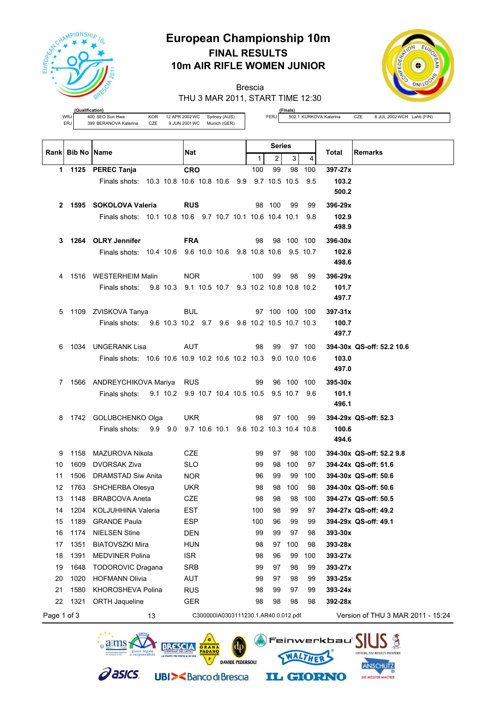

# **European Championship 10m FINAL RESULTS 10m AIR RIFLE WOMEN JUNIOR**

Brescia



THU 3 MAR 2011, START TIME 12:30

|     | (Qualification)       |     |                |              |
|-----|-----------------------|-----|----------------|--------------|
| WRJ | 400 SEO Sun Hwa       | KOR | 12 APR 2002 WC | Sydney (AUS) |
| ERJ | 399 BERANOVA Katerina | CZE | 9 JUN 2001 WC  | Munich (GER) |

**(Finals)**<br>502.1 KURKOVA Katerina

FERJ 502.1 KURKOVA Katerina CZE 8 JUL 2002 WCH Lahti (FIN)

|             | Rank Bib No Name |                                                                | Nat                                            |          | Series         |            |          |                                   |
|-------------|------------------|----------------------------------------------------------------|------------------------------------------------|----------|----------------|------------|----------|-----------------------------------|
|             |                  |                                                                |                                                | 1        | $\overline{a}$ | 3          | 4        | Total<br>Remarks                  |
|             |                  | 1 1125 PEREC Tanja                                             | <b>CRO</b>                                     | 100      | 99             | 98         | 100      | 397-27x                           |
|             |                  | Finals shots: 10.3 10.8 10.6 10.8 10.6 9.9 9.7 10.5 10.5       |                                                |          |                |            | 9.5      | 103.2                             |
|             |                  |                                                                |                                                |          |                |            |          | 500.2                             |
|             |                  | 2 1595 SOKOLOVA Valeria                                        | <b>RUS</b>                                     |          | 98 100         | 99         | 99       | 396-29x                           |
|             |                  | Finals shots: 10.1 10.8 10.6 9.7 10.7 10.1 10.6 10.4 10.1      |                                                |          |                |            | 9.8      | 102.9                             |
|             |                  |                                                                |                                                |          |                |            |          | 498.9                             |
| 3           |                  | 1264 OLRY Jennifer                                             | <b>FRA</b>                                     | 98       |                | 98 100 100 |          | 396-30x                           |
|             |                  | Finals shots: 10.4 10.6 9.6 10.0 10.6 9.8 10.8 10.6 9.5 10.7   |                                                |          |                |            |          | 102.6<br>498.6                    |
|             |                  |                                                                |                                                |          |                |            |          |                                   |
| 4           |                  | 1516 WESTERHEIM Malin                                          | <b>NOR</b>                                     | 100      | 99             | 98         | 99       | 396-29x                           |
|             |                  | Finals shots:                                                  | 9.8 10.3 9.1 10.5 10.7 9.3 10.2 10.8 10.8 10.2 |          |                |            |          | 101.7<br>497.7                    |
|             |                  |                                                                |                                                |          |                |            |          |                                   |
| 5           |                  | 1109 ZVISKOVA Tanya                                            | <b>BUL</b>                                     |          | 97 100 100 100 |            |          | $397 - 31x$                       |
|             |                  | Finals shots: 9.6 10.3 10.2 9.7 9.6 9.6 10.2 10.5 10.7 10.3    |                                                |          |                |            |          | 100.7<br>497.7                    |
| 6           |                  | 1034 UNGERANK Lisa                                             | <b>AUT</b>                                     | 98       | 99             |            | 97 100   | 394-30x QS-off: 52.2 10.6         |
|             |                  | Finals shots: 10.6 10.6 10.9 10.2 10.6 10.2 10.3 9.0 10.0 10.6 |                                                |          |                |            |          | 103.0                             |
|             |                  |                                                                |                                                |          |                |            |          | 497.0                             |
|             |                  | 7 1566 ANDREYCHIKOVA Mariya                                    | <b>RUS</b>                                     | 99       |                | 96 100 100 |          | 395-30x                           |
|             |                  | Finals shots: 9.1 10.2 9.9 10.7 10.4 10.5 10.5 9.5 10.7 9.6    |                                                |          |                |            |          | 101.1                             |
|             |                  |                                                                |                                                |          |                |            |          | 496.1                             |
| 8           |                  | 1742 GOLUBCHENKO Olga                                          | <b>UKR</b>                                     | 98       |                | 97 100     | 99       | 394-29x QS-off: 52.3              |
|             |                  | 99 90<br>Finals shots:                                         | 9.7 10.6 10.1 9.6 10.2 10.3 10.4 10.8          |          |                |            |          | 100.6                             |
|             |                  |                                                                |                                                |          |                |            |          | 494.6                             |
| 9           | 1158             | MAZUROVA Nikola                                                | <b>CZE</b>                                     | 99       | 97             | 98         | 100      | 394-30x QS-off: 52.2 9.8          |
| 10          | 1609             | DVORSAK Ziva                                                   | <b>SLO</b>                                     | 99       | 98             | 100        | 97       | 394-24x QS-off: 51.6              |
| 11          | 1506             | DRAMSTAD Siw Anita                                             | <b>NOR</b>                                     | 96       | 99             | 99         | 100      | 394-30x QS-off: 50.6              |
| 12          | 1763             | SHCHERBA Olesya                                                | <b>UKR</b>                                     | 98       | 98             | 100        | 98       | 394-30x QS-off: 50.6              |
| 13          | 1148             | BRABCOVA Aneta                                                 | CZE                                            | 98       | 98             | 98         | 100      | 394-27x QS-off: 50.5              |
| 14          |                  | 1204 KOLJUHHINA Valeria                                        | EST                                            | 100      | 98             | 99         | 97       | 394-27x QS-off: 49.2              |
| 15          | 1189             | <b>GRANDE Paula</b>                                            | <b>ESP</b>                                     | 100      | 96             | 99         | 99       | 394-29x QS-off: 49.1              |
| 16          | 1174             | <b>NIELSEN Stine</b>                                           | <b>DEN</b>                                     | 99       | 99             | 97         | 98       | 393-30x                           |
| 17          | 1351             | <b>BIATOVSZKI Mira</b>                                         | HUN                                            | 98       | 97             | 100        | 98       | 393-28x                           |
| 18          | 1391             | <b>MEDVINER Polina</b>                                         | <b>ISR</b>                                     | 98       | 96             | 99         | 100      | 393-27x                           |
| 19          | 1648             | <b>TODOROVIC Dragana</b>                                       | SRB                                            | 99       | 97             | 98         | 99       | 393-27x                           |
| 20          | 1020             | <b>HOFMANN Olivia</b>                                          | AUT                                            | 99       | 97             | 98         | 99       | 393-25x                           |
| 21<br>22    | 1580<br>1321     | <b>KHOROSHEVA Polina</b>                                       | <b>RUS</b>                                     | 98<br>98 | 99<br>98       | 97<br>98   | 99<br>98 | 393-24x<br>392-28x                |
|             |                  | <b>ORTH Jaqueline</b>                                          | <b>GER</b>                                     |          |                |            |          |                                   |
| Page 1 of 3 |                  | 13                                                             | C300000IA0303111230.1.AR40.0.012.pdf           |          |                |            |          | Version of THU 3 MAR 2011 - 15:24 |

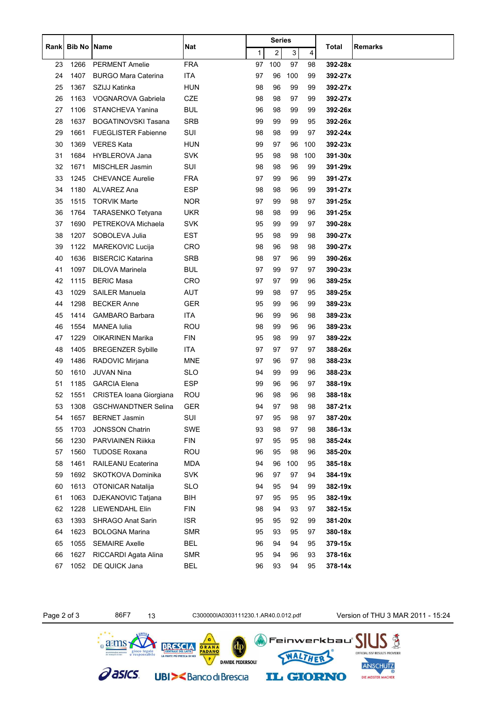|      |                    |                            |            |    | <b>Series</b> |     |     |             |         |
|------|--------------------|----------------------------|------------|----|---------------|-----|-----|-------------|---------|
| Rank | <b>Bib No Name</b> |                            | Nat        | 1  | 2             | 3   | 4   | Total       | Remarks |
| 23   | 1266               | <b>PERMENT Amelie</b>      | <b>FRA</b> | 97 | 100           | 97  | 98  | 392-28x     |         |
| 24   | 1407               | <b>BURGO Mara Caterina</b> | ITA        | 97 | 96            | 100 | 99  | 392-27x     |         |
| 25   | 1367               | SZIJJ Katinka              | HUN        | 98 | 96            | 99  | 99  | 392-27x     |         |
| 26   | 1163               | <b>VOGNAROVA Gabriela</b>  | CZE        | 98 | 98            | 97  | 99  | 392-27x     |         |
| 27   | 1106               | <b>STANCHEVA Yanina</b>    | <b>BUL</b> | 96 | 98            | 99  | 99  | 392-26x     |         |
| 28   | 1637               | <b>BOGATINOVSKI Tasana</b> | <b>SRB</b> | 99 | 99            | 99  | 95  | 392-26x     |         |
| 29   | 1661               | <b>FUEGLISTER Fabienne</b> | SUI        | 98 | 98            | 99  | 97  | 392-24x     |         |
| 30   | 1369               | <b>VERES Kata</b>          | <b>HUN</b> | 99 | 97            | 96  | 100 | 392-23x     |         |
| 31   | 1684               | HYBLEROVA Jana             | <b>SVK</b> | 95 | 98            | 98  | 100 | 391-30x     |         |
| 32   | 1671               | MISCHLER Jasmin            | SUI        | 98 | 98            | 96  | 99  | 391-29x     |         |
| 33   | 1245               | <b>CHEVANCE Aurelie</b>    | FRA        | 97 | 99            | 96  | 99  | 391-27x     |         |
| 34   | 1180               | ALVAREZ Ana                | ESP        | 98 | 98            | 96  | 99  | 391-27x     |         |
| 35   | 1515               | <b>TORVIK Marte</b>        | <b>NOR</b> | 97 | 99            | 98  | 97  | 391-25x     |         |
| 36   | 1764               | <b>TARASENKO Tetyana</b>   | UKR        | 98 | 98            | 99  | 96  | 391-25x     |         |
| 37   | 1690               | PETREKOVA Michaela         | SVK        | 95 | 99            | 99  | 97  | 390-28x     |         |
| 38   | 1207               | SOBOLEVA Julia             | EST        | 95 | 98            | 99  | 98  | 390-27x     |         |
| 39   | 1122               | <b>MAREKOVIC Lucija</b>    | <b>CRO</b> | 98 | 96            | 98  | 98  | 390-27x     |         |
| 40   | 1636               | <b>BISERCIC Katarina</b>   | <b>SRB</b> | 98 | 97            | 96  | 99  | 390-26x     |         |
| 41   | 1097               | DILOVA Marinela            | <b>BUL</b> | 97 | 99            | 97  | 97  | 390-23x     |         |
| 42   | 1115               | <b>BERIC Masa</b>          | <b>CRO</b> | 97 | 97            | 99  | 96  | 389-25x     |         |
| 43   | 1029               | <b>SAILER Manuela</b>      | AUT        | 99 | 98            | 97  | 95  | 389-25x     |         |
| 44   | 1298               | <b>BECKER Anne</b>         | <b>GER</b> | 95 | 99            | 96  | 99  | 389-23x     |         |
| 45   | 1414               | <b>GAMBARO Barbara</b>     | ITA        | 96 | 99            | 96  | 98  | 389-23x     |         |
| 46   | 1554               | <b>MANEA Iulia</b>         | <b>ROU</b> | 98 | 99            | 96  | 96  | 389-23x     |         |
| 47   | 1229               | OIKARINEN Marika           | <b>FIN</b> | 95 | 98            | 99  | 97  | 389-22x     |         |
| 48   | 1405               | <b>BREGENZER Sybille</b>   | ITA        | 97 | 97            | 97  | 97  | 388-26x     |         |
| 49   | 1486               | RADOVIC Mirjana            | MNE        | 97 | 96            | 97  | 98  | 388-23x     |         |
| 50   | 1610               | <b>JUVAN Nina</b>          | <b>SLO</b> | 94 | 99            | 99  | 96  | 388-23x     |         |
| 51   | 1185               | <b>GARCIA Elena</b>        | <b>ESP</b> | 99 | 96            | 96  | 97  | 388-19x     |         |
| 52   | 1551               | CRISTEA Ioana Giorgiana    | <b>ROU</b> | 96 | 98            | 96  | 98  | 388-18x     |         |
| 53   |                    | 1308 GSCHWANDTNER Selina   | GER        | 94 | 97            | 98  | 98  | 387-21x     |         |
| 54   | 1657               | <b>BERNET Jasmin</b>       | SUI        | 97 | 95            | 98  | 97  | 387-20x     |         |
| 55   | 1703               | <b>JONSSON Chatrin</b>     | <b>SWE</b> | 93 | 98            | 97  | 98  | $386 - 13x$ |         |
| 56   | 1230               | PARVIAINEN Riikka          | <b>FIN</b> | 97 | 95            | 95  | 98  | 385-24x     |         |
| 57   | 1560               | <b>TUDOSE Roxana</b>       | <b>ROU</b> | 96 | 95            | 98  | 96  | 385-20x     |         |
| 58   | 1461               | RAILEANU Ecaterina         | <b>MDA</b> | 94 | 96            | 100 | 95  | 385-18x     |         |
| 59   | 1692               | SKOTKOVA Dominika          | <b>SVK</b> | 96 | 97            | 97  | 94  | 384-19x     |         |
| 60   | 1613               | <b>OTONICAR Natalija</b>   | <b>SLO</b> | 94 | 95            | 94  | 99  | 382-19x     |         |
| 61   | 1063               | DJEKANOVIC Tatjana         | BIH        | 97 | 95            | 95  | 95  | 382-19x     |         |
| 62   | 1228               | <b>LIEWENDAHL Elin</b>     | <b>FIN</b> | 98 | 94            | 93  | 97  | 382-15x     |         |
| 63   | 1393               | <b>SHRAGO Anat Sarin</b>   | <b>ISR</b> | 95 | 95            | 92  | 99  | 381-20x     |         |
| 64   | 1623               | <b>BOLOGNA Marina</b>      | <b>SMR</b> | 95 | 93            | 95  | 97  | 380-18x     |         |
| 65   | 1055               | <b>SEMAIRE Axelle</b>      | <b>BEL</b> | 96 | 94            | 94  | 95  | 379-15x     |         |
| 66   | 1627               | RICCARDI Agata Alina       | <b>SMR</b> | 95 | 94            | 96  | 93  | 378-16x     |         |
| 67   | 1052               | DE QUICK Jana              | <b>BEL</b> | 96 | 93            | 94  | 95  | 378-14x     |         |



Page 2 of 3 86F7 13 C3000001A0303111230.1.AR40.0.012.pdf Version of THU 3 MAR 2011 - 15:24

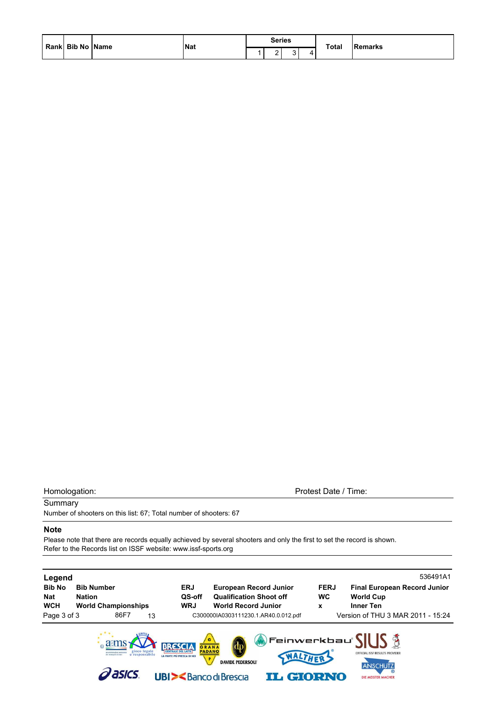| Rank Bib No Name |  | Nat | <b>Series</b> | <b>Total</b> |                 |
|------------------|--|-----|---------------|--------------|-----------------|
|                  |  |     | ∽<br>-        |              | <b>IRemarks</b> |

## **Summary**

Number of shooters on this list: 67; Total number of shooters: 67

### **Note**

Please note that there are records equally achieved by several shooters and only the first to set the record is shown. Refer to the Records list on ISSF website: www.issf-sports.org

| Legend                                    |                                                                  |                                                                                                            |                                                                                                                                                                                                |                               | 536491A1                                                                    |
|-------------------------------------------|------------------------------------------------------------------|------------------------------------------------------------------------------------------------------------|------------------------------------------------------------------------------------------------------------------------------------------------------------------------------------------------|-------------------------------|-----------------------------------------------------------------------------|
| <b>Bib No</b><br><b>Nat</b><br><b>WCH</b> | <b>Bib Number</b><br><b>Nation</b><br><b>World Championships</b> | <b>ERJ</b><br>QS-off<br><b>WRJ</b>                                                                         | <b>European Record Junior</b><br><b>Qualification Shoot off</b><br><b>World Record Junior</b>                                                                                                  | <b>FERJ</b><br><b>WC</b><br>X | <b>Final European Record Junior</b><br><b>World Cup</b><br><b>Inner Ten</b> |
| Page 3 of 3                               | 86F7<br>13                                                       |                                                                                                            | C300000IA0303111230.1.AR40.0.012.pdf                                                                                                                                                           |                               | Version of THU 3 MAR 2011 - 15:24                                           |
|                                           | gioco legale<br>responsabile<br>asics                            | <b>PADANO</b><br><b>LA PARTE PIÙ FRESCA DI NOI</b><br><b>UBI&gt;<banco b="" brescia<="" di=""></banco></b> | $\langle \!\!\!\langle \rangle\!\!\!\rangle$ Feinwerkbau $\langle \!\!\!\langle \,  \! \; \rangle\!\!\!\rangle$<br>GRANA<br><b>WALTHER</b><br>P<br><b>DAVIDE PEDERSOLI</b><br><b>IL GIORNO</b> |                               | OFFICIAL ISSF RESULTS PROVIDER<br><b>ANSCHUTZ</b><br>DIE MEISTER MACHER     |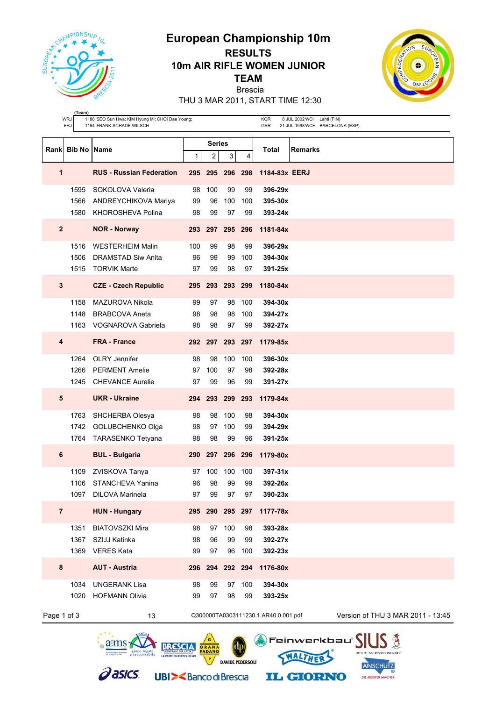

## **European Championship 10m RESULTS 10m AIR RIFLE WOMEN JUNIOR TEAM** Brescia



THU 3 MAR 2011, START TIME 12:30

|                | (Team)<br><b>WRJ</b><br><b>ERJ</b> | 1188 SEO Sun Hwa; KIM Hyung Mi; CHOI Dae Young;<br>1184 FRANK SCHADE WILSCH                                  |                 |                             |                         |                  | <b>KOR</b><br><b>GER</b>             | 8 JUL 2002 WCH Lahti (FIN)<br>21 JUL 1998 WCH BARCELONA (ESP)                                      |
|----------------|------------------------------------|--------------------------------------------------------------------------------------------------------------|-----------------|-----------------------------|-------------------------|------------------|--------------------------------------|----------------------------------------------------------------------------------------------------|
| <b>Rank</b>    | <b>Bib No Name</b>                 |                                                                                                              | $\mathbf{1}$    | Series<br>2                 | 3                       | 4                | Total                                | <b>Remarks</b>                                                                                     |
| 1              |                                    | <b>RUS - Russian Federation</b>                                                                              |                 |                             | 295 295 296 298         |                  | 1184-83x EERJ                        |                                                                                                    |
|                | 1595<br>1566<br>1580               | SOKOLOVA Valeria<br><b>ANDREYCHIKOVA Mariya</b><br>KHOROSHEVA Polina                                         | 98<br>99<br>98  | 100<br>96<br>99             | 99<br>100<br>97         | 99<br>100<br>99  | 396-29x<br>395-30x<br>$393 - 24x$    |                                                                                                    |
| $\overline{2}$ |                                    | <b>NOR - Norway</b>                                                                                          |                 |                             | 293 297 295 296         |                  | 1181-84x                             |                                                                                                    |
|                | 1516<br>1506<br>1515               | <b>WESTERHEIM Malin</b><br>DRAMSTAD Siw Anita<br><b>TORVIK Marte</b>                                         | 100<br>96<br>97 | 99<br>99<br>99              | 98<br>99<br>98          | 99<br>100<br>97  | 396-29x<br>394-30x<br>391-25x        |                                                                                                    |
| $\mathbf{3}$   |                                    | <b>CZE - Czech Republic</b>                                                                                  |                 |                             | 295 293 293 299         |                  | 1180-84x                             |                                                                                                    |
|                | 1158<br>1148<br>1163               | MAZUROVA Nikola<br><b>BRABCOVA Aneta</b><br><b>VOGNAROVA Gabriela</b>                                        | 99<br>98<br>98  | 97<br>98<br>98              | 98<br>98<br>97          | 100<br>100<br>99 | 394-30x<br>394-27x<br>392-27x        |                                                                                                    |
| 4              |                                    | <b>FRA - France</b>                                                                                          |                 |                             | 292 297 293 297         |                  | 1179-85x                             |                                                                                                    |
|                | 1264<br>1266<br>1245               | <b>OLRY Jennifer</b><br><b>PERMENT Amelie</b><br><b>CHEVANCE Aurelie</b>                                     | 98<br>97<br>97  | 98<br>100<br>99             | 100<br>97<br>96         | 100<br>98<br>99  | 396-30x<br>392-28x<br>391-27x        |                                                                                                    |
| 5              |                                    | <b>UKR - Ukraine</b>                                                                                         |                 |                             | 294 293 299 293         |                  | 1179-84x                             |                                                                                                    |
|                | 1763<br>1742                       | SHCHERBA Olesya<br>GOLUBCHENKO Olga<br>1764 TARASENKO Tetyana                                                | 98<br>98<br>98  | 98<br>97<br>98              | 100<br>100<br>99        | 98<br>99<br>96   | 394-30x<br>394-29x<br>391-25x        |                                                                                                    |
| 6              |                                    | <b>BUL - Bulgaria</b>                                                                                        |                 |                             |                         |                  | 290 297 296 296 1179-80x             |                                                                                                    |
|                | 1109<br>1097                       | ZVISKOVA Tanya<br>1106 STANCHEVA Yanina<br>DILOVA Marinela                                                   | 96<br>97        | 97 100<br>98<br>99          | 100<br>99<br>97         | 100<br>99<br>97  | $397 - 31x$<br>392-26x<br>390-23x    |                                                                                                    |
| $\overline{7}$ |                                    | <b>HUN - Hungary</b>                                                                                         |                 |                             | 295 290 295 297         |                  | 1177-78x                             |                                                                                                    |
|                | 1351<br>1367<br>1369               | <b>BIATOVSZKI Mira</b><br>SZIJJ Katinka<br><b>VERES Kata</b>                                                 | 98<br>98<br>99  | 97<br>96<br>97              | 100<br>99<br>96         | 98<br>99<br>100  | 393-28x<br>392-27x<br>392-23x        |                                                                                                    |
| 8              |                                    | <b>AUT - Austria</b>                                                                                         |                 |                             | 296 294 292 294         |                  | 1176-80x                             |                                                                                                    |
|                | 1034<br>1020                       | <b>UNGERANK Lisa</b><br><b>HOFMANN Olivia</b>                                                                | 98<br>99        | 99<br>97                    | 97<br>98                | 100<br>99        | 394-30x<br>393-25x                   |                                                                                                    |
| Page 1 of 3    |                                    | 13                                                                                                           |                 |                             |                         |                  | Q300000TA0303111230.1.AR40.0.001.pdf | Version of THU 3 MAR 2011 - 13:45                                                                  |
|                |                                    | gioco legal<br>LA PARTE PIÙ FRESCA DI NO<br>asics.<br><b>UBI&gt;<bancodibrescia< b=""></bancodibrescia<></b> |                 | GRANA<br><b>PADANO</b><br>P | <b>DAVIDE PEDERSOLI</b> |                  |                                      | Feinwerkbau®<br>OFFICIAL ISSE RESULTS<br><b>ANSCHUTZ</b><br><b>IL GIORNO</b><br>DIE MEISTER MACHER |

**UBI><BancodiBrescia** 

**IL GIORNO**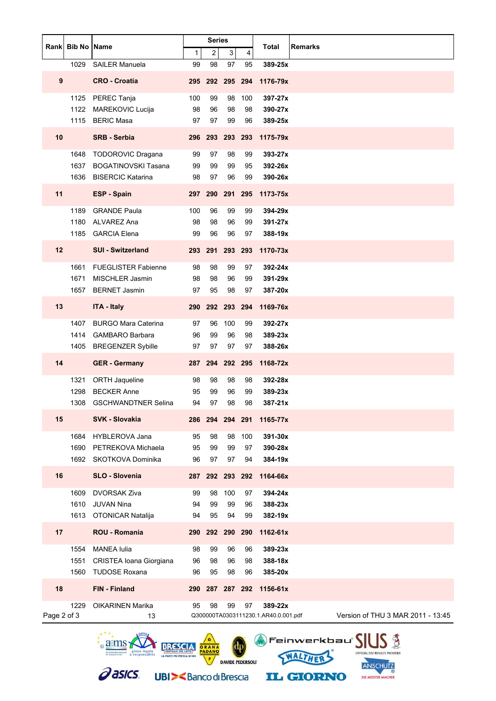|                 | Rank Bib No Name |                               |              | <b>Series</b>   |     |     | Total                                           | <b>Remarks</b>                    |
|-----------------|------------------|-------------------------------|--------------|-----------------|-----|-----|-------------------------------------------------|-----------------------------------|
|                 |                  |                               | $\mathbf{1}$ | 2               | 3   | 4   |                                                 |                                   |
|                 | 1029             | <b>SAILER Manuela</b>         | 99           | 98              | 97  | 95  | 389-25x                                         |                                   |
| 9               |                  | <b>CRO - Croatia</b>          |              |                 |     |     | 295 292 295 294 1176-79x                        |                                   |
|                 | 1125             | PEREC Tanja                   | 100          | 99              | 98  | 100 | 397-27x                                         |                                   |
|                 |                  | 1122 MAREKOVIC Lucija         | 98           | 96              | 98  | 98  | 390-27x                                         |                                   |
|                 |                  | 1115 BERIC Masa               | 97           | 97              | 99  | 96  | 389-25x                                         |                                   |
| 10              |                  | <b>SRB - Serbia</b>           |              | 296 293 293 293 |     |     | 1175-79x                                        |                                   |
|                 | 1648             | <b>TODOROVIC Dragana</b>      | 99           | 97              | 98  | 99  | 393-27x                                         |                                   |
|                 |                  | 1637 BOGATINOVSKI Tasana      | 99           | 99              | 99  | 95  | 392-26x                                         |                                   |
|                 |                  | 1636 BISERCIC Katarina        | 98           | 97              | 96  | 99  | 390-26x                                         |                                   |
| 11              |                  | <b>ESP - Spain</b>            |              | 297 290 291 295 |     |     | 1173-75x                                        |                                   |
|                 | 1189             | <b>GRANDE Paula</b>           | 100          | 96              | 99  | 99  | 394-29x                                         |                                   |
|                 |                  | 1180 ALVAREZ Ana              | 98           | 98              | 96  | 99  | 391-27x                                         |                                   |
|                 |                  | 1185 GARCIA Elena             | 99           | 96              | 96  | 97  | 388-19x                                         |                                   |
| 12 <sup>2</sup> |                  | <b>SUI - Switzerland</b>      |              | 293 291 293 293 |     |     | 1170-73x                                        |                                   |
|                 | 1661             | <b>FUEGLISTER Fabienne</b>    | 98           | 98              | 99  | 97  | 392-24x                                         |                                   |
|                 | 1671             | MISCHLER Jasmin               | 98           | 98              | 96  | 99  | 391-29x                                         |                                   |
|                 | 1657             | <b>BERNET Jasmin</b>          | 97           | 95              | 98  | 97  | 387-20x                                         |                                   |
| 13              |                  | <b>ITA - Italy</b>            |              |                 |     |     | 290 292 293 294 1169-76x                        |                                   |
|                 | 1407             | <b>BURGO Mara Caterina</b>    | 97           | 96              | 100 | 99  | 392-27x                                         |                                   |
|                 |                  | 1414 GAMBARO Barbara          | 96           | 99              | 96  | 98  | 389-23x                                         |                                   |
|                 |                  | 1405 BREGENZER Sybille        | 97           | 97              | 97  | 97  | 388-26x                                         |                                   |
| 14              |                  | <b>GER</b> - Germany          |              | 287 294 292 295 |     |     | 1168-72x                                        |                                   |
|                 | 1321             | <b>ORTH Jaqueline</b>         | 98           | 98              | 98  | 98  | 392-28x                                         |                                   |
|                 | 1298             | <b>BECKER Anne</b>            | 95           | 99              | 96  | 99  | 389-23x                                         |                                   |
|                 | 1308             | <b>GSCHWANDTNER Selina</b>    | 94           | 97              | 98  | 98  | $387 - 21x$                                     |                                   |
| 15              |                  | <b>SVK - Slovakia</b>         |              |                 |     |     | 286 294 294 291 1165-77x                        |                                   |
|                 | 1684             | HYBLEROVA Jana                | 95           | 98              | 98  | 100 | 391-30x                                         |                                   |
|                 | 1690             | PETREKOVA Michaela            | 95           | 99              | 99  | 97  | 390-28x                                         |                                   |
|                 |                  | 1692 SKOTKOVA Dominika        | 96           | 97              | 97  | 94  | 384-19x                                         |                                   |
| 16              |                  | SLO - Slovenia                |              | 287 292 293 292 |     |     | 1164-66x                                        |                                   |
|                 | 1609             | <b>DVORSAK Ziva</b>           | 99           | 98              | 100 | 97  | 394-24x                                         |                                   |
|                 | 1610             | <b>JUVAN Nina</b>             | 94           | 99              | 99  | 96  | 388-23x                                         |                                   |
|                 | 1613             | <b>OTONICAR Natalija</b>      | 94           | 95              | 94  | 99  | 382-19x                                         |                                   |
| 17              |                  | ROU - Romania                 |              | 290 292 290 290 |     |     | 1162-61x                                        |                                   |
|                 | 1554             | <b>MANEA Iulia</b>            | 98           | 99              | 96  | 96  | 389-23x                                         |                                   |
|                 | 1551             | CRISTEA Ioana Giorgiana       | 96           | 98              | 96  | 98  | 388-18x                                         |                                   |
|                 |                  | 1560 TUDOSE Roxana            | 96           | 95              | 98  | 96  | 385-20x                                         |                                   |
| 18              |                  | <b>FIN</b> - Finland          |              | 290 287 287 292 |     |     | 1156-61x                                        |                                   |
| Page 2 of 3     | 1229             | <b>OIKARINEN Marika</b><br>13 | 95           | 98              | 99  | 97  | 389-22x<br>Q300000TA0303111230.1.AR40.0.001.pdf | Version of THU 3 MAR 2011 - 13:45 |

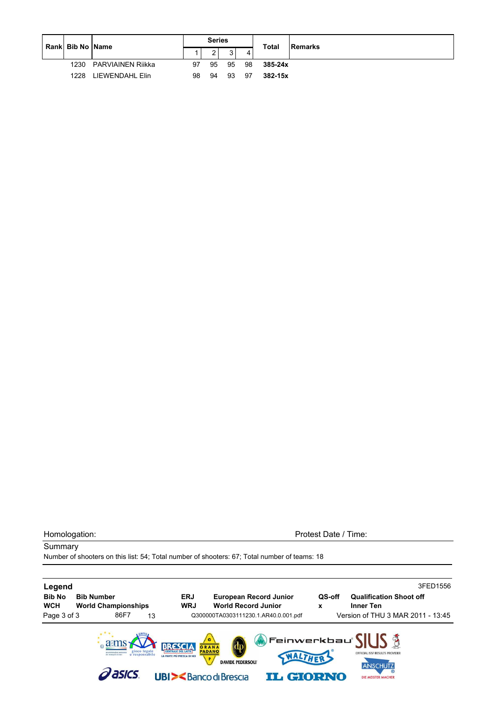| Rankl Bib No IName |                          |    | <b>Series</b>      |         | <b>Total</b> | <b>IRemarks</b> |  |
|--------------------|--------------------------|----|--------------------|---------|--------------|-----------------|--|
|                    |                          |    | $\sim$<br><u>_</u> | s.<br>ັ | 4            |                 |  |
| 1230               | <b>PARVIAINEN Riikka</b> | 97 | 95                 | 95      | 98           | $385 - 24x$     |  |
| 1228               | LIEWENDAHL Elin          | 98 | 94                 | 93      | -97          | 382-15x         |  |

**Summary** 

Homologation: Protest Date / Time:



Number of shooters on this list: 54; Total number of shooters: 67; Total number of teams: 18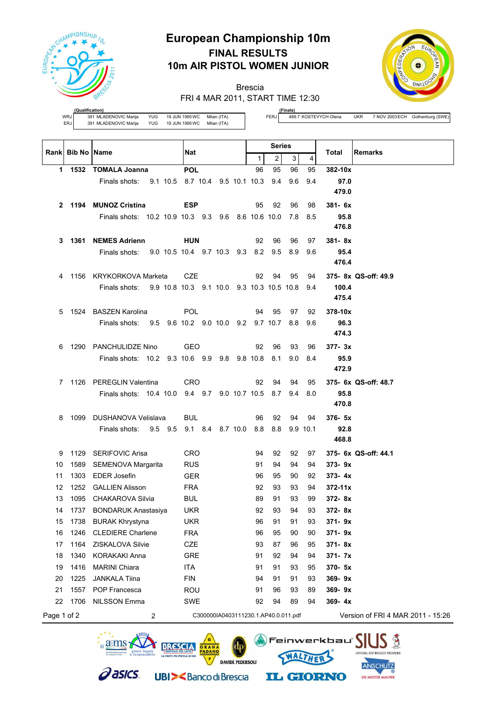

# **European Championship 10m FINAL RESULTS 10m AIR PISTOL WOMEN JUNIOR**

Brescia



FRI 4 MAR 2011, START TIME 12:30

|     | (Qualification) |                       |            |                |             |  |
|-----|-----------------|-----------------------|------------|----------------|-------------|--|
| WRJ |                 | 391 MLADENOVIC Marija | YUG        | 19 JUN 1995 WC | Milan (ITA) |  |
| ERJ |                 | 391 MLADENOVIC Marija | <b>YUG</b> | 19 JUN 1995 WC | Milan (ITA) |  |

**(Finals)**<br>489.7 KOSTEVYCH Olena

FERJ 489.7 KOSTEVYCH Olena UKR 7 NOV 2003 ECH Gothenburg (SWE)

|             |                  |                                                           |            |                                      |    | <b>Series</b>  |              |     |                                   |  |
|-------------|------------------|-----------------------------------------------------------|------------|--------------------------------------|----|----------------|--------------|-----|-----------------------------------|--|
|             | Rank Bib No Name |                                                           | Nat        |                                      | 1  | $\overline{2}$ | 3            | 4   | <b>Remarks</b><br>Total           |  |
|             | 1 1532           | <b>TOMALA Joanna</b>                                      | <b>POL</b> |                                      | 96 | 95             | 96           | 95  | 382-10x                           |  |
|             |                  | 9.1 10.5 8.7 10.4 9.5 10.1 10.3<br>Finals shots:          |            |                                      |    | 9.4            | 9.6          | 9.4 | 97.0                              |  |
|             |                  |                                                           |            |                                      |    |                |              |     | 479.0                             |  |
|             |                  | 2 1194 MUNOZ Cristina                                     | <b>ESP</b> |                                      | 95 | 92             | 96           | 98  | $381 - 6x$                        |  |
|             |                  | Finals shots: 10.2 10.9 10.3 9.3 9.6 8.6 10.6 10.0        |            |                                      |    |                | 7.8          | 8.5 | 95.8                              |  |
|             |                  |                                                           |            |                                      |    |                |              |     | 476.8                             |  |
|             |                  | 3 1361 NEMES Adrienn                                      | <b>HUN</b> |                                      | 92 | 96             | 96           | 97  | $381 - 8x$                        |  |
|             |                  | Finals shots:<br>9.0 10.5 10.4 9.7 10.3 9.3 8.2 9.5       |            |                                      |    |                | 8.9          | 9.6 | 95.4                              |  |
|             |                  |                                                           |            |                                      |    |                |              |     | 476.4                             |  |
| 4           |                  | 1156 KRYKORKOVA Marketa                                   | <b>CZE</b> |                                      | 92 | 94             | 95           | 94  | 375- 8x QS-off: 49.9              |  |
|             |                  | Finals shots: 9.9 10.8 10.3 9.1 10.0 9.3 10.3 10.5 10.8   |            |                                      |    |                |              | 9.4 | 100.4                             |  |
|             |                  |                                                           |            |                                      |    |                |              |     | 475.4                             |  |
|             |                  | 5 1524 BASZEN Karolina                                    | <b>POL</b> |                                      | 94 | 95             | 97           | 92  | 378-10x                           |  |
|             |                  | 9.5 9.6 10.2 9.0 10.0 9.2 9.7 10.7 8.8<br>Finals shots:   |            |                                      |    |                |              | 9.6 | 96.3<br>474.3                     |  |
|             |                  |                                                           |            |                                      |    |                |              |     |                                   |  |
| 6           |                  | 1290 PANCHULIDZE Nino                                     | <b>GEO</b> |                                      | 92 | 96             | 93           | 96  | $377 - 3x$                        |  |
|             |                  | Finals shots: 10.2 9.3 10.6 9.9 9.8 9.8 10.8              |            |                                      |    | 8.1            | 9.0          | 8.4 | 95.9<br>472.9                     |  |
|             |                  |                                                           |            |                                      |    |                |              |     |                                   |  |
|             |                  | 7 1126 PEREGLIN Valentina                                 | <b>CRO</b> |                                      | 92 | 94             | 94           | 95  | 375- 6x QS-off: 48.7              |  |
|             |                  | Finals shots: 10.4 10.0 9.4 9.7 9.0 10.7 10.5 8.7 9.4 8.0 |            |                                      |    |                |              |     | 95.8<br>470.8                     |  |
| 8           |                  | 1099 DUSHANOVA Velislava                                  | <b>BUL</b> |                                      | 96 | 92             | 94           | 94  | $376 - 5x$                        |  |
|             |                  | Finals shots: 9.5 9.5 9.1 8.4 8.7 10.0 8.8                |            |                                      |    |                | 8.8 9.9 10.1 |     | 92.8                              |  |
|             |                  |                                                           |            |                                      |    |                |              |     | 468.8                             |  |
| 9           |                  | 1129 SERIFOVIC Arisa                                      | CRO        |                                      | 94 | 92             | 92           | 97  | 375- 6x QS-off: 44.1              |  |
| 10          | 1589             | SEMENOVA Margarita                                        | <b>RUS</b> |                                      | 91 | 94             | 94           | 94  | $373 - 9x$                        |  |
| 11          |                  | 1303 EDER Josefin                                         | <b>GER</b> |                                      | 96 | 95             | 90           | 92  | $373 - 4x$                        |  |
| 12          |                  | 1252 GALLIEN Alisson                                      | <b>FRA</b> |                                      | 92 | 93             | 93           | 94  | 372-11x                           |  |
| 13          |                  | 1095 CHAKAROVA Silvia                                     | BUL        |                                      | 89 | 91             | 93           | 99  | 372-8x                            |  |
| 14          |                  | 1737 BONDARUK Anastasiya                                  | <b>UKR</b> |                                      | 92 | 93             | 94           | 93  | 372-8x                            |  |
| 15          | 1738             | <b>BURAK Khrystyna</b>                                    | <b>UKR</b> |                                      | 96 | 91             | 91           | 93  | 371-9x                            |  |
| 16          | 1246             | <b>CLEDIERE Charlene</b>                                  | <b>FRA</b> |                                      | 96 | 95             | 90           | 90  | $371 - 9x$                        |  |
| 17          | 1164             | ZISKALOVA Silvie                                          | CZE        |                                      | 93 | 87             | 96           | 95  | $371 - 8x$                        |  |
| 18          | 1340             | <b>KORAKAKI Anna</b>                                      | GRE        |                                      | 91 | 92             | 94           | 94  | 371-7x                            |  |
| 19          | 1416             | <b>MARINI Chiara</b>                                      | <b>ITA</b> |                                      | 91 | 91             | 93           | 95  | 370- 5x                           |  |
| 20          | 1225             | <b>JANKALA Tiina</b>                                      | <b>FIN</b> |                                      | 94 | 91             | 91           | 93  | $369 - 9x$                        |  |
| 21          | 1557             | POP Francesca                                             | <b>ROU</b> |                                      | 91 | 96             | 93           | 89  | $369 - 9x$                        |  |
| 22          | 1706             | <b>NILSSON Emma</b>                                       | SWE        |                                      | 92 | 94             | 89           | 94  | 369-4x                            |  |
| Page 1 of 2 |                  | 2                                                         |            | C300000IA0403111230.1.AP40.0.011.pdf |    |                |              |     | Version of FRI 4 MAR 2011 - 15:26 |  |

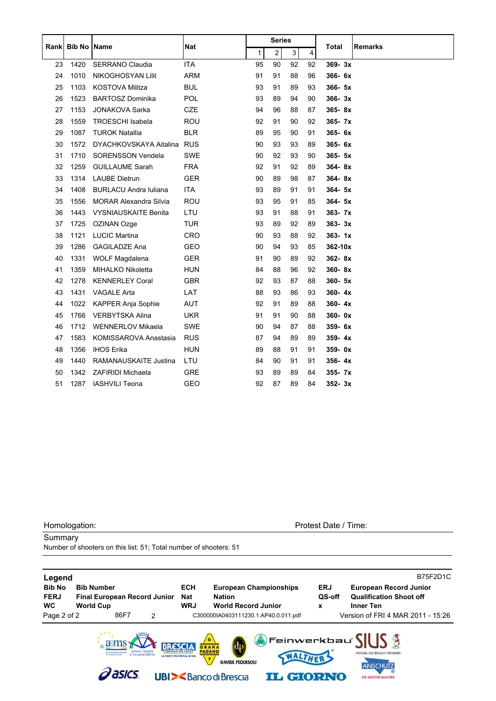|       |        |                               |            |    | <b>Series</b> |    |    |            |                |
|-------|--------|-------------------------------|------------|----|---------------|----|----|------------|----------------|
| Rankl | Bib No | <b>Name</b>                   | <b>Nat</b> | 1  | 2             | 3  | 4  | Total      | <b>Remarks</b> |
| 23    | 1420   | SERRANO Claudia               | <b>ITA</b> | 95 | 90            | 92 | 92 | 369-3x     |                |
| 24    | 1010   | NIKOGHOSYAN Lilit             | <b>ARM</b> | 91 | 91            | 88 | 96 | 366-6x     |                |
| 25    | 1103   | <b>KOSTOVA Militza</b>        | <b>BUL</b> | 93 | 91            | 89 | 93 | $366 - 5x$ |                |
| 26    | 1523   | <b>BARTOSZ Dominika</b>       | POL        | 93 | 89            | 94 | 90 | $366 - 3x$ |                |
| 27    | 1153   | <b>JONAKOVA Sarka</b>         | <b>CZE</b> | 94 | 96            | 88 | 87 | 365-8x     |                |
| 28    | 1559   | <b>TROESCHI Isabela</b>       | <b>ROU</b> | 92 | 91            | 90 | 92 | 365- 7x    |                |
| 29    | 1087   | <b>TUROK Natallia</b>         | <b>BLR</b> | 89 | 95            | 90 | 91 | 365-6x     |                |
| 30    | 1572   | DYACHKOVSKAYA Aitalina        | <b>RUS</b> | 90 | 93            | 93 | 89 | 365-6x     |                |
| 31    | 1710   | <b>SORENSSON Vendela</b>      | <b>SWE</b> | 90 | 92            | 93 | 90 | $365 - 5x$ |                |
| 32    | 1259   | <b>GUILLAUME Sarah</b>        | <b>FRA</b> | 92 | 91            | 92 | 89 | $364 - 8x$ |                |
| 33    | 1314   | <b>LAUBE Dietrun</b>          | <b>GER</b> | 90 | 89            | 98 | 87 | 364-8x     |                |
| 34    | 1408   | <b>BURLACU Andra Iuliana</b>  | <b>ITA</b> | 93 | 89            | 91 | 91 | $364 - 5x$ |                |
| 35    | 1556   | <b>MORAR Alexandra Silvia</b> | <b>ROU</b> | 93 | 95            | 91 | 85 | 364- 5x    |                |
| 36    | 1443   | <b>VYSNIAUSKAITE Benita</b>   | LTU        | 93 | 91            | 88 | 91 | $363 - 7x$ |                |
| 37    | 1725   | OZINAN Ozge                   | <b>TUR</b> | 93 | 89            | 92 | 89 | $363 - 3x$ |                |
| 38    | 1121   | <b>LUCIC Martina</b>          | <b>CRO</b> | 90 | 93            | 88 | 92 | $363 - 1x$ |                |
| 39    | 1286   | <b>GAGILADZE Ana</b>          | <b>GEO</b> | 90 | 94            | 93 | 85 | 362-10x    |                |
| 40    | 1331   | WOLF Magdalena                | <b>GER</b> | 91 | 90            | 89 | 92 | 362-8x     |                |
| 41    | 1359   | MIHALKO Nikoletta             | <b>HUN</b> | 84 | 88            | 96 | 92 | 360-8x     |                |
| 42    | 1278   | <b>KENNERLEY Coral</b>        | <b>GBR</b> | 92 | 93            | 87 | 88 | 360- 5x    |                |
| 43    | 1431   | <b>VAGALE Arta</b>            | LAT        | 88 | 93            | 86 | 93 | $360 - 4x$ |                |
| 44    | 1022   | <b>KAPPER Anja Sophie</b>     | <b>AUT</b> | 92 | 91            | 89 | 88 | $360 - 4x$ |                |
| 45    | 1766   | <b>VERBYTSKA Alina</b>        | <b>UKR</b> | 91 | 91            | 90 | 88 | $360 - 0x$ |                |
| 46    | 1712   | <b>WENNERLOV Mikaela</b>      | <b>SWE</b> | 90 | 94            | 87 | 88 | 359-6x     |                |
| 47    | 1583   | KOMISSAROVA Anastasia         | <b>RUS</b> | 87 | 94            | 89 | 89 | $359 - 4x$ |                |
| 48    | 1356   | <b>IHOS Erika</b>             | <b>HUN</b> | 89 | 88            | 91 | 91 | 359-0x     |                |
| 49    | 1440   | RAMANAUSKAITE Justina         | LTU        | 84 | 90            | 91 | 91 | $356 - 4x$ |                |
| 50    | 1342   | <b>ZAFIRIDI Michaela</b>      | GRE        | 93 | 89            | 89 | 84 | $355 - 7x$ |                |
| 51    | 1287   | <b>IASHVILI Teona</b>         | <b>GEO</b> | 92 | 87            | 89 | 84 | $352 - 3x$ |                |

**Summary** 

Number of shooters on this list: 51; Total number of shooters: 51

| <b>Bib No</b><br><b>ECH</b><br><b>ERJ</b><br><b>Bib Number</b><br><b>European Championships</b><br><b>European Record Junior</b><br><b>Qualification Shoot off</b><br><b>FERJ</b><br>QS-off<br><b>Final European Record Junior</b><br><b>Nat</b><br><b>Nation</b><br><b>WC</b><br><b>WRJ</b><br><b>World Record Junior</b><br><b>World Cup</b><br><b>Inner Ten</b><br>x<br>Version of FRI 4 MAR 2011 - 15:26<br>Page 2 of 2<br>86F7<br>C300000IA0403111230.1.AP40.0.011.pdf<br>2<br>  Feinwerkbau' <u>(</u><br>/ G<br>GRANA<br>PADANC<br>gioco legale<br>e responsabile<br>OFFICIAL ISSF RESULTS PROVIDER<br>WALTHER "<br>LA PARTE PIÙ FRESCA DI NOI<br>P.<br><b>DAVIDE PEDERSOLI</b> | Legend |  |  | <b>B75F2D1C</b> |
|---------------------------------------------------------------------------------------------------------------------------------------------------------------------------------------------------------------------------------------------------------------------------------------------------------------------------------------------------------------------------------------------------------------------------------------------------------------------------------------------------------------------------------------------------------------------------------------------------------------------------------------------------------------------------------------|--------|--|--|-----------------|
|                                                                                                                                                                                                                                                                                                                                                                                                                                                                                                                                                                                                                                                                                       |        |  |  |                 |
|                                                                                                                                                                                                                                                                                                                                                                                                                                                                                                                                                                                                                                                                                       |        |  |  |                 |
|                                                                                                                                                                                                                                                                                                                                                                                                                                                                                                                                                                                                                                                                                       |        |  |  |                 |
| <b>ANSCHUTZ</b><br>asks<br><b>UBI&gt;<banco b="" brescia<="" di=""></banco></b>                                                                                                                                                                                                                                                                                                                                                                                                                                                                                                                                                                                                       |        |  |  |                 |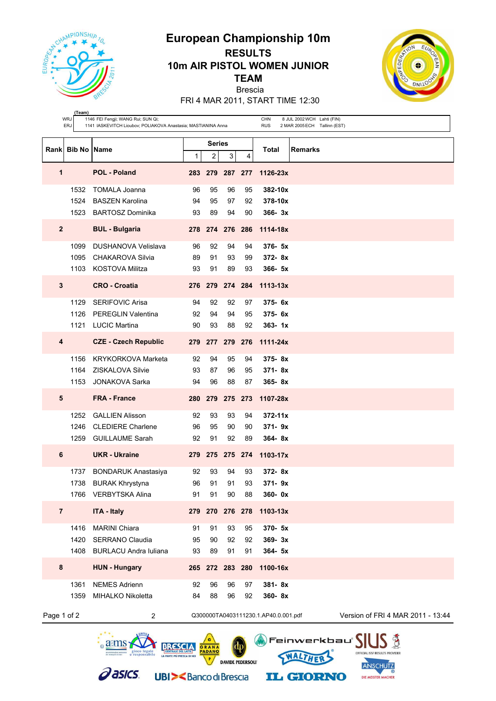

## **European Championship 10m RESULTS 10m AIR PISTOL WOMEN JUNIOR TEAM** Brescia



FRI 4 MAR 2011, START TIME 12:30

|                | (Team)<br><b>WRJ</b><br>ERJ | 1146 FEI Fengji; WANG Rui; SUN Qi;<br>1141 IASKEVITCH Lioubov; POLIAKOVA Anastasia; MASTIANINA Anna                    |                |                             |                         |                | <b>CHN</b><br><b>RUS</b>                | 8 JUL 2002 WCH Lahti (FIN)<br>2 MAR 2005 ECH Tallinn (EST)                                                   |
|----------------|-----------------------------|------------------------------------------------------------------------------------------------------------------------|----------------|-----------------------------|-------------------------|----------------|-----------------------------------------|--------------------------------------------------------------------------------------------------------------|
|                | Rank Bib No Name            |                                                                                                                        | 1              | <b>Series</b><br>2          | 3                       | 4              | Total                                   | <b>Remarks</b>                                                                                               |
| 1              |                             | <b>POL - Poland</b>                                                                                                    |                |                             | 283 279 287 277         |                | 1126-23x                                |                                                                                                              |
|                | 1532<br>1524<br>1523        | <b>TOMALA Joanna</b><br><b>BASZEN Karolina</b><br><b>BARTOSZ Dominika</b>                                              | 96<br>94<br>93 | 95<br>95<br>89              | 96<br>97<br>94          | 95<br>92<br>90 | 382-10x<br>378-10x<br>$366 - 3x$        |                                                                                                              |
| $\overline{2}$ |                             | <b>BUL - Bulgaria</b>                                                                                                  |                |                             | 278 274 276 286         |                | 1114-18x                                |                                                                                                              |
|                | 1099<br>1095<br>1103        | DUSHANOVA Velislava<br>CHAKAROVA Silvia<br><b>KOSTOVA Militza</b>                                                      | 96<br>89<br>93 | 92<br>91<br>91              | 94<br>93<br>89          | 94<br>99<br>93 | $376 - 5x$<br>$372 - 8x$<br>366- 5x     |                                                                                                              |
| $\mathbf{3}$   |                             | <b>CRO - Croatia</b>                                                                                                   |                |                             |                         |                | 276 279 274 284 1113-13x                |                                                                                                              |
|                | 1129<br>1126                | <b>SERIFOVIC Arisa</b><br><b>PEREGLIN Valentina</b><br>1121 LUCIC Martina                                              | 94<br>92<br>90 | 92<br>94<br>93              | 92<br>94<br>88          | 97<br>95<br>92 | $375 - 6x$<br>375-6x<br>$363 - 1x$      |                                                                                                              |
| 4              |                             | <b>CZE - Czech Republic</b>                                                                                            |                |                             | 279 277 279 276         |                | 1111-24x                                |                                                                                                              |
|                | 1156<br>1164<br>1153        | <b>KRYKORKOVA Marketa</b><br>ZISKALOVA Silvie<br><b>JONAKOVA Sarka</b>                                                 | 92<br>93<br>94 | 94<br>87<br>96              | 95<br>96<br>88          | 94<br>95<br>87 | $375 - 8x$<br>$371 - 8x$<br>$365 - 8x$  |                                                                                                              |
| 5              |                             | <b>FRA - France</b>                                                                                                    |                |                             | 280 279 275 273         |                | 1107-28x                                |                                                                                                              |
|                | 1252<br>1246<br>1259        | <b>GALLIEN Alisson</b><br><b>CLEDIERE Charlene</b><br><b>GUILLAUME Sarah</b>                                           | 92<br>96<br>92 | 93<br>95<br>91              | 93<br>90<br>92          | 94<br>90<br>89 | $372 - 11x$<br>$371 - 9x$<br>$364 - 8x$ |                                                                                                              |
| 6              |                             | <b>UKR</b> - Ukraine                                                                                                   |                |                             |                         |                | 279 275 275 274 1103-17x                |                                                                                                              |
|                | 1737                        | <b>BONDARUK Anastasiya</b><br>1738 BURAK Khrystyna<br>1766 VERBYTSKA Alina                                             | 92<br>96<br>91 | 93<br>91<br>91              | 94<br>91<br>90          | 93<br>93<br>88 | $372 - 8x$<br>371-9x<br>360-0x          |                                                                                                              |
| $\overline{7}$ |                             | <b>ITA - Italy</b>                                                                                                     |                |                             | 279 270 276 278         |                | 1103-13x                                |                                                                                                              |
|                | 1416<br>1420<br>1408        | <b>MARINI Chiara</b><br><b>SERRANO Claudia</b><br><b>BURLACU Andra Iuliana</b>                                         | 91<br>95<br>93 | 91<br>90<br>89              | 93<br>92<br>91          | 95<br>92<br>91 | 370- 5x<br>$369 - 3x$<br>$364 - 5x$     |                                                                                                              |
| 8              |                             | <b>HUN - Hungary</b>                                                                                                   |                |                             | 265 272 283 280         |                | 1100-16x                                |                                                                                                              |
|                | 1361<br>1359                | <b>NEMES Adrienn</b><br>MIHALKO Nikoletta                                                                              | 92<br>84       | 96<br>88                    | 96<br>96                | 97<br>92       | 381-8x<br>360-8x                        |                                                                                                              |
| Page 1 of 2    |                             | 2                                                                                                                      |                |                             |                         |                | Q300000TA0403111230.1.AP40.0.001.pdf    | Version of FRI 4 MAR 2011 - 13:44                                                                            |
|                |                             | aanns<br>gioco legale<br>LA PARTE PIÙ FRESCA DI NO<br>asics.<br><b>UBI&gt;<bancodibrescia< b=""></bancodibrescia<></b> |                | GRANA<br><b>PADANO</b><br>P | <b>DAVIDE PEDERSOLI</b> |                |                                         | Feinwerkbau''<br>OFFICIAL ISSF RESULTS PROVIDER<br><b>ANSCHUTZ</b><br><b>IL GIORNO</b><br>DIE MEISTER MACHER |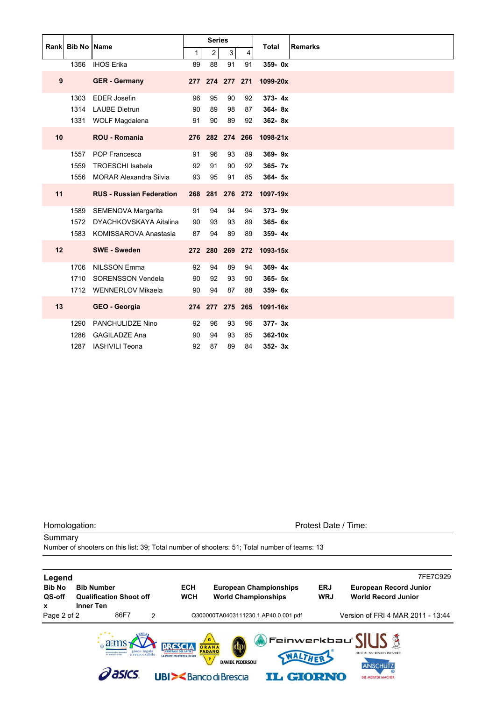|    | <b>Rankl Bib No IName</b> |                                 |                | <b>Series</b>  |                 |    | <b>Total</b> | <b>Remarks</b> |
|----|---------------------------|---------------------------------|----------------|----------------|-----------------|----|--------------|----------------|
|    |                           |                                 | 1 <sup>1</sup> | $\overline{2}$ | $\mathsf 3$     | 4  |              |                |
|    | 1356                      | <b>IHOS Erika</b>               | 89             | 88             | 91              | 91 | $359 - 0x$   |                |
| 9  |                           | <b>GER</b> - Germany            |                |                | 277 274 277 271 |    | 1099-20x     |                |
|    | 1303                      | <b>EDER Josefin</b>             | 96             | 95             | 90              | 92 | $373 - 4x$   |                |
|    | 1314                      | <b>LAUBE Dietrun</b>            | 90             | 89             | 98              | 87 | 364-8x       |                |
|    | 1331                      | WOLF Magdalena                  | 91             | 90             | 89              | 92 | 362-8x       |                |
| 10 |                           | <b>ROU - Romania</b>            |                |                | 276 282 274 266 |    | 1098-21x     |                |
|    | 1557                      | POP Francesca                   | 91             | 96             | 93              | 89 | $369 - 9x$   |                |
|    | 1559                      | <b>TROESCHI Isabela</b>         | 92             | 91             | 90              | 92 | $365 - 7x$   |                |
|    | 1556                      | <b>MORAR Alexandra Silvia</b>   | 93             | 95             | 91              | 85 | $364 - 5x$   |                |
| 11 |                           | <b>RUS - Russian Federation</b> |                |                | 268 281 276 272 |    | 1097-19x     |                |
|    | 1589                      | SEMENOVA Margarita              | 91             | 94             | 94              | 94 | $373 - 9x$   |                |
|    | 1572                      | DYACHKOVSKAYA Aitalina          | 90             | 93             | 93              | 89 | 365-6x       |                |
|    | 1583                      | KOMISSAROVA Anastasia           | 87             | 94             | 89              | 89 | $359 - 4x$   |                |
| 12 |                           | <b>SWE</b> - Sweden             |                |                | 272 280 269 272 |    | 1093-15x     |                |
|    | 1706                      | <b>NILSSON Emma</b>             | 92             | 94             | 89              | 94 | $369 - 4x$   |                |
|    | 1710                      | SORENSSON Vendela               | 90             | 92             | 93              | 90 | $365 - 5x$   |                |
|    | 1712                      | <b>WENNERLOV Mikaela</b>        | 90             | 94             | 87              | 88 | 359-6x       |                |
| 13 |                           | GEO - Georgia                   |                |                | 274 277 275 265 |    | 1091-16x     |                |
|    | 1290                      | PANCHULIDZE Nino                | 92             | 96             | 93              | 96 | $377 - 3x$   |                |
|    | 1286                      | <b>GAGILADZE Ana</b>            | 90             | 94             | 93              | 85 | 362-10x      |                |
|    | 1287                      | <b>IASHVILI Teona</b>           | 92             | 87             | 89              | 84 | $352 - 3x$   |                |

**Summary** 

Number of shooters on this list: 39; Total number of shooters: 51; Total number of teams: 13

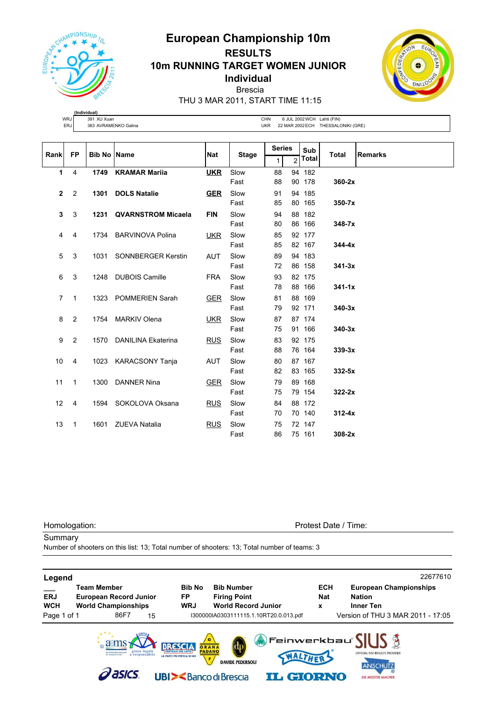**European Championship 10m RESULTS**

**10m RUNNING TARGET WOMEN JUNIOR**

**Individual**

Brescia

THU 3 MAR 2011, START TIME 11:15

|            | (Individual                  |     |                                                   |
|------------|------------------------------|-----|---------------------------------------------------|
| <b>WRJ</b> | XU Xuar<br>391<br>.          | CHN | Lahti (FIN)<br>2002 WCH                           |
| ERJ        | , AVRAMENKO<br>Galina<br>383 | UKF | 22 MAR 2002 ECH<br><b>THESSAL</b><br>LONIKI (GRE' |
|            |                              |     |                                                   |

| Rank            | <b>FP</b>      | <b>Bib No Name</b> |                           | <b>Nat</b> |              | <b>Series</b> |                | Sub    | <b>Total</b> | <b>Remarks</b> |
|-----------------|----------------|--------------------|---------------------------|------------|--------------|---------------|----------------|--------|--------------|----------------|
|                 |                |                    |                           |            | <b>Stage</b> | 1             | $\overline{2}$ | Total  |              |                |
| 1               | 4              | 1749               | <b>KRAMAR Mariia</b>      | <b>UKR</b> | Slow         | 88            |                | 94 182 |              |                |
|                 |                |                    |                           |            | Fast         | 88            |                | 90 178 | $360-2x$     |                |
| $\mathbf{2}$    | 2              | 1301               | <b>DOLS Natalie</b>       | <b>GER</b> | Slow         | 91            |                | 94 185 |              |                |
|                 |                |                    |                           |            | Fast         | 85            |                | 80 165 | $350 - 7x$   |                |
| 3               | 3              |                    | 1231 QVARNSTROM Micaela   | <b>FIN</b> | Slow         | 94            |                | 88 182 |              |                |
|                 |                |                    |                           |            | Fast         | 80            |                | 86 166 | $348 - 7x$   |                |
| 4               | 4              | 1734               | <b>BARVINOVA Polina</b>   | UKR        | Slow         | 85            |                | 92 177 |              |                |
|                 |                |                    |                           |            | Fast         | 85            |                | 82 167 | $344 - 4x$   |                |
| 5               | 3              | 1031               | <b>SONNBERGER Kerstin</b> | AUT        | Slow         | 89            |                | 94 183 |              |                |
|                 |                |                    |                           |            | Fast         | 72            |                | 86 158 | $341 - 3x$   |                |
| 6               | 3              | 1248               | <b>DUBOIS Camille</b>     | <b>FRA</b> | Slow         | 93            |                | 82 175 |              |                |
|                 |                |                    |                           |            | Fast         | 78            |                | 88 166 | $341 - 1x$   |                |
| $\overline{7}$  | $\overline{1}$ | 1323               | <b>POMMERIEN Sarah</b>    | <b>GER</b> | Slow         | 81            |                | 88 169 |              |                |
|                 |                |                    |                           |            | Fast         | 79            |                | 92 171 | $340-3x$     |                |
| 8               | 2              | 1754               | <b>MARKIV Olena</b>       | UKR.       | Slow         | 87            |                | 87 174 |              |                |
|                 |                |                    |                           |            | Fast         | 75            |                | 91 166 | $340-3x$     |                |
| 9               | $\overline{2}$ | 1570               | DANILINA Ekaterina        | <b>RUS</b> | Slow         | 83            |                | 92 175 |              |                |
|                 |                |                    |                           |            | Fast         | 88            |                | 76 164 | $339-3x$     |                |
| 10              | 4              | 1023               | <b>KARACSONY Tanja</b>    | <b>AUT</b> | Slow         | 80            |                | 87 167 |              |                |
|                 |                |                    |                           |            | Fast         | 82            |                | 83 165 | $332 - 5x$   |                |
| 11              | $\mathbf{1}$   | 1300               | <b>DANNER Nina</b>        | <b>GER</b> | Slow         | 79            |                | 89 168 |              |                |
|                 |                |                    |                           |            | Fast         | 75            |                | 79 154 | $322-2x$     |                |
| 12 <sup>2</sup> | $\overline{4}$ | 1594               | SOKOLOVA Oksana           | <b>RUS</b> | Slow         | 84            |                | 88 172 |              |                |
|                 |                |                    |                           |            | Fast         | 70            |                | 70 140 | $312 - 4x$   |                |
| 13              | 1              | 1601               | <b>ZUEVA Natalia</b>      | <b>RUS</b> | Slow         | 75            |                | 72 147 |              |                |
|                 |                |                    |                           |            | Fast         | 86            |                | 75 161 | $308-2x$     |                |

Homologation: Protest Date / Time:

**Summary** 

Number of shooters on this list: 13; Total number of shooters: 13; Total number of teams: 3

| Legend                                  |                                                                                                 |                                                                                                                           |                                                                                                                                                                                      |                               | 22677610                                                                                                |
|-----------------------------------------|-------------------------------------------------------------------------------------------------|---------------------------------------------------------------------------------------------------------------------------|--------------------------------------------------------------------------------------------------------------------------------------------------------------------------------------|-------------------------------|---------------------------------------------------------------------------------------------------------|
| <b>ERJ</b><br><b>WCH</b><br>Page 1 of 1 | <b>Team Member</b><br><b>European Record Junior</b><br><b>World Championships</b><br>86F7<br>15 | <b>Bib No</b><br><b>FP</b><br><b>WRJ</b>                                                                                  | <b>Bib Number</b><br><b>Firing Point</b><br><b>World Record Junior</b><br>I300000IA0303111115.1.10RT20.0.013.pdf                                                                     | <b>ECH</b><br><b>Nat</b><br>X | <b>European Championships</b><br><b>Nation</b><br><b>Inner Ten</b><br>Version of THU 3 MAR 2011 - 17:05 |
|                                         | gioco legale<br>e responsabile<br><b>Pasics</b>                                                 | G<br>GRANA<br><b>PADANO</b><br>LA PARTE PIÙ FRESCA DI NOI<br>P.<br><b>UBI&gt;<bancodibrescia< b=""></bancodibrescia<></b> | $\langle \!\!\!\langle \rangle\!\!\!\rangle$ Feinwerkbau $\langle \!\!\!\langle \,  \! \;  \mathbf{K}\rangle\!\!\!\rangle$<br>WALTHER<br><b>DAVIDE PEDERSOLI</b><br><b>IL GIORNO</b> |                               | $\frac{1}{2}$<br>OFFICIAL ISSF RESULTS PROVIDER<br><b>ANSCHUTZ</b><br>DIE MEISTER MACHER                |

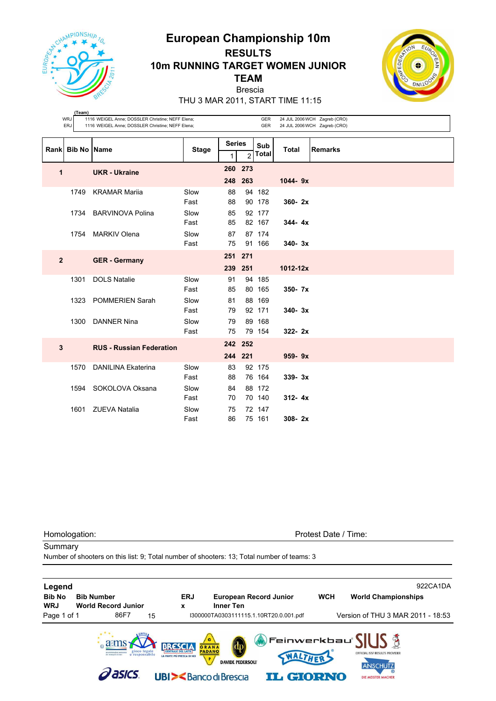**European Championship 10m**



## **RESULTS 10m RUNNING TARGET WOMEN JUNIOR TEAM** Brescia



THU 3 MAR 2011, START TIME 11:15

|              | (Team)                    |                                                                                                      |              |               |                |                   |              |                                                              |
|--------------|---------------------------|------------------------------------------------------------------------------------------------------|--------------|---------------|----------------|-------------------|--------------|--------------------------------------------------------------|
|              | WRJ<br><b>ERJ</b>         | 1116 WEIGEL Anne; DOSSLER Christine; NEFF Elena;<br>1116 WEIGEL Anne; DOSSLER Christine; NEFF Elena; |              |               |                | <b>GER</b><br>GER |              | 24 JUL 2006 WCH Zagreb (CRO)<br>24 JUL 2006 WCH Zagreb (CRO) |
|              |                           |                                                                                                      |              |               |                |                   |              |                                                              |
|              | <b>Rankl Bib No IName</b> |                                                                                                      | <b>Stage</b> | <b>Series</b> |                | Sub               | <b>Total</b> | <b>Remarks</b>                                               |
|              |                           |                                                                                                      |              | 1             | $\overline{2}$ | <b>Total</b>      |              |                                                              |
| 1            |                           | <b>UKR - Ukraine</b>                                                                                 |              | 260 273       |                |                   |              |                                                              |
|              |                           |                                                                                                      |              | 248 263       |                |                   | $1044 - 9x$  |                                                              |
|              | 1749                      | <b>KRAMAR Marija</b>                                                                                 | Slow         | 88            |                | 94 182            |              |                                                              |
|              |                           |                                                                                                      | Fast         | 88            |                | 90 178            | $360 - 2x$   |                                                              |
|              | 1734                      | <b>BARVINOVA Polina</b>                                                                              | Slow         | 85            |                | 92 177            |              |                                                              |
|              |                           |                                                                                                      | Fast         | 85            |                | 82 167            | $344 - 4x$   |                                                              |
|              | 1754                      | <b>MARKIV Olena</b>                                                                                  | Slow         | 87            |                | 87 174            |              |                                                              |
|              |                           |                                                                                                      | Fast         | 75            |                | 91 166            | $340 - 3x$   |                                                              |
| $\mathbf{2}$ |                           | <b>GER</b> - Germany                                                                                 |              | 251           | 271            |                   |              |                                                              |
|              |                           |                                                                                                      |              | 239           | 251            |                   | 1012-12x     |                                                              |
|              | 1301                      | <b>DOLS Natalie</b>                                                                                  | Slow         | 91            |                | 94 185            |              |                                                              |
|              |                           |                                                                                                      | Fast         | 85            |                | 80 165            | $350 - 7x$   |                                                              |
|              | 1323                      | <b>POMMERIEN Sarah</b>                                                                               | Slow         | 81            |                | 88 169            |              |                                                              |
|              |                           |                                                                                                      | Fast         | 79            |                | 92 171            | $340 - 3x$   |                                                              |
|              | 1300                      | <b>DANNER Nina</b>                                                                                   | Slow         | 79            |                | 89 168            |              |                                                              |
|              |                           |                                                                                                      | Fast         | 75            |                | 79 154            | $322 - 2x$   |                                                              |
|              |                           |                                                                                                      |              | 242 252       |                |                   |              |                                                              |
| 3            |                           | <b>RUS - Russian Federation</b>                                                                      |              |               |                |                   |              |                                                              |
|              |                           |                                                                                                      |              | 244 221       |                |                   | $959 - 9x$   |                                                              |
|              | 1570                      | <b>DANILINA Ekaterina</b>                                                                            | Slow         | 83            |                | 92 175            |              |                                                              |
|              |                           |                                                                                                      | Fast         | 88            |                | 76 164            | 339-3x       |                                                              |
|              | 1594                      | SOKOLOVA Oksana                                                                                      | Slow         | 84            |                | 88 172            |              |                                                              |
|              |                           |                                                                                                      | Fast         | 70            |                | 70 140            | $312 - 4x$   |                                                              |
|              | 1601                      | <b>ZUEVA Natalia</b>                                                                                 | Slow         | 75            |                | 72 147            |              |                                                              |
|              |                           |                                                                                                      | Fast         | 86            |                | 75 161            | $308 - 2x$   |                                                              |

**Summary** 

Homologation: Protest Date / Time:

**Legend** 922CA1DA **Bib No Bib Number ERJ European Record Junior WCH World Championships WRJ World Record Junior x Inner Ten** Page 1 of 1 86F7 15 I300000TA0303111115.1.10RT20.0.001.pdf Version of THU 3 MAR 2011 - 18:53 kbau Feinwer ams **RESULTS PROVIDER DAVIDE PEDERSOLI ANSCHUTZ** *dasics* **UBI><BancodiBrescia IL GIORNO** DIE MEISTER MACHER

Number of shooters on this list: 9; Total number of shooters: 13; Total number of teams: 3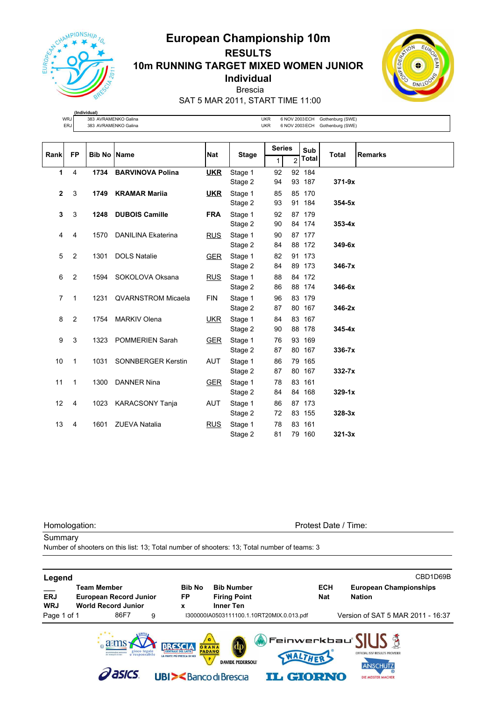

## **European Championship 10m RESULTS 10m RUNNING TARGET MIXED WOMEN JUNIOR Individual** Brescia



SAT 5 MAR 2011, START TIME 11:00

|      | (Individual)         |     |                |                  |
|------|----------------------|-----|----------------|------------------|
| WRJ  | 383 AVRAMENKO Galina | UKF | 6 NOV 2003 ECH | Gothenburg (SWE) |
| ERJ. | 383 AVRAMENKO Galina | UKR | 6 NOV 2003 ECH | Gothenburg (SWE) |

| Rank         | <b>FP</b>      | <b>Bib No Name</b> |                           | <b>Nat</b> |              | <b>Series</b> |                | Sub    | <b>Total</b> | <b>Remarks</b> |
|--------------|----------------|--------------------|---------------------------|------------|--------------|---------------|----------------|--------|--------------|----------------|
|              |                |                    |                           |            | <b>Stage</b> | 1             | $\overline{2}$ | Total  |              |                |
| 1            | $\overline{4}$ | 1734               | <b>BARVINOVA Polina</b>   | <b>UKR</b> | Stage 1      | 92            |                | 92 184 |              |                |
|              |                |                    |                           |            | Stage 2      | 94            |                | 93 187 | $371-9x$     |                |
| $\mathbf{2}$ | 3              | 1749               | <b>KRAMAR Marija</b>      | <b>UKR</b> | Stage 1      | 85            |                | 85 170 |              |                |
|              |                |                    |                           |            | Stage 2      | 93            |                | 91 184 | $354-5x$     |                |
| 3            | 3              | 1248               | <b>DUBOIS Camille</b>     | <b>FRA</b> | Stage 1      | 92            |                | 87 179 |              |                |
|              |                |                    |                           |            | Stage 2      | 90            |                | 84 174 | $353 - 4x$   |                |
| 4            | 4              | 1570               | <b>DANILINA Ekaterina</b> | <b>RUS</b> | Stage 1      | 90            |                | 87 177 |              |                |
|              |                |                    |                           |            | Stage 2      | 84            |                | 88 172 | 349-6x       |                |
| 5            | $\overline{2}$ | 1301               | <b>DOLS Natalie</b>       | GER        | Stage 1      | 82            |                | 91 173 |              |                |
|              |                |                    |                           |            | Stage 2      | 84            |                | 89 173 | 346-7x       |                |
| 6            | $\overline{2}$ | 1594               | SOKOLOVA Oksana           | <b>RUS</b> | Stage 1      | 88            |                | 84 172 |              |                |
|              |                |                    |                           |            | Stage 2      | 86            |                | 88 174 | 346-6x       |                |
| 7            | $\mathbf{1}$   | 1231               | <b>QVARNSTROM Micaela</b> | <b>FIN</b> | Stage 1      | 96            |                | 83 179 |              |                |
|              |                |                    |                           |            | Stage 2      | 87            |                | 80 167 | $346-2x$     |                |
| 8            | $\overline{2}$ | 1754               | <b>MARKIV Olena</b>       | <b>UKR</b> | Stage 1      | 84            |                | 83 167 |              |                |
|              |                |                    |                           |            | Stage 2      | 90            |                | 88 178 | $345 - 4x$   |                |
| 9            | 3              |                    | 1323 POMMERIEN Sarah      | <b>GER</b> | Stage 1      | 76            |                | 93 169 |              |                |
|              |                |                    |                           |            | Stage 2      | 87            |                | 80 167 | 336-7x       |                |
| 10           | $\mathbf 1$    | 1031               | SONNBERGER Kerstin        | AUT        | Stage 1      | 86            |                | 79 165 |              |                |
|              |                |                    |                           |            | Stage 2      | 87            |                | 80 167 | $332 - 7x$   |                |
| 11           | $\mathbf{1}$   | 1300               | <b>DANNER Nina</b>        | <b>GER</b> | Stage 1      | 78            |                | 83 161 |              |                |
|              |                |                    |                           |            | Stage 2      | 84            |                | 84 168 | $329 - 1x$   |                |
| 12           | 4              | 1023               | KARACSONY Tanja           | AUT        | Stage 1      | 86            |                | 87 173 |              |                |
|              |                |                    |                           |            | Stage 2      | 72            |                | 83 155 | $328-3x$     |                |
| 13           | 4              | 1601               | <b>ZUEVA Natalia</b>      | <b>RUS</b> | Stage 1      | 78            |                | 83 161 |              |                |
|              |                |                    |                           |            | Stage 2      | 81            |                | 79 160 | $321-3x$     |                |

Homologation: Protest Date / Time:

**Summary** 

Number of shooters on this list: 13; Total number of shooters: 13; Total number of teams: 3

| Legend                   |                                                                                   |                            |                                                                 |                          | CBD1D69B                                                                                                  |
|--------------------------|-----------------------------------------------------------------------------------|----------------------------|-----------------------------------------------------------------|--------------------------|-----------------------------------------------------------------------------------------------------------|
| <b>ERJ</b><br><b>WRJ</b> | <b>Team Member</b><br><b>European Record Junior</b><br><b>World Record Junior</b> | <b>Bib No</b><br>FP<br>X   | <b>Bib Number</b><br><b>Firing Point</b><br><b>Inner Ten</b>    | <b>ECH</b><br><b>Nat</b> | <b>European Championships</b><br><b>Nation</b>                                                            |
| Page 1 of 1              | 86F7<br>9                                                                         |                            | I300000IA0503111100.1.10RT20MIX.0.013.pdf                       |                          | Version of SAT 5 MAR 2011 - 16:37                                                                         |
|                          | gioco legale<br>responsabile                                                      | LA PARTE PIÙ FRESCA DI NOI | G<br>GRANA<br>PADAN<br>WALTHER'<br>P<br><b>DAVIDE PEDERSOLI</b> |                          | Feinwerkbau $\frac{1}{2}$ $\left \frac{1}{2}\right $<br>OFFICIAL ISSF RESULTS PROVIDER<br><b>ANSCHUTZ</b> |